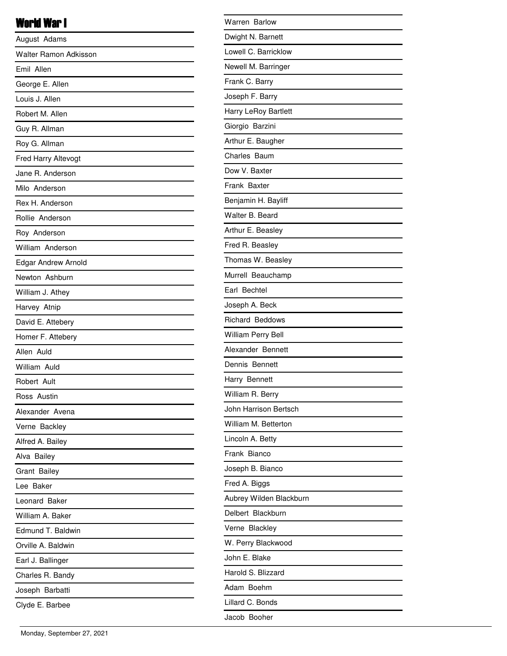# World War I

| August Adams               |
|----------------------------|
| Walter Ramon Adkisson      |
| Emil Allen                 |
| George E. Allen            |
| Louis J. Allen             |
| Robert M. Allen            |
| Guy R. Allman              |
| Roy G. Allman              |
| Fred Harry Altevogt        |
| Jane R. Anderson           |
| Milo Anderson              |
| Rex H. Anderson            |
| Rollie Anderson            |
| Roy Anderson               |
| William Anderson           |
| <b>Edgar Andrew Arnold</b> |
| Newton Ashburn             |
| William J. Athey           |
| Harvey Atnip               |
| David E. Attebery          |
| Homer F. Attebery          |
| Allen Auld                 |
| William Auld               |
| Robert Ault                |
| Ross Austin                |
| Alexander Avena            |
| Verne Backley              |
| Alfred A. Bailey           |
| Alva Bailey                |
| Grant Bailey               |
| Lee Baker                  |
| Leonard Baker              |
| William A. Baker           |
| Edmund T. Baldwin          |
| Orville A. Baldwin         |
| Earl J. Ballinger          |
| Charles R. Bandy           |
| Joseph Barbatti            |
| Clyde E. Barbee            |
|                            |

| <b>Warren Barlow</b>      |
|---------------------------|
| Dwight N. Barnett         |
| Lowell C. Barricklow      |
| Newell M. Barringer       |
| Frank C. Barry            |
| Joseph F. Barry           |
| Harry LeRoy Bartlett      |
| Giorgio Barzini           |
| Arthur E. Baugher         |
| Charles Baum              |
| Dow V. Baxter             |
| Frank Baxter              |
| Benjamin H. Bayliff       |
| Walter B. Beard           |
| Arthur E. Beasley         |
| Fred R. Beasley           |
| Thomas W. Beasley         |
| Murrell Beauchamp         |
| Earl Bechtel              |
| Joseph A. Beck            |
| Richard Beddows           |
| <b>William Perry Bell</b> |
| Alexander Bennett         |
| Dennis Bennett            |
| Harry Bennett             |
| William R. Berry          |
| John Harrison Bertsch     |
| William M. Betterton      |
| Lincoln A. Betty          |
| Frank Bianco              |
| Joseph B. Bianco          |
| Fred A. Biggs             |
| Aubrey Wilden Blackburn   |
| Delbert Blackburn         |
| Verne Blackley            |
| W. Perry Blackwood        |
| John E. Blake             |
| Harold S. Blizzard        |
| Adam Boehm                |
| Lillard C. Bonds          |
| Jacob Booher              |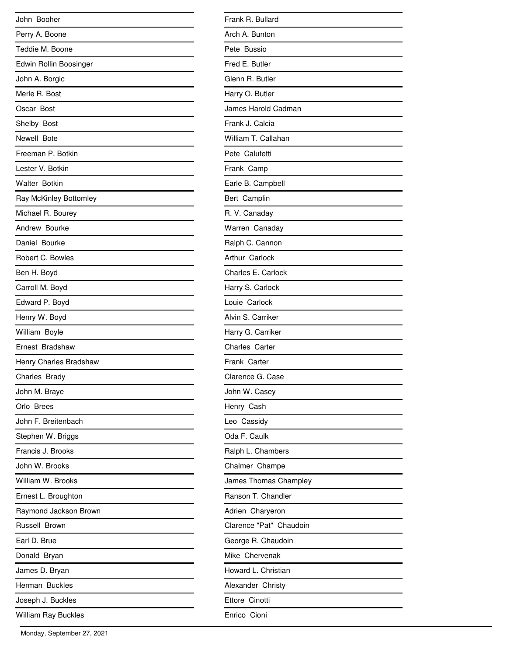| John Booher            |
|------------------------|
| Perry A. Boone         |
| Teddie M. Boone        |
| Edwin Rollin Boosinger |
| John A. Borgic         |
| Merle R. Bost          |
| Oscar Bost             |
| Shelby Bost            |
| Newell Bote            |
| Freeman P. Botkin      |
| Lester V. Botkin       |
| <b>Walter Botkin</b>   |
| Ray McKinley Bottomley |
| Michael R. Bourey      |
| Andrew Bourke          |
| Daniel Bourke          |
| Robert C. Bowles       |
| Ben H. Boyd            |
| Carroll M. Boyd        |
| Edward P. Boyd         |
| Henry W. Boyd          |
| William Boyle          |
| Ernest Bradshaw        |
| Henry Charles Bradshaw |
| Charles Brady          |
| John M. Braye          |
| Orlo Brees             |
| John F. Breitenbach    |
| Stephen W. Briggs      |
| Francis J. Brooks      |
| John W. Brooks         |
| William W. Brooks      |
| Ernest L. Broughton    |
| Raymond Jackson Brown  |
| Russell Brown          |
| Earl D. Brue           |
| Donald Bryan           |
| James D. Bryan         |
| Herman Buckles         |
| Joseph J. Buckles      |
| William Ray Buckles    |

| Frank R. Bullard        |
|-------------------------|
| Arch A. Bunton          |
| Pete Bussio             |
| Fred E. Butler          |
| Glenn R. Butler         |
| Harry O. Butler         |
| James Harold Cadman     |
| Frank J. Calcia         |
| William T. Callahan     |
| Pete Calufetti          |
| Frank Camp              |
| Earle B. Campbell       |
| Bert Camplin            |
| R. V. Canaday           |
| Warren Canaday          |
| Ralph C. Cannon         |
| Arthur Carlock          |
| Charles E. Carlock      |
| Harry S. Carlock        |
| Louie Carlock           |
| Alvin S. Carriker       |
| Harry G. Carriker       |
| Charles Carter          |
| Frank Carter            |
| Clarence G. Case        |
| John W. Casey           |
| Henry Cash              |
| Leo Cassidy             |
| Oda F. Caulk            |
| Ralph L. Chambers       |
| Chalmer Champe          |
| James Thomas Champley   |
| Ranson T. Chandler      |
| Adrien Charyeron        |
| Clarence "Pat" Chaudoin |
| George R. Chaudoin      |
| Mike Chervenak          |
| Howard L. Christian     |
| Alexander Christy       |
| Ettore Cinotti          |
| Enrico Cioni            |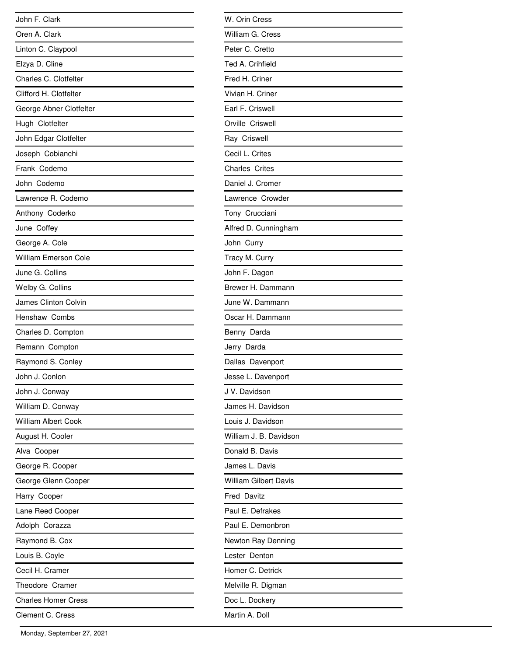| John F. Clark               |
|-----------------------------|
| Oren A. Clark               |
| Linton C. Claypool          |
| Elzya D. Cline              |
| Charles C. Clotfelter       |
| Clifford H. Clotfelter      |
| George Abner Clotfelter     |
| Hugh Clotfelter             |
| John Edgar Clotfelter       |
| Joseph Cobianchi            |
| Frank Codemo                |
| John Codemo                 |
| Lawrence R. Codemo          |
| Anthony Coderko             |
| June Coffey                 |
| George A. Cole              |
| <b>William Emerson Cole</b> |
| June G. Collins             |
| Welby G. Collins            |
| James Clinton Colvin        |
| <b>Henshaw Combs</b>        |
| Charles D. Compton          |
| Remann Compton              |
| Raymond S. Conley           |
| John J. Conlon              |
| John J. Conway              |
| William D. Conway           |
| <b>William Albert Cook</b>  |
| August H. Cooler            |
| Alva Cooper                 |
| George R. Cooper            |
| George Glenn Cooper         |
| Harry Cooper                |
| Lane Reed Cooper            |
| Adolph Corazza              |
| Raymond B. Cox              |
| Louis B. Coyle              |
| Cecil H. Cramer             |
| Theodore Cramer             |
| <b>Charles Homer Cress</b>  |
| Clement C. Cress            |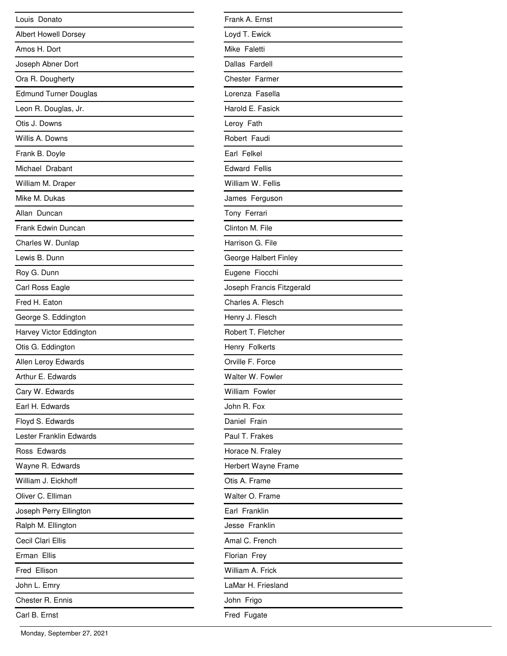| Louis Donato                 |
|------------------------------|
| <b>Albert Howell Dorsey</b>  |
| Amos H. Dort                 |
| Joseph Abner Dort            |
| Ora R. Dougherty             |
| <b>Edmund Turner Douglas</b> |
| Leon R. Douglas, Jr.         |
| Otis J. Downs                |
| Willis A. Downs              |
| Frank B. Doyle               |
| Michael Drabant              |
| William M. Draper            |
| Mike M. Dukas                |
| Allan Duncan                 |
| Frank Edwin Duncan           |
| Charles W. Dunlap            |
| Lewis B. Dunn                |
| Roy G. Dunn                  |
| Carl Ross Eagle              |
| Fred H. Eaton                |
| George S. Eddington          |
| Harvey Victor Eddington      |
| Otis G. Eddington            |
| Allen Leroy Edwards          |
| Arthur E. Edwards            |
| Cary W. Edwards              |
| Earl H. Edwards              |
| Floyd S. Edwards             |
| Lester Franklin Edwards      |
| Ross Edwards                 |
| Wayne R. Edwards             |
| William J. Eickhoff          |
| Oliver C. Elliman            |
| Joseph Perry Ellington       |
| Ralph M. Ellington           |
| Cecil Clari Ellis            |
| Erman Ellis                  |
| Fred Ellison                 |
| John L. Emry                 |
| Chester R. Ennis             |
| Carl B. Ernst                |

| Frank A. Ernst            |
|---------------------------|
| Loyd T. Ewick             |
| Mike Faletti              |
| Dallas Fardell            |
| Chester Farmer            |
| Lorenza Fasella           |
| Harold E. Fasick          |
| Leroy Fath                |
| Robert Faudi              |
| Earl Felkel               |
| <b>Edward Fellis</b>      |
| William W. Fellis         |
| James Ferguson            |
| Tony Ferrari              |
| Clinton M. File           |
| Harrison G. File          |
| George Halbert Finley     |
| Eugene Fiocchi            |
| Joseph Francis Fitzgerald |
| Charles A. Flesch         |
| Henry J. Flesch           |
| Robert T. Fletcher        |
| Henry Folkerts            |
| Orville F. Force          |
| Walter W. Fowler          |
| William Fowler            |
| John R. Fox               |
| Daniel Frain              |
| Paul T. Frakes            |
| Horace N. Fraley          |
| Herbert Wayne Frame       |
| Otis A. Frame             |
| Walter O. Frame           |
| Earl Franklin             |
| Jesse Franklin            |
| Amal C. French            |
| Florian Frey              |
| William A. Frick          |
| LaMar H. Friesland        |
| John Frigo                |
| Fred Fugate               |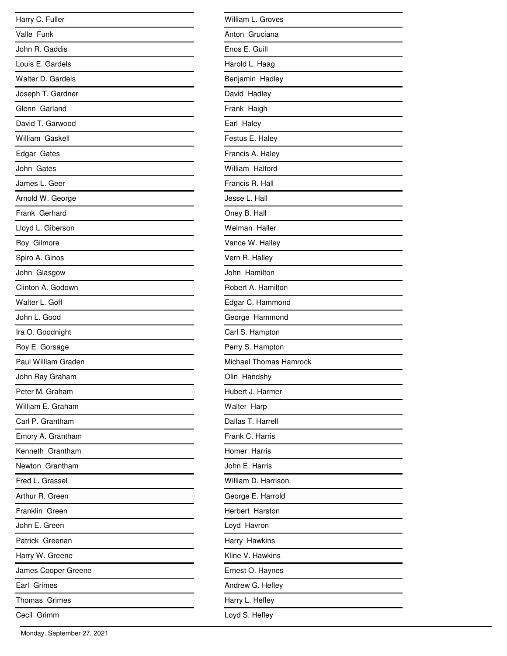| Harry C. Fuller     |
|---------------------|
| Valle Funk          |
| John R. Gaddis      |
| Louis E. Gardels    |
| Walter D. Gardels   |
| Joseph T. Gardner   |
| Glenn Garland       |
| David T. Garwood    |
| William Gaskell     |
| Edgar Gates         |
| John Gates          |
| James L. Geer       |
| Arnold W. George    |
| Frank Gerhard       |
| Lloyd L. Giberson   |
| Roy Gilmore         |
| Spiro A. Ginos      |
| John Glasgow        |
| Clinton A. Godown   |
| Walter L. Goff      |
| John L. Good        |
| Ira O. Goodnight    |
| Roy E. Gorsage      |
| Paul William Graden |
| John Ray Graham     |
| Peter M. Graham     |
| William E. Graham   |
| Carl P. Grantham    |
| Emory A. Grantham   |
| Kenneth Grantham    |
| Newton Grantham     |
| Fred L. Grassel     |
| Arthur R. Green     |
| Franklin Green      |
| John E. Green       |
| Patrick Greenan     |
| Harry W. Greene     |
| James Cooper Greene |
| Earl Grimes         |
| Thomas Grimes       |
| Cecil Grimm         |

| William L. Groves      |
|------------------------|
| Anton Gruciana         |
| Enos E. Guill          |
| Harold L. Haag         |
| Benjamin Hadley        |
| David Hadley           |
| Frank Haigh            |
| Earl Haley             |
| Festus E. Haley        |
| Francis A. Haley       |
| William Halford        |
| Francis R. Hall        |
| Jesse L. Hall          |
| Oney B. Hall           |
| Welman Haller          |
| Vance W. Halley        |
| Vern R. Halley         |
| John Hamilton          |
| Robert A. Hamilton     |
| Edgar C. Hammond       |
| George Hammond         |
| Carl S. Hampton        |
| Perry S. Hampton       |
| Michael Thomas Hamrock |
| Olin Handshy           |
| Hubert J. Harmer       |
| Walter Harp            |
| Dallas T. Harrell      |
| Frank C. Harris        |
| Homer Harris           |
| John E. Harris         |
| William D. Harrison    |
| George E. Harrold      |
| Herbert Harston        |
| Loyd Havron            |
| Harry Hawkins          |
| Kline V. Hawkins       |
| Ernest O. Haynes       |
| Andrew G. Hefley       |
| Harry L. Hefley        |
| Loyd S. Hefley         |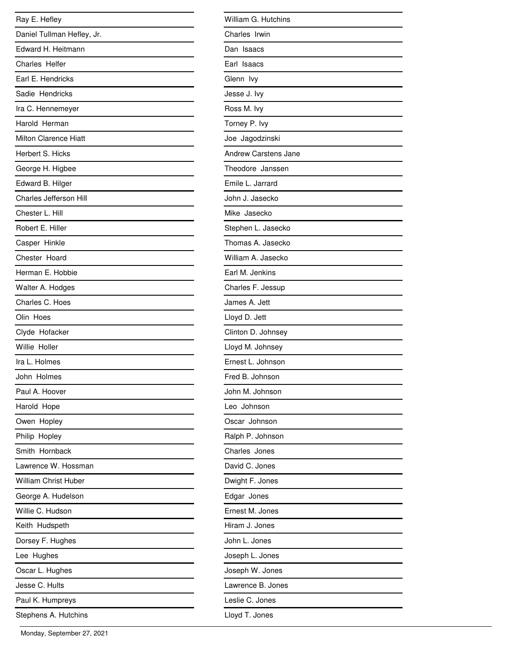| Ray E. Hefley                |
|------------------------------|
| Daniel Tullman Hefley, Jr.   |
| Edward H. Heitmann           |
| Charles Helfer               |
| Earl E. Hendricks            |
| Sadie Hendricks              |
| Ira C. Hennemeyer            |
| Harold Herman                |
| <b>Milton Clarence Hiatt</b> |
| Herbert S. Hicks             |
| George H. Higbee             |
| Edward B. Hilger             |
| Charles Jefferson Hill       |
| Chester L. Hill              |
| Robert E. Hiller             |
| Casper Hinkle                |
| Chester Hoard                |
| Herman E. Hobbie             |
| Walter A. Hodges             |
| Charles C. Hoes              |
| Olin Hoes                    |
| Clyde Hofacker               |
| Willie Holler                |
| Ira L. Holmes                |
| John Holmes                  |
| Paul A. Hoover               |
| Harold Hope                  |
| Owen Hopley                  |
| Philip Hopley                |
| Smith Hornback               |
| Lawrence W. Hossman          |
| <b>William Christ Huber</b>  |
| George A. Hudelson           |
| Willie C. Hudson             |
| Keith Hudspeth               |
| Dorsey F. Hughes             |
| Lee Hughes                   |
| Oscar L. Hughes              |
| Jesse C. Hults               |
| Paul K. Humpreys             |
| Stephens A. Hutchins         |

| William G. Hutchins         |
|-----------------------------|
| Charles Irwin               |
| Dan Isaacs                  |
| Earl Isaacs                 |
| Glenn lvy                   |
| Jesse J. Ivy                |
| Ross M. Ivy                 |
| Torney P. Ivy               |
| Joe Jagodzinski             |
| <b>Andrew Carstens Jane</b> |
| Theodore Janssen            |
| Emile L. Jarrard            |
| John J. Jasecko             |
| Mike Jasecko                |
| Stephen L. Jasecko          |
| Thomas A. Jasecko           |
| William A. Jasecko          |
| Earl M. Jenkins             |
| Charles F. Jessup           |
| James A. Jett               |
| Lloyd D. Jett               |
| Clinton D. Johnsey          |
| Lloyd M. Johnsey            |
| Ernest L. Johnson           |
| Fred B. Johnson             |
| John M. Johnson             |
| Leo Johnson                 |
| Oscar Johnson               |
| Ralph P. Johnson            |
| Charles Jones               |
| David C. Jones              |
| Dwight F. Jones             |
| Edgar Jones                 |
| Ernest M. Jones             |
| Hiram J. Jones              |
| John L. Jones               |
| Joseph L. Jones             |
| Joseph W. Jones             |
| Lawrence B. Jones           |
| Leslie C. Jones             |
| Lloyd T. Jones              |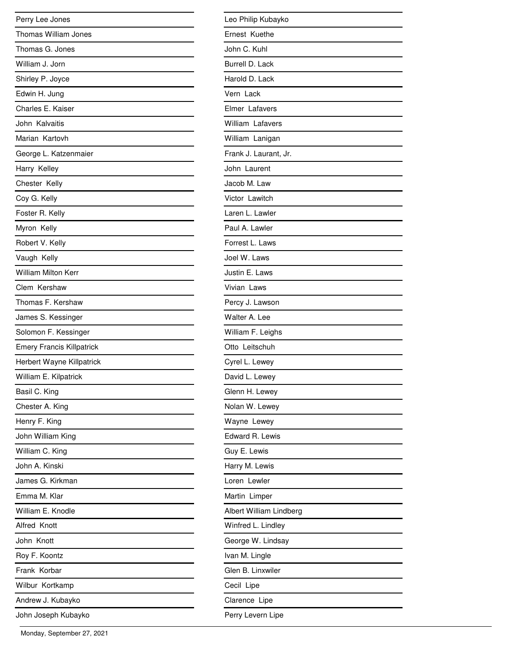| Perry Lee Jones                  |
|----------------------------------|
| <b>Thomas William Jones</b>      |
| Thomas G. Jones                  |
| William J. Jorn                  |
| Shirley P. Joyce                 |
| Edwin H. Jung                    |
| Charles E. Kaiser                |
| John Kalvaitis                   |
| Marian Kartovh                   |
| George L. Katzenmaier            |
| Harry Kelley                     |
| Chester Kelly                    |
| Coy G. Kelly                     |
| Foster R. Kelly                  |
| Myron Kelly                      |
| Robert V. Kelly                  |
| Vaugh Kelly                      |
| <b>William Milton Kerr</b>       |
| Clem Kershaw                     |
| Thomas F. Kershaw                |
| James S. Kessinger               |
| Solomon F. Kessinger             |
| <b>Emery Francis Killpatrick</b> |
| Herbert Wayne Killpatrick        |
| William E. Kilpatrick            |
| Basil C. King                    |
| Chester A. King                  |
| Henry F. King                    |
| John William King                |
| William C. King                  |
| John A. Kinski                   |
| James G. Kirkman                 |
| Emma M. Klar                     |
| William E. Knodle                |
| Alfred Knott                     |
| John Knott                       |
| Roy F. Koontz                    |
| Frank Korbar                     |
| Wilbur Kortkamp                  |
| Andrew J. Kubayko                |
| John Joseph Kubayko              |

| Leo Philip Kubayko      |
|-------------------------|
| Ernest Kuethe           |
| John C. Kuhl            |
| Burrell D. Lack         |
| Harold D. Lack          |
| Vern Lack               |
| Elmer Lafavers          |
| William Lafavers        |
| William Lanigan         |
| Frank J. Laurant, Jr.   |
| John Laurent            |
| Jacob M. Law            |
| Victor Lawitch          |
| Laren L. Lawler         |
| Paul A. Lawler          |
| Forrest L. Laws         |
| Joel W. Laws            |
| Justin E. Laws          |
| Vivian Laws             |
| Percy J. Lawson         |
| Walter A. Lee           |
| William F. Leighs       |
| Otto Leitschuh          |
| Cyrel L. Lewey          |
| David L. Lewey          |
| Glenn H. Lewey          |
| Nolan W. Lewey          |
| Wayne Lewey             |
| Edward R. Lewis         |
| Guy E. Lewis            |
| Harry M. Lewis          |
| Loren Lewler            |
| Martin Limper           |
| Albert William Lindberg |
| Winfred L. Lindley      |
| George W. Lindsay       |
| Ivan M. Lingle          |
| Glen B. Linxwiler       |
| Cecil Lipe              |
| Clarence Lipe           |
| Perry Levern Lipe       |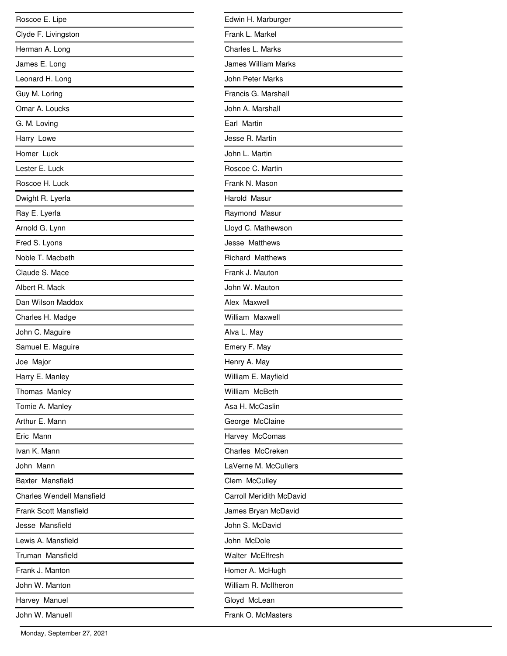| Roscoe E. Lipe                   |
|----------------------------------|
| Clyde F. Livingston              |
| Herman A. Long                   |
| James E. Long                    |
| Leonard H. Long                  |
| Guy M. Loring                    |
| Omar A. Loucks                   |
| G. M. Loving                     |
| Harry Lowe                       |
| Homer Luck                       |
| Lester E. Luck                   |
| Roscoe H. Luck                   |
| Dwight R. Lyerla                 |
| Ray E. Lyerla                    |
| Arnold G. Lynn                   |
| Fred S. Lyons                    |
| Noble T. Macbeth                 |
| Claude S. Mace                   |
| Albert R. Mack                   |
| Dan Wilson Maddox                |
| Charles H. Madge                 |
| John C. Maguire                  |
| Samuel E. Maguire                |
| Joe Major                        |
| Harry E. Manley                  |
| Thomas Manley                    |
| Tomie A. Manley                  |
| Arthur E. Mann                   |
| Fric Mann                        |
| Ivan K. Mann                     |
| John Mann                        |
| Baxter Mansfield                 |
| <b>Charles Wendell Mansfield</b> |
| Frank Scott Mansfield            |
| Jesse Mansfield                  |
| Lewis A. Mansfield               |
| Truman Mansfield                 |
| Frank J. Manton                  |
| John W. Manton                   |
| Harvey Manuel                    |
| John W. Manuell                  |

| Edwin H. Marburger              |
|---------------------------------|
| Frank L. Markel                 |
| Charles L. Marks                |
| <b>James William Marks</b>      |
| John Peter Marks                |
| Francis G. Marshall             |
| John A. Marshall                |
| Earl Martin                     |
| Jesse R. Martin                 |
| John L. Martin                  |
| Roscoe C. Martin                |
| Frank N. Mason                  |
| Harold Masur                    |
| Raymond Masur                   |
| Lloyd C. Mathewson              |
| Jesse Matthews                  |
| <b>Richard Matthews</b>         |
| Frank J. Mauton                 |
| John W. Mauton                  |
| Alex Maxwell                    |
| William Maxwell                 |
| Alva L. May                     |
| Emery F. May                    |
| Henry A. May                    |
| William E. Mayfield             |
| William McBeth                  |
| Asa H. McCaslin                 |
| George McClaine                 |
| Harvey McComas                  |
| Charles McCreken                |
| LaVerne M. McCullers            |
| Clem McCulley                   |
| <b>Carroll Meridith McDavid</b> |
| James Bryan McDavid             |
| John S. McDavid                 |
| John McDole                     |
| <b>Walter McElfresh</b>         |
| Homer A. McHugh                 |
| William R. McIlheron            |
| Gloyd McLean                    |
| Frank O. McMasters              |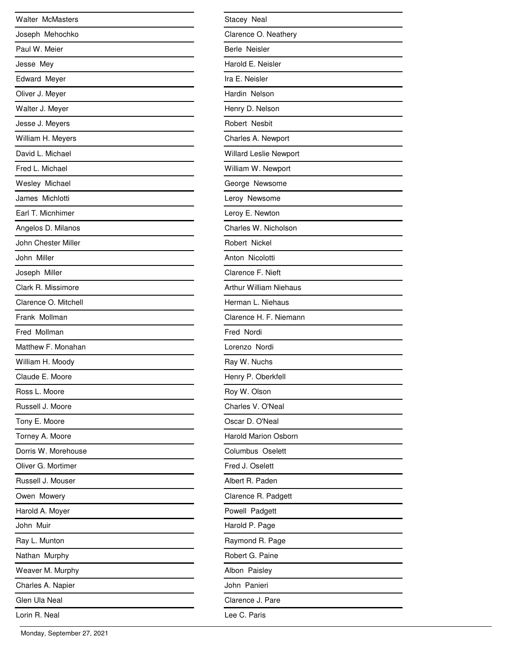| <b>Walter McMasters</b> |
|-------------------------|
| Joseph Mehochko         |
| Paul W. Meier           |
| Jesse Mey               |
| <b>Edward Meyer</b>     |
| Oliver J. Meyer         |
| Walter J. Meyer         |
| Jesse J. Meyers         |
| William H. Meyers       |
| David L. Michael        |
| Fred L. Michael         |
| Wesley Michael          |
| James Michlotti         |
| Earl T. Micnhimer       |
| Angelos D. Milanos      |
| John Chester Miller     |
| John Miller             |
| Joseph Miller           |
| Clark R. Missimore      |
| Clarence O. Mitchell    |
| Frank Mollman           |
| Fred Mollman            |
| Matthew F. Monahan      |
| William H. Moody        |
| Claude E. Moore         |
| Ross L. Moore           |
| Russell J. Moore        |
| Tony E. Moore           |
| Torney A. Moore         |
| Dorris W. Morehouse     |
| Oliver G. Mortimer      |
| Russell J. Mouser       |
| Owen Mowery             |
| Harold A. Moyer         |
| John Muir               |
| Ray L. Munton           |
| Nathan Murphy           |
| Weaver M. Murphy        |
| Charles A. Napier       |
| Glen Ula Neal           |
| Lorin R. Neal           |

| Stacey Neal                 |
|-----------------------------|
| Clarence O. Neathery        |
| Berle Neisler               |
| Harold E. Neisler           |
| Ira E. Neisler              |
| Hardin Nelson               |
| Henry D. Nelson             |
| Robert Nesbit               |
| Charles A. Newport          |
| Willard Leslie Newport      |
| William W. Newport          |
| George Newsome              |
| Leroy Newsome               |
| Leroy E. Newton             |
| Charles W. Nicholson        |
| Robert Nickel               |
| Anton Nicolotti             |
| Clarence F. Nieft           |
| Arthur William Niehaus      |
| Herman L. Niehaus           |
| Clarence H. F. Niemann      |
| Fred Nordi                  |
| Lorenzo Nordi               |
| Ray W. Nuchs                |
| Henry P. Oberkfell          |
| Roy W. Olson                |
| Charles V. O'Neal           |
| Oscar D. O'Neal             |
| <b>Harold Marion Osborn</b> |
| Columbus Oselett            |
| Fred J. Oselett             |
| Albert R. Paden             |
| Clarence R. Padgett         |
| Powell Padgett              |
| Harold P. Page              |
| Raymond R. Page             |
| Robert G. Paine             |
| Albon Paisley               |
| John Panieri                |
| Clarence J. Pare            |
| Lee C. Paris                |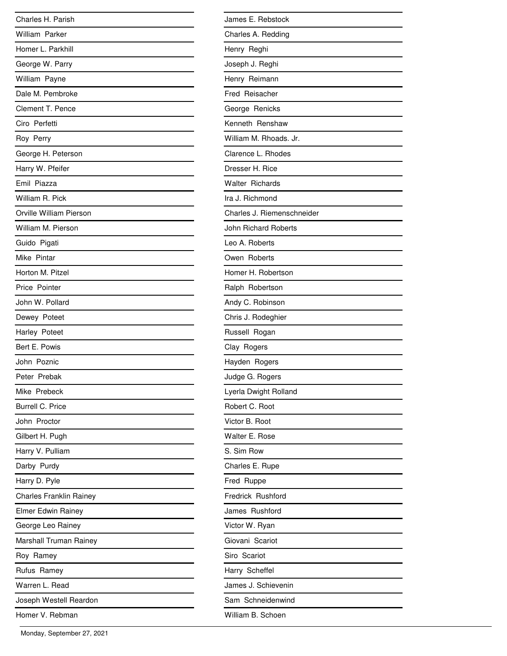| Charles H. Parish              |
|--------------------------------|
| William Parker                 |
| Homer L. Parkhill              |
| George W. Parry                |
| William Payne                  |
| Dale M. Pembroke               |
| Clement T. Pence               |
| Ciro Perfetti                  |
| Roy Perry                      |
| George H. Peterson             |
| Harry W. Pfeifer               |
| Emil Piazza                    |
| William R. Pick                |
| Orville William Pierson        |
| William M. Pierson             |
| Guido Pigati                   |
| Mike Pintar                    |
| Horton M. Pitzel               |
| Price Pointer                  |
| John W. Pollard                |
| Dewey Poteet                   |
| Harley Poteet                  |
| Bert E. Powis                  |
| John Poznic                    |
| Peter Prebak                   |
| Mike Prebeck                   |
| <b>Burrell C. Price</b>        |
| John Proctor                   |
| Gilbert H. Pugh                |
| Harry V. Pulliam               |
| Darby Purdy                    |
| Harry D. Pyle                  |
| <b>Charles Franklin Rainey</b> |
| Elmer Edwin Rainey             |
| George Leo Rainey              |
| Marshall Truman Rainey         |
| Roy Ramey                      |
| Rufus Ramey                    |
| Warren L. Read                 |
| Joseph Westell Reardon         |
| Homer V. Rebman                |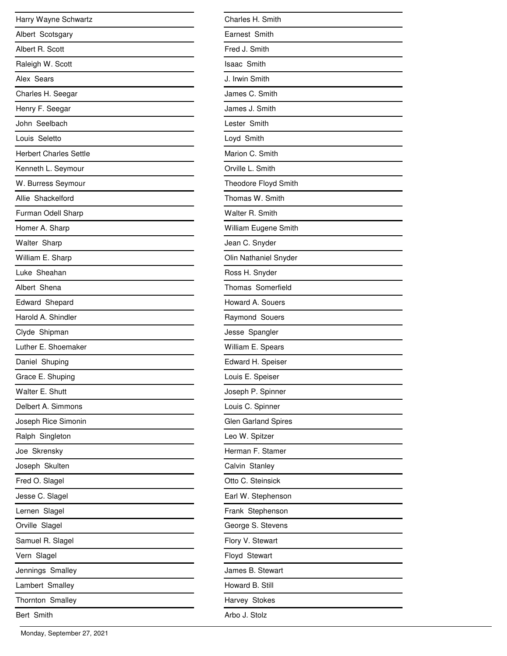| Harry Wayne Schwartz          |
|-------------------------------|
| Albert Scotsgary              |
| Albert R. Scott               |
| Raleigh W. Scott              |
| Alex Sears                    |
| Charles H. Seegar             |
| Henry F. Seegar               |
| John Seelbach                 |
| Louis Seletto                 |
| <b>Herbert Charles Settle</b> |
| Kenneth L. Seymour            |
| W. Burress Seymour            |
| Allie Shackelford             |
| Furman Odell Sharp            |
| Homer A. Sharp                |
| Walter Sharp                  |
| William E. Sharp              |
| Luke Sheahan                  |
| Albert Shena                  |
| Edward Shepard                |
| Harold A. Shindler            |
| Clyde Shipman                 |
| Luther E. Shoemaker           |
| Daniel Shuping                |
| Grace E. Shuping              |
| Walter E. Shutt               |
| Delbert A. Simmons            |
| Joseph Rice Simonin           |
| Ralph Singleton               |
| Joe Skrensky                  |
| Joseph Skulten                |
| Fred O. Slagel                |
| Jesse C. Slagel               |
| Lernen Slagel                 |
| Orville Slagel                |
| Samuel R. Slagel              |
| Vern Slagel                   |
| Jennings Smalley              |
| Lambert Smalley               |
| Thornton Smalley              |
| Bert Smith                    |

| Charles H. Smith      |
|-----------------------|
| Earnest Smith         |
| Fred J. Smith         |
| <b>Isaac Smith</b>    |
| J. Irwin Smith        |
| James C. Smith        |
| James J. Smith        |
| Lester Smith          |
| Loyd Smith            |
| Marion C. Smith       |
| Orville L. Smith      |
| Theodore Floyd Smith  |
| Thomas W. Smith       |
| Walter R. Smith       |
| William Eugene Smith  |
| Jean C. Snyder        |
| Olin Nathaniel Snyder |
| Ross H. Snyder        |
| Thomas Somerfield     |
| Howard A. Souers      |
| Raymond Souers        |
| Jesse Spangler        |
| William E. Spears     |
| Edward H. Speiser     |
| Louis E. Speiser      |
| Joseph P. Spinner     |
| Louis C. Spinner      |
| Glen Garland Spires   |
| Leo W. Spitzer        |
| Herman F. Stamer      |
| Calvin Stanley        |
| Otto C. Steinsick     |
| Earl W. Stephenson    |
| Frank Stephenson      |
| George S. Stevens     |
| Flory V. Stewart      |
| Floyd Stewart         |
| James B. Stewart      |
| Howard B. Still       |
| Harvey Stokes         |
| Arbo J. Stolz         |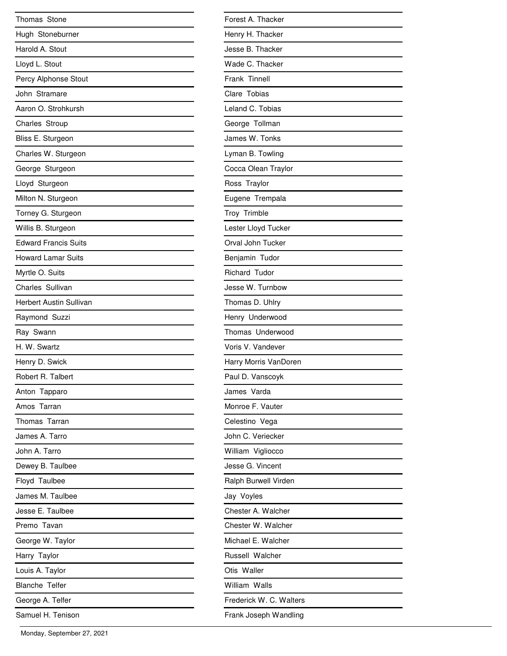| Thomas Stone                   |
|--------------------------------|
| Hugh Stoneburner               |
| Harold A. Stout                |
| Lloyd L. Stout                 |
| Percy Alphonse Stout           |
| John Stramare                  |
| Aaron O. Strohkursh            |
| Charles Stroup                 |
| Bliss E. Sturgeon              |
| Charles W. Sturgeon            |
| George Sturgeon                |
| Lloyd Sturgeon                 |
| Milton N. Sturgeon             |
| Torney G. Sturgeon             |
| Willis B. Sturgeon             |
| <b>Edward Francis Suits</b>    |
| <b>Howard Lamar Suits</b>      |
| Myrtle O. Suits                |
| Charles Sullivan               |
| <b>Herbert Austin Sullivan</b> |
| Raymond Suzzi                  |
| Ray Swann                      |
| H. W. Swartz                   |
| Henry D. Swick                 |
| Robert R. Talbert              |
| Anton Tapparo                  |
| Amos Tarran                    |
| Thomas Tarran                  |
| James A. Tarro                 |
| John A. Tarro                  |
| Dewey B. Taulbee               |
| Floyd Taulbee                  |
| James M. Taulbee               |
| Jesse E. Taulbee               |
| Premo Tavan                    |
| George W. Taylor               |
| Harry Taylor                   |
| Louis A. Taylor                |
| <b>Blanche Telfer</b>          |
| George A. Telfer               |
| Samuel H. Tenison              |

| Forest A. Thacker       |
|-------------------------|
| Henry H. Thacker        |
| Jesse B. Thacker        |
| Wade C. Thacker         |
| Frank Tinnell           |
| Clare Tobias            |
| Leland C. Tobias        |
| George Tollman          |
| James W. Tonks          |
| Lyman B. Towling        |
| Cocca Olean Traylor     |
| Ross Traylor            |
| Eugene Trempala         |
| Troy Trimble            |
| Lester Lloyd Tucker     |
| Orval John Tucker       |
| Benjamin Tudor          |
| Richard Tudor           |
| Jesse W. Turnbow        |
| Thomas D. Uhlry         |
| Henry Underwood         |
| Thomas Underwood        |
| Voris V. Vandever       |
| Harry Morris VanDoren   |
| Paul D. Vanscoyk        |
| James Varda             |
| Monroe F. Vauter        |
| Celestino Vega          |
| John C. Veriecker       |
| William Vigliocco       |
| Jesse G. Vincent        |
| Ralph Burwell Virden    |
| Jay Voyles              |
| Chester A. Walcher      |
| Chester W. Walcher      |
| Michael E. Walcher      |
| Russell Walcher         |
| Otis Waller             |
| William Walls           |
| Frederick W. C. Walters |
| Frank Joseph Wandling   |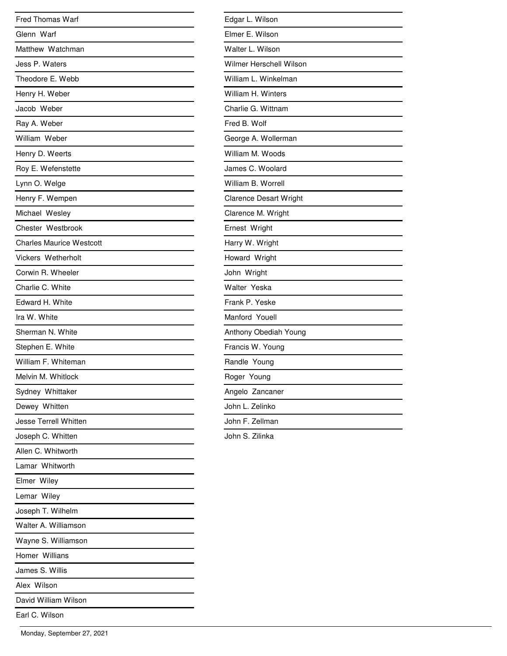| <b>Fred Thomas Warf</b>         |
|---------------------------------|
| Glenn Warf                      |
| Matthew Watchman                |
| Jess P. Waters                  |
| Theodore E. Webb                |
| Henry H. Weber                  |
| Jacob Weber                     |
| Ray A. Weber                    |
| William Weber                   |
| Henry D. Weerts                 |
| Roy E. Wefenstette              |
| Lynn O. Welge                   |
| Henry F. Wempen                 |
| Michael Wesley                  |
| Chester Westbrook               |
| <b>Charles Maurice Westcott</b> |
| Vickers Wetherholt              |
| Corwin R. Wheeler               |
| Charlie C. White                |
| Edward H. White                 |
| Ira W. White                    |
| Sherman N. White                |
| Stephen E. White                |
| William F. Whiteman             |
| Melvin M. Whitlock              |
| Sydney Whittaker                |
| Dewey Whitten                   |
| Jesse Terrell Whitten           |
| Joseph C. Whitten               |
| Allen C. Whitworth              |
| Lamar Whitworth                 |
| Elmer Wiley                     |
| Lemar Wiley                     |
| Joseph T. Wilhelm               |
| Walter A. Williamson            |
| Wayne S. Williamson             |
| Homer Willians                  |
| James S. Willis                 |
| Alex Wilson                     |
| David William Wilson            |
| Earl C. Wilson                  |
|                                 |

| Edgar L. Wilson               |  |
|-------------------------------|--|
| Elmer E. Wilson               |  |
| Walter L. Wilson              |  |
| Wilmer Herschell Wilson       |  |
| William L. Winkelman          |  |
| William H. Winters            |  |
| Charlie G. Wittnam            |  |
| Fred B. Wolf                  |  |
| George A. Wollerman           |  |
| William M. Woods              |  |
| James C. Woolard              |  |
| William B. Worrell            |  |
| <b>Clarence Desart Wright</b> |  |
| Clarence M. Wright            |  |
| Ernest Wright                 |  |
| Harry W. Wright               |  |
| Howard Wright                 |  |
| John Wright                   |  |
| Walter Yeska                  |  |
| Frank P. Yeske                |  |
| Manford Youell                |  |
| Anthony Obediah Young         |  |
| Francis W. Young              |  |
| Randle Young                  |  |
| Roger Young                   |  |
| Angelo Zancaner               |  |
| John L. Zelinko               |  |
| John F. Zellman               |  |
| John S. Zilinka               |  |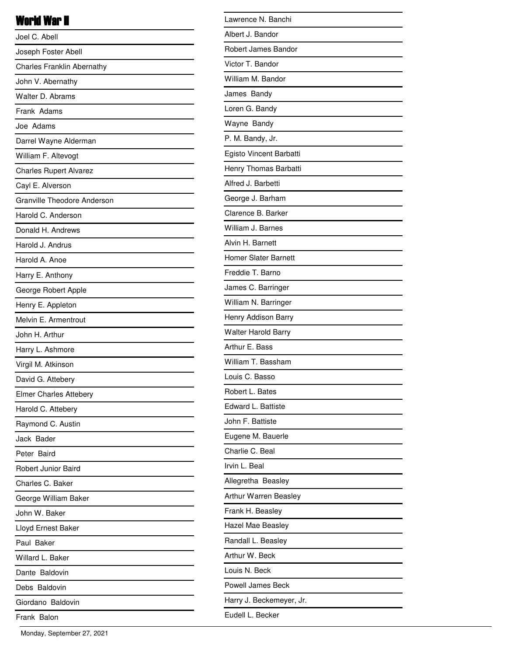#### World War II

| Joel C. Abell                      |
|------------------------------------|
| Joseph Foster Abell                |
| <b>Charles Franklin Abernathy</b>  |
| John V. Abernathy                  |
| Walter D. Abrams                   |
| Frank Adams                        |
| Joe Adams                          |
| Darrel Wayne Alderman              |
| William F. Altevogt                |
| <b>Charles Rupert Alvarez</b>      |
| Cayl E. Alverson                   |
| <b>Granville Theodore Anderson</b> |
| Harold C. Anderson                 |
| Donald H. Andrews                  |
| Harold J. Andrus                   |
| Harold A. Anoe                     |
| Harry E. Anthony                   |
| George Robert Apple                |
| Henry E. Appleton                  |
| Melvin E. Armentrout               |
| John H. Arthur                     |
| Harry L. Ashmore                   |
| Virgil M. Atkinson                 |
| David G. Attebery                  |
| <b>Elmer Charles Attebery</b>      |
| Harold C. Attebery                 |
| Raymond C. Austin                  |
| Jack Bader                         |
| Peter Baird                        |
| Robert Junior Baird                |
| Charles C. Baker                   |
| George William Baker               |
| John W. Baker                      |
| Lloyd Ernest Baker                 |
| Paul Baker                         |
| Willard L. Baker                   |
| Dante Baldovin                     |
| Debs Baldovin                      |
| Giordano Baldovin                  |
| Frank Balon                        |

| Lawrence N. Banchi          |
|-----------------------------|
| Albert J. Bandor            |
| Robert James Bandor         |
| Victor T. Bandor            |
| William M. Bandor           |
| James Bandy                 |
| Loren G. Bandy              |
| Wayne Bandy                 |
| P. M. Bandy, Jr.            |
| Egisto Vincent Barbatti     |
| Henry Thomas Barbatti       |
| Alfred J. Barbetti          |
| George J. Barham            |
| Clarence B. Barker          |
| William J. Barnes           |
| Alvin H. Barnett            |
| <b>Homer Slater Barnett</b> |
| Freddie T. Barno            |
| James C. Barringer          |
| William N. Barringer        |
| Henry Addison Barry         |
| <b>Walter Harold Barry</b>  |
| Arthur E. Bass              |
| William T. Bassham          |
| Louis C. Basso              |
| Robert L. Bates             |
| Edward L. Battiste          |
| John F. Battiste            |
| Eugene M. Bauerle           |
| Charlie C. Beal             |
| Irvin L. Beal               |
| Allegretha Beasley          |
| Arthur Warren Beasley       |
| Frank H. Beasley            |
| Hazel Mae Beasley           |
| Randall L. Beasley          |
| Arthur W. Beck              |
| Louis N. Beck               |
| <b>Powell James Beck</b>    |
| Harry J. Beckemeyer, Jr.    |
| Eudell L. Becker            |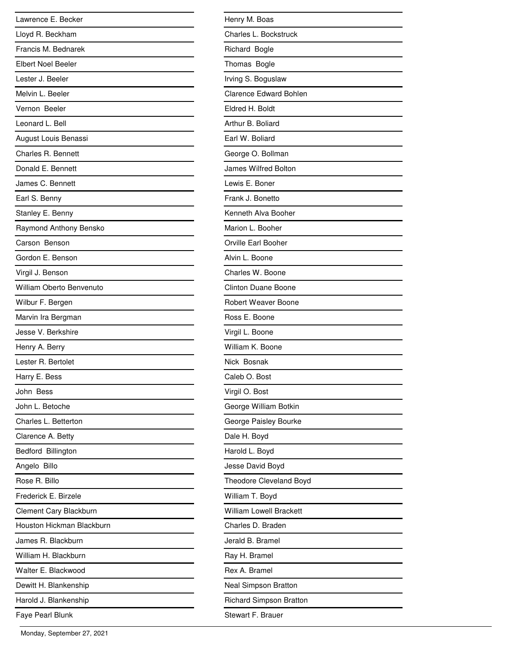| Lawrence E. Becker        |
|---------------------------|
| Lloyd R. Beckham          |
| Francis M. Bednarek       |
| <b>Elbert Noel Beeler</b> |
| Lester J. Beeler          |
| Melvin L. Beeler          |
| Vernon Beeler             |
| Leonard L. Bell           |
| August Louis Benassi      |
| Charles R. Bennett        |
| Donald E. Bennett         |
| James C. Bennett          |
| Earl S. Benny             |
| Stanley E. Benny          |
| Raymond Anthony Bensko    |
| Carson Benson             |
| Gordon E. Benson          |
| Virgil J. Benson          |
| William Oberto Benvenuto  |
| Wilbur F. Bergen          |
| Marvin Ira Bergman        |
| Jesse V. Berkshire        |
| Henry A. Berry            |
| Lester R. Bertolet        |
| Harry E. Bess             |
| John Bess                 |
| John L. Betoche           |
| Charles L. Betterton      |
| Clarence A. Betty         |
| Bedford Billington        |
| Angelo Billo              |
| Rose R. Billo             |
| Frederick E. Birzele      |
| Clement Cary Blackburn    |
| Houston Hickman Blackburn |
| James R. Blackburn        |
| William H. Blackburn      |
| Walter E. Blackwood       |
| Dewitt H. Blankenship     |
| Harold J. Blankenship     |
| Faye Pearl Blunk          |

| Henry M. Boas                  |
|--------------------------------|
| Charles L. Bockstruck          |
| Richard Bogle                  |
| Thomas Bogle                   |
| Irving S. Boguslaw             |
| <b>Clarence Edward Bohlen</b>  |
| Eldred H. Boldt                |
| Arthur B. Boliard              |
| Earl W. Boliard                |
| George O. Bollman              |
| James Wilfred Bolton           |
| Lewis E. Boner                 |
| Frank J. Bonetto               |
| Kenneth Alva Booher            |
| Marion L. Booher               |
| Orville Earl Booher            |
| Alvin L. Boone                 |
| Charles W. Boone               |
| <b>Clinton Duane Boone</b>     |
| Robert Weaver Boone            |
| Ross E. Boone                  |
| Virgil L. Boone                |
| William K. Boone               |
| Nick Bosnak                    |
| Caleb O. Bost                  |
| Virgil O. Bost                 |
| George William Botkin          |
| George Paisley Bourke          |
| Dale H. Boyd                   |
| Harold L. Boyd                 |
| Jesse David Boyd               |
| Theodore Cleveland Boyd        |
| William T. Boyd                |
| <b>William Lowell Brackett</b> |
| Charles D. Braden              |
| Jerald B. Bramel               |
| Ray H. Bramel                  |
| Rex A. Bramel                  |
| Neal Simpson Bratton           |
| <b>Richard Simpson Bratton</b> |
| Stewart F. Brauer              |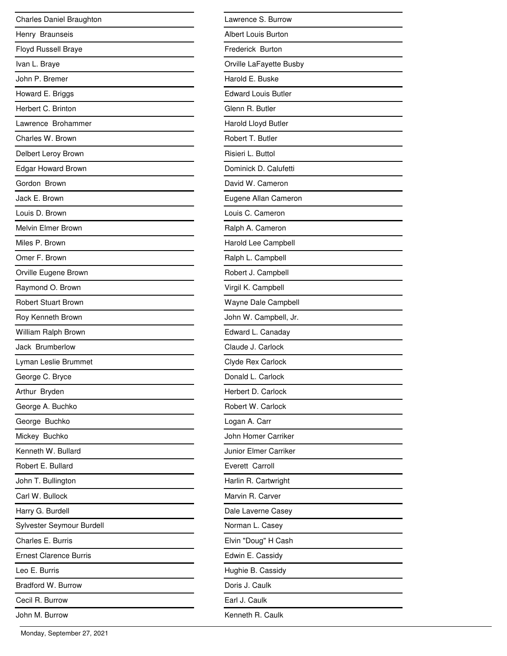| Charles Daniel Braughton   |
|----------------------------|
| Henry Braunseis            |
| <b>Floyd Russell Braye</b> |
| Ivan L. Braye              |
| John P. Bremer             |
| Howard E. Briggs           |
| Herbert C. Brinton         |
| Lawrence Brohammer         |
| Charles W. Brown           |
| Delbert Leroy Brown        |
| Edgar Howard Brown         |
| Gordon Brown               |
| Jack E. Brown              |
| Louis D. Brown             |
| Melvin Elmer Brown         |
| Miles P. Brown             |
| Omer F. Brown              |
| Orville Eugene Brown       |
| Raymond O. Brown           |
| <b>Robert Stuart Brown</b> |
| Roy Kenneth Brown          |
| William Ralph Brown        |
| Jack Brumberlow            |
| Lyman Leslie Brummet       |
| George C. Bryce            |
| Arthur Bryden              |
| George A. Buchko           |
| George Buchko              |
| Mickey Buchko              |
| Kenneth W. Bullard         |
| Robert E. Bullard          |
| John T. Bullington         |
| Carl W. Bullock            |
| Harry G. Burdell           |
| Sylvester Seymour Burdell  |
| Charles E. Burris          |
| Ernest Clarence Burris     |
| Leo E. Burris              |
| Bradford W. Burrow         |
| Cecil R. Burrow            |
| John M. Burrow             |

| Lawrence S. Burrow         |
|----------------------------|
| <b>Albert Louis Burton</b> |
| Frederick Burton           |
| Orville LaFayette Busby    |
| Harold E. Buske            |
| <b>Edward Louis Butler</b> |
| Glenn R. Butler            |
| Harold Lloyd Butler        |
| Robert T. Butler           |
| Risieri L. Buttol          |
| Dominick D. Calufetti      |
| David W. Cameron           |
| Eugene Allan Cameron       |
| Louis C. Cameron           |
| Ralph A. Cameron           |
| Harold Lee Campbell        |
| Ralph L. Campbell          |
| Robert J. Campbell         |
| Virgil K. Campbell         |
| Wayne Dale Campbell        |
| John W. Campbell, Jr.      |
| Edward L. Canaday          |
| Claude J. Carlock          |
| Clyde Rex Carlock          |
| Donald L. Carlock          |
| Herbert D. Carlock         |
| Robert W. Carlock          |
| Logan A. Carr              |
| John Homer Carriker        |
| Junior Elmer Carriker      |
| Everett Carroll            |
| Harlin R. Cartwright       |
| Marvin R. Carver           |
| Dale Laverne Casey         |
| Norman L. Casey            |
| Elvin "Doug" H Cash        |
| Edwin E. Cassidy           |
| Hughie B. Cassidy          |
| Doris J. Caulk             |
| Earl J. Caulk              |
| Kenneth R. Caulk           |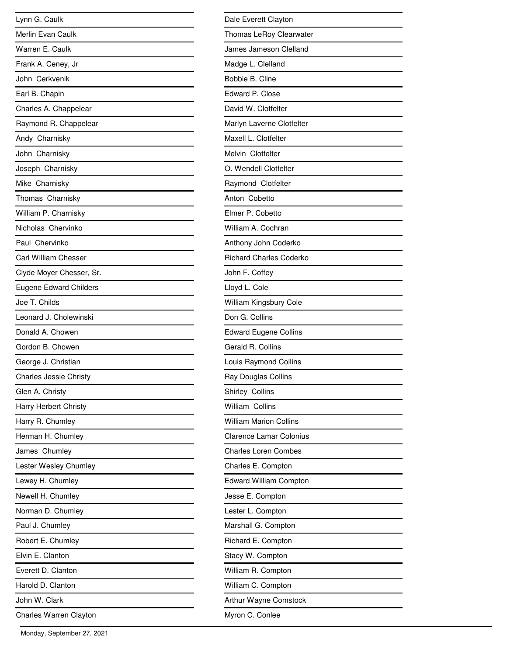| Lynn G. Caulk                 |
|-------------------------------|
| Merlin Evan Caulk             |
| Warren E. Caulk               |
| Frank A. Ceney, Jr            |
| John Cerkvenik                |
| Earl B. Chapin                |
| Charles A. Chappelear         |
| Raymond R. Chappelear         |
| Andy Charnisky                |
| John Charnisky                |
| Joseph Charnisky              |
| Mike Charnisky                |
| Thomas Charnisky              |
| William P. Charnisky          |
| Nicholas Chervinko            |
| Paul Chervinko                |
| Carl William Chesser          |
| Clyde Moyer Chesser, Sr.      |
| <b>Eugene Edward Childers</b> |
| Joe T. Childs                 |
| Leonard J. Cholewinski        |
| Donald A. Chowen              |
| Gordon B. Chowen              |
| George J. Christian           |
| <b>Charles Jessie Christy</b> |
| Glen A. Christy               |
| Harry Herbert Christy         |
| Harry R. Chumley              |
| Herman H. Chumley             |
| James Chumley                 |
| Lester Wesley Chumley         |
| Lewey H. Chumley              |
| Newell H. Chumley             |
| Norman D. Chumley             |
| Paul J. Chumley               |
| Robert E. Chumley             |
| Elvin E. Clanton              |
| Everett D. Clanton            |
| Harold D. Clanton             |
| John W. Clark                 |
| Charles Warren Clayton        |

| Dale Everett Clayton           |
|--------------------------------|
| Thomas LeRoy Clearwater        |
| James Jameson Clelland         |
| Madge L. Clelland              |
| Bobbie B. Cline                |
| Edward P. Close                |
| David W. Clotfelter            |
| Marlyn Laverne Clotfelter      |
| Maxell L. Clotfelter           |
| Melvin Clotfelter              |
| O. Wendell Clotfelter          |
| Raymond Clotfelter             |
| Anton Cobetto                  |
| Elmer P. Cobetto               |
| William A. Cochran             |
| Anthony John Coderko           |
| <b>Richard Charles Coderko</b> |
| John F. Coffey                 |
| Lloyd L. Cole                  |
| William Kingsbury Cole         |
| Don G. Collins                 |
| <b>Edward Eugene Collins</b>   |
| Gerald R. Collins              |
| Louis Raymond Collins          |
| Ray Douglas Collins            |
| Shirley Collins                |
| William Collins                |
| <b>William Marion Collins</b>  |
| <b>Clarence Lamar Colonius</b> |
| <b>Charles Loren Combes</b>    |
| Charles E. Compton             |
| <b>Edward William Compton</b>  |
| Jesse E. Compton               |
| Lester L. Compton              |
| Marshall G. Compton            |
| Richard E. Compton             |
| Stacy W. Compton               |
| William R. Compton             |
| William C. Compton             |
| Arthur Wayne Comstock          |
| Myron C. Conlee                |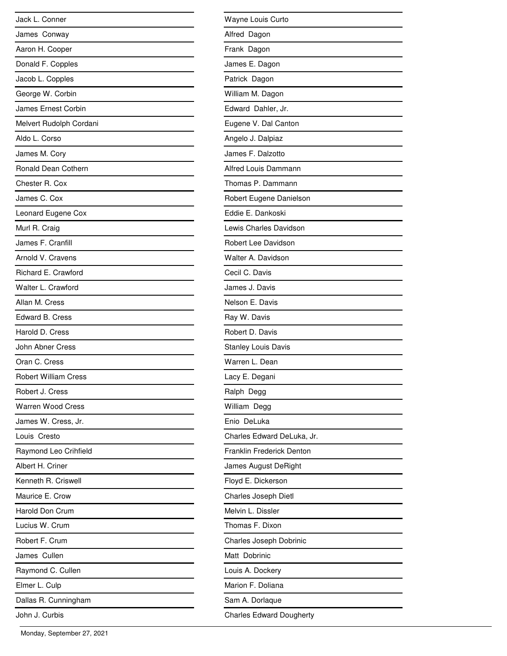| Jack L. Conner              |
|-----------------------------|
| James Conway                |
| Aaron H. Cooper             |
| Donald F. Copples           |
| Jacob L. Copples            |
| George W. Corbin            |
| James Ernest Corbin         |
| Melvert Rudolph Cordani     |
| Aldo L. Corso               |
| James M. Cory               |
| Ronald Dean Cothern         |
| Chester R. Cox              |
| James C. Cox                |
| Leonard Eugene Cox          |
| Murl R. Craig               |
| James F. Cranfill           |
| Arnold V. Cravens           |
| Richard E. Crawford         |
| Walter L. Crawford          |
| Allan M. Cress              |
| <b>Edward B. Cress</b>      |
| Harold D. Cress             |
| John Abner Cress            |
| Oran C. Cress               |
| <b>Robert William Cress</b> |
| Robert J. Cress             |
| <b>Warren Wood Cress</b>    |
| James W. Cress, Jr.         |
| Louis Cresto                |
| Raymond Leo Crihfield       |
| Albert H. Criner            |
| Kenneth R. Criswell         |
| Maurice E. Crow             |
| Harold Don Crum             |
| Lucius W. Crum              |
| Robert F. Crum              |
| James Cullen                |
| Raymond C. Cullen           |
| Elmer L. Culp               |
| Dallas R. Cunningham        |
| John J. Curbis              |

| Wayne Louis Curto                |
|----------------------------------|
| Alfred Dagon                     |
| Frank Dagon                      |
| James E. Dagon                   |
| Patrick Dagon                    |
| William M. Dagon                 |
| Edward Dahler, Jr.               |
| Eugene V. Dal Canton             |
| Angelo J. Dalpiaz                |
| James F. Dalzotto                |
| Alfred Louis Dammann             |
| Thomas P. Dammann                |
| Robert Eugene Danielson          |
| Eddie E. Dankoski                |
| Lewis Charles Davidson           |
| Robert Lee Davidson              |
| Walter A. Davidson               |
| Cecil C. Davis                   |
| James J. Davis                   |
| Nelson E. Davis                  |
| Ray W. Davis                     |
| Robert D. Davis                  |
| <b>Stanley Louis Davis</b>       |
| Warren L. Dean                   |
| Lacy E. Degani                   |
| Ralph Degg                       |
| William Degg                     |
| Enio DeLuka                      |
| Charles Edward DeLuka, Jr.       |
| <b>Franklin Frederick Denton</b> |
| James August DeRight             |
| Floyd E. Dickerson               |
| Charles Joseph Dietl             |
| Melvin L. Dissler                |
| Thomas F. Dixon                  |
| Charles Joseph Dobrinic          |
| Matt Dobrinic                    |
| Louis A. Dockery                 |
| Marion F. Doliana                |
| Sam A. Dorlaque                  |
| <b>Charles Edward Dougherty</b>  |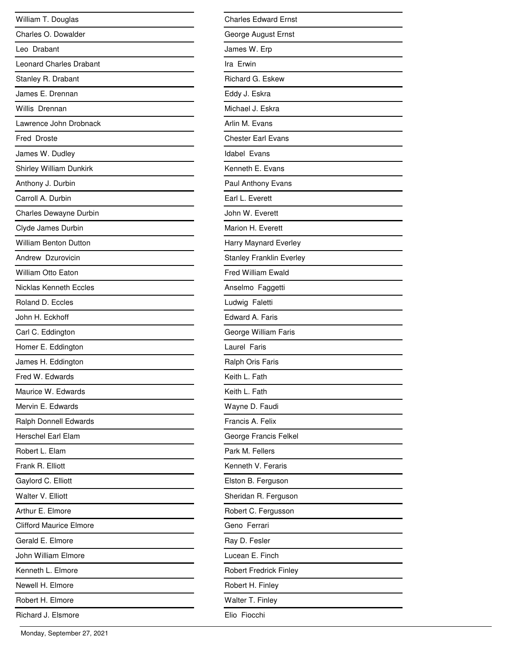| William T. Douglas             |
|--------------------------------|
| Charles O. Dowalder            |
| Leo Drabant                    |
| <b>Leonard Charles Drabant</b> |
| Stanley R. Drabant             |
| James E. Drennan               |
| Willis Drennan                 |
| Lawrence John Drobnack         |
| Fred Droste                    |
| James W. Dudley                |
| <b>Shirley William Dunkirk</b> |
| Anthony J. Durbin              |
| Carroll A. Durbin              |
| Charles Dewayne Durbin         |
| Clyde James Durbin             |
| <b>William Benton Dutton</b>   |
| Andrew Dzurovicin              |
| William Otto Eaton             |
| Nicklas Kenneth Eccles         |
| Roland D. Eccles               |
| John H. Eckhoff                |
| Carl C. Eddington              |
| Homer E. Eddington             |
| James H. Eddington             |
| Fred W. Edwards                |
| Maurice W. Edwards             |
| Mervin F. Fdwards              |
| Ralph Donnell Edwards          |
| Herschel Earl Elam             |
| Robert L. Elam                 |
| Frank R. Elliott               |
| Gaylord C. Elliott             |
| Walter V. Elliott              |
| Arthur E. Elmore               |
| <b>Clifford Maurice Elmore</b> |
| Gerald E. Elmore               |
| John William Elmore            |
| Kenneth L. Elmore              |
| Newell H. Elmore               |
| Robert H. Elmore               |
| Richard J. Elsmore             |

| <b>Charles Edward Ernst</b>     |
|---------------------------------|
| George August Ernst             |
| James W. Erp                    |
| Ira Erwin                       |
| Richard G. Eskew                |
| Eddy J. Eskra                   |
| Michael J. Eskra                |
| Arlin M. Evans                  |
| <b>Chester Earl Evans</b>       |
| <b>Idabel Evans</b>             |
| Kenneth E. Evans                |
| Paul Anthony Evans              |
| Earl L. Everett                 |
| John W. Everett                 |
| Marion H. Everett               |
| Harry Maynard Everley           |
| <b>Stanley Franklin Everley</b> |
| Fred William Ewald              |
| Anselmo Faggetti                |
| Ludwig Faletti                  |
| Edward A. Faris                 |
| George William Faris            |
| Laurel Faris                    |
| Ralph Oris Faris                |
| Keith L. Fath                   |
| Keith L. Fath                   |
| Wayne D. Faudi                  |
| Francis A. Felix                |
| George Francis Felkel           |
| Park M. Fellers                 |
| Kenneth V. Feraris              |
| Elston B. Ferguson              |
| Sheridan R. Ferguson            |
| Robert C. Fergusson             |
| Geno Ferrari                    |
| Ray D. Fesler                   |
| Lucean E. Finch                 |
| <b>Robert Fredrick Finley</b>   |
| Robert H. Finley                |
| Walter T. Finley                |
| Elio Fiocchi                    |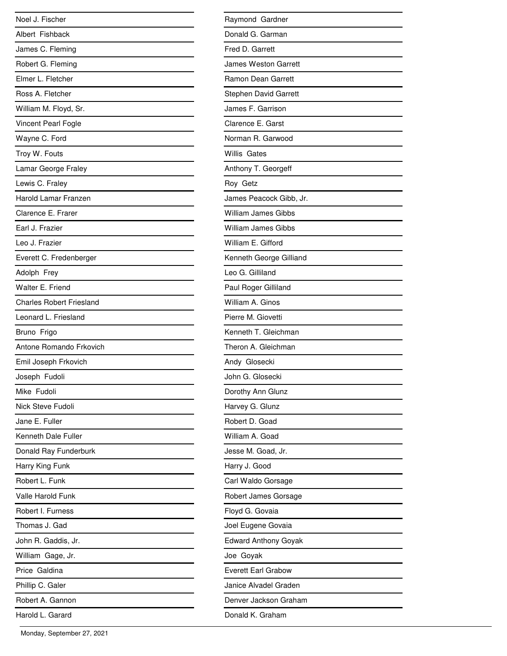| Noel J. Fischer                 |
|---------------------------------|
| Albert Fishback                 |
| James C. Fleming                |
| Robert G. Fleming               |
| Elmer L. Fletcher               |
| Ross A. Fletcher                |
| William M. Floyd, Sr.           |
| Vincent Pearl Fogle             |
| Wayne C. Ford                   |
| Troy W. Fouts                   |
| Lamar George Fraley             |
| Lewis C. Fraley                 |
| Harold Lamar Franzen            |
| Clarence E. Frarer              |
| Earl J. Frazier                 |
| Leo J. Frazier                  |
| Everett C. Fredenberger         |
| Adolph Frey                     |
| Walter E. Friend                |
| <b>Charles Robert Friesland</b> |
| Leonard L. Friesland            |
| Bruno Frigo                     |
| Antone Romando Frkovich         |
| Emil Joseph Frkovich            |
| Joseph Fudoli                   |
| Mike Fudoli                     |
| <b>Nick Steve Fudoli</b>        |
| Jane E. Fuller                  |
| Kenneth Dale Fuller             |
| Donald Ray Funderburk           |
| Harry King Funk                 |
| Robert L. Funk                  |
| Valle Harold Funk               |
| Robert I. Furness               |
| Thomas J. Gad                   |
| John R. Gaddis, Jr.             |
| William Gage, Jr.               |
| Price Galdina                   |
| Phillip C. Galer                |
| Robert A. Gannon                |
| Harold L. Garard                |

| Raymond Gardner             |
|-----------------------------|
| Donald G. Garman            |
| Fred D. Garrett             |
| James Weston Garrett        |
| Ramon Dean Garrett          |
| Stephen David Garrett       |
| James F. Garrison           |
| Clarence E. Garst           |
| Norman R. Garwood           |
| Willis Gates                |
| Anthony T. Georgeff         |
| Roy Getz                    |
| James Peacock Gibb, Jr.     |
| <b>William James Gibbs</b>  |
| <b>William James Gibbs</b>  |
| William E. Gifford          |
| Kenneth George Gilliand     |
| Leo G. Gilliland            |
| Paul Roger Gilliland        |
| William A. Ginos            |
| Pierre M. Giovetti          |
| Kenneth T. Gleichman        |
| Theron A. Gleichman         |
| Andy Glosecki               |
| John G. Glosecki            |
| Dorothy Ann Glunz           |
| Harvey G. Glunz             |
| Robert D. Goad              |
| William A. Goad             |
| Jesse M. Goad, Jr.          |
| Harry J. Good               |
| Carl Waldo Gorsage          |
| Robert James Gorsage        |
| Floyd G. Govaia             |
| Joel Eugene Govaia          |
| <b>Edward Anthony Goyak</b> |
| Joe Goyak                   |
| <b>Everett Earl Grabow</b>  |
| Janice Alvadel Graden       |
| Denver Jackson Graham       |
| Donald K. Graham            |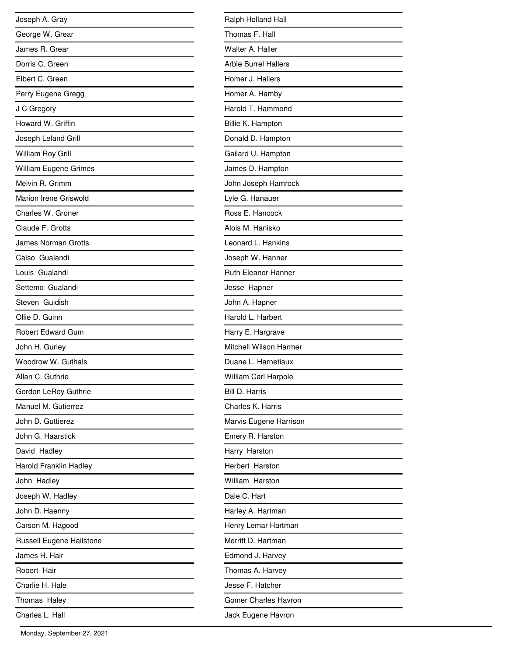| Joseph A. Gray           |
|--------------------------|
| George W. Grear          |
| James R. Grear           |
| Dorris C. Green          |
| Elbert C. Green          |
| Perry Eugene Gregg       |
| J C Gregory              |
| Howard W. Griffin        |
| Joseph Leland Grill      |
| William Roy Grill        |
| William Eugene Grimes    |
| Melvin R. Grimm          |
| Marion Irene Griswold    |
| Charles W. Groner        |
| Claude F. Grotts         |
| James Norman Grotts      |
| Calso Gualandi           |
| Louis Gualandi           |
| Settemo Gualandi         |
| Steven Guidish           |
| Ollie D. Guinn           |
| <b>Robert Edward Gum</b> |
| John H. Gurley           |
| Woodrow W. Guthals       |
| Allan C. Guthrie         |
| Gordon LeRoy Guthrie     |
| Manuel M. Gutierrez      |
| John D. Guttierez        |
| John G. Haarstick        |
| David Hadley             |
| Harold Franklin Hadley   |
| John Hadley              |
| Joseph W. Hadley         |
| John D. Haenny           |
| Carson M. Hagood         |
| Russell Eugene Hailstone |
| James H. Hair            |
| Robert Hair              |
| Charlie H. Hale          |
| Thomas Haley             |
| Charles L. Hall          |

| Ralph Holland Hall          |
|-----------------------------|
| Thomas F. Hall              |
| Walter A. Haller            |
| <b>Arble Burrel Hallers</b> |
| Homer J. Hallers            |
| Homer A. Hamby              |
| Harold T. Hammond           |
| Billie K. Hampton           |
| Donald D. Hampton           |
| Gailard U. Hampton          |
| James D. Hampton            |
| John Joseph Hamrock         |
| Lyle G. Hanauer             |
| Ross E. Hancock             |
| Alois M. Hanisko            |
| Leonard L. Hankins          |
| Joseph W. Hanner            |
| <b>Ruth Eleanor Hanner</b>  |
| Jesse Hapner                |
| John A. Hapner              |
| Harold L. Harbert           |
| Harry E. Hargrave           |
| Mitchell Wilson Harmer      |
| Duane L. Harnetiaux         |
| William Carl Harpole        |
| <b>Bill D. Harris</b>       |
| Charles K. Harris           |
| Marvis Eugene Harrison      |
| Emery R. Harston            |
| Harry Harston               |
| Herbert Harston             |
| William Harston             |
| Dale C. Hart                |
| Harley A. Hartman           |
| Henry Lemar Hartman         |
| Merritt D. Hartman          |
| Edmond J. Harvey            |
| Thomas A. Harvey            |
| Jesse F. Hatcher            |
| Gomer Charles Havron        |
| Jack Eugene Havron          |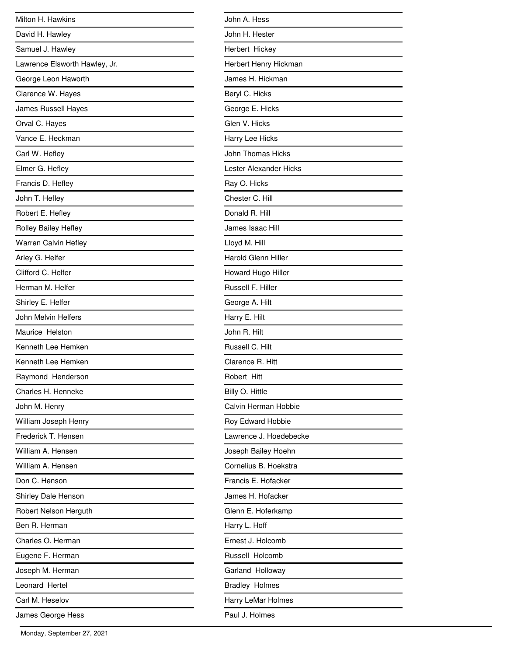| Milton H. Hawkins             |
|-------------------------------|
| David H. Hawley               |
| Samuel J. Hawley              |
| Lawrence Elsworth Hawley, Jr. |
| George Leon Haworth           |
| Clarence W. Hayes             |
| James Russell Hayes           |
| Orval C. Hayes                |
| Vance E. Heckman              |
| Carl W. Hefley                |
| Elmer G. Hefley               |
| Francis D. Hefley             |
| John T. Hefley                |
| Robert E. Hefley              |
| <b>Rolley Bailey Hefley</b>   |
| <b>Warren Calvin Hefley</b>   |
| Arley G. Helfer               |
| Clifford C. Helfer            |
| Herman M. Helfer              |
| Shirley E. Helfer             |
| John Melvin Helfers           |
| Maurice Helston               |
| Kenneth Lee Hemken            |
| Kenneth Lee Hemken            |
| Raymond Henderson             |
| Charles H. Henneke            |
| John M. Henry                 |
| William Joseph Henry          |
| Frederick T. Hensen           |
| William A. Hensen             |
| William A. Hensen             |
| Don C. Henson                 |
| Shirley Dale Henson           |
| Robert Nelson Herguth         |
| Ben R. Herman                 |
| Charles O. Herman             |
| Eugene F. Herman              |
| Joseph M. Herman              |
| Leonard Hertel                |
| Carl M. Heselov               |
| James George Hess             |

| John A. Hess               |
|----------------------------|
| John H. Hester             |
| Herbert Hickey             |
| Herbert Henry Hickman      |
| James H. Hickman           |
| Beryl C. Hicks             |
| George E. Hicks            |
| Glen V. Hicks              |
| Harry Lee Hicks            |
| John Thomas Hicks          |
| Lester Alexander Hicks     |
| Ray O. Hicks               |
| Chester C. Hill            |
| Donald R. Hill             |
| James Isaac Hill           |
| Lloyd M. Hill              |
| <b>Harold Glenn Hiller</b> |
| Howard Hugo Hiller         |
| Russell F. Hiller          |
| George A. Hilt             |
| Harry E. Hilt              |
| John R. Hilt               |
| Russell C. Hilt            |
| Clarence R. Hitt           |
| Robert Hitt                |
| Billy O. Hittle            |
| Calvin Herman Hobbie       |
| Roy Edward Hobbie          |
| Lawrence J. Hoedebecke     |
| Joseph Bailey Hoehn        |
| Cornelius B. Hoekstra      |
| Francis E. Hofacker        |
| James H. Hofacker          |
| Glenn E. Hoferkamp         |
| Harry L. Hoff              |
| Ernest J. Holcomb          |
| Russell Holcomb            |
| Garland Holloway           |
| <b>Bradley Holmes</b>      |
| Harry LeMar Holmes         |
| Paul J. Holmes             |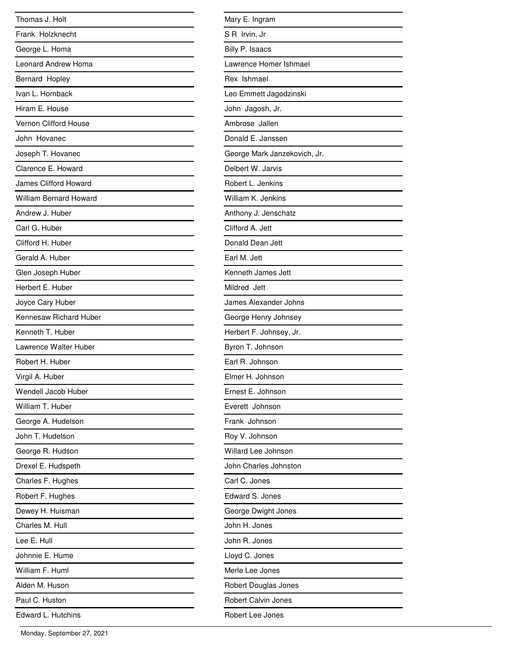| Thomas J. Holt                |
|-------------------------------|
| Frank Holzknecht              |
| George L. Homa                |
| <b>Leonard Andrew Homa</b>    |
| Bernard Hopley                |
| Ivan L. Hornback              |
| Hiram E. House                |
| <b>Vernon Clifford House</b>  |
| John Hovanec                  |
| Joseph T. Hovanec             |
| Clarence E. Howard            |
| <b>James Clifford Howard</b>  |
| <b>William Bernard Howard</b> |
| Andrew J. Huber               |
| Carl G. Huber                 |
| Clifford H. Huber             |
| Gerald A. Huber               |
| Glen Joseph Huber             |
| Herbert E. Huber              |
| Joyce Cary Huber              |
| Kennesaw Richard Huber        |
| Kenneth T. Huber              |
| Lawrence Walter Huber         |
| Robert H. Huber               |
| Virgil A. Huber               |
| Wendell Jacob Huber           |
| William T. Huber              |
| George A. Hudelson            |
| John T. Hudelson              |
| George R. Hudson              |
| Drexel E. Hudspeth            |
| Charles F. Hughes             |
| Robert F. Hughes              |
| Dewey H. Huisman              |
| Charles M. Hull               |
| Lee E. Hull                   |
| Johnnie E. Hume               |
| William F. Huml               |
| Alden M. Huson                |
| Paul C. Huston                |
| Edward L. Hutchins            |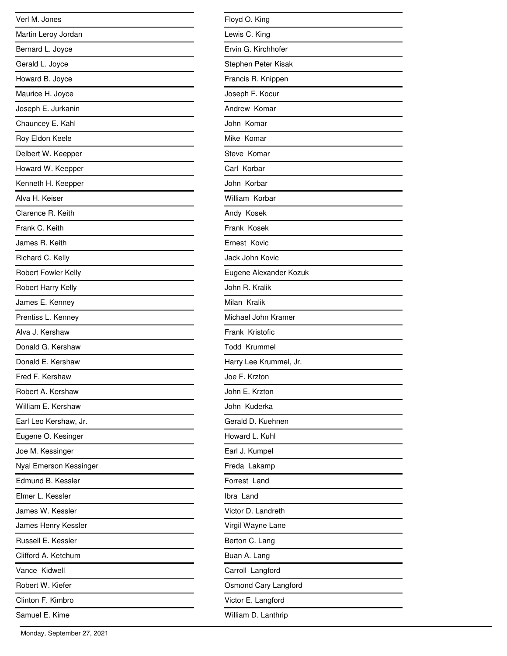| Verl M. Jones          |
|------------------------|
| Martin Leroy Jordan    |
| Bernard L. Joyce       |
| Gerald L. Joyce        |
| Howard B. Joyce        |
| Maurice H. Joyce       |
| Joseph E. Jurkanin     |
| Chauncey E. Kahl       |
| Roy Eldon Keele        |
| Delbert W. Keepper     |
| Howard W. Keepper      |
| Kenneth H. Keepper     |
| Alva H. Keiser         |
| Clarence R. Keith      |
| Frank C. Keith         |
| James R. Keith         |
| Richard C. Kelly       |
| Robert Fowler Kelly    |
| Robert Harry Kelly     |
| James E. Kenney        |
| Prentiss L. Kenney     |
| Alva J. Kershaw        |
| Donald G. Kershaw      |
| Donald E. Kershaw      |
| Fred F. Kershaw        |
| Robert A. Kershaw      |
| William E. Kershaw     |
| Earl Leo Kershaw, Jr.  |
| Eugene O. Kesinger     |
| Joe M. Kessinger       |
| Nyal Emerson Kessinger |
| Edmund B. Kessler      |
| Elmer L. Kessler       |
| James W. Kessler       |
| James Henry Kessler    |
| Russell E. Kessler     |
| Clifford A. Ketchum    |
| Vance Kidwell          |
| Robert W. Kiefer       |
| Clinton F. Kimbro      |
| Samuel E. Kime         |

| Floyd O. King          |
|------------------------|
| Lewis C. King          |
| Ervin G. Kirchhofer    |
| Stephen Peter Kisak    |
| Francis R. Knippen     |
| Joseph F. Kocur        |
| Andrew Komar           |
| John Komar             |
| Mike Komar             |
| Steve Komar            |
| Carl Korbar            |
| John Korbar            |
| William Korbar         |
| Andy Kosek             |
| Frank Kosek            |
| Ernest Kovic           |
| Jack John Kovic        |
| Eugene Alexander Kozuk |
| John R. Kralik         |
| Milan Kralik           |
| Michael John Kramer    |
| Frank Kristofic        |
| <b>Todd Krummel</b>    |
| Harry Lee Krummel, Jr. |
| Joe F. Krzton          |
| John E. Krzton         |
| John Kuderka           |
| Gerald D. Kuehnen      |
| Howard L. Kuhl         |
| Earl J. Kumpel         |
| Freda Lakamp           |
| Forrest Land           |
| Ibra Land              |
| Victor D. Landreth     |
| Virgil Wayne Lane      |
| Berton C. Lang         |
| Buan A. Lang           |
| Carroll Langford       |
| Osmond Cary Langford   |
| Victor E. Langford     |
| William D. Lanthrip    |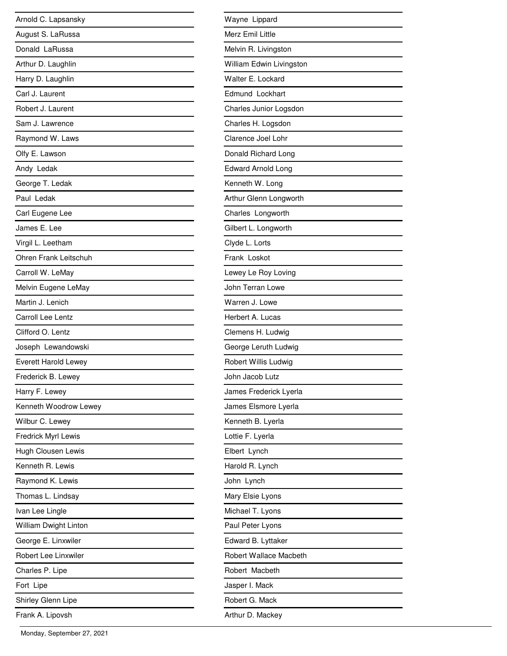| Arnold C. Lapsansky         |
|-----------------------------|
| August S. LaRussa           |
| Donald LaRussa              |
| Arthur D. Laughlin          |
| Harry D. Laughlin           |
| Carl J. Laurent             |
| Robert J. Laurent           |
| Sam J. Lawrence             |
| Raymond W. Laws             |
| Olfy E. Lawson              |
| Andy Ledak                  |
| George T. Ledak             |
| Paul Ledak                  |
| Carl Eugene Lee             |
| James E. Lee                |
| Virgil L. Leetham           |
| Ohren Frank Leitschuh       |
| Carroll W. LeMay            |
| Melvin Eugene LeMay         |
| Martin J. Lenich            |
| <b>Carroll Lee Lentz</b>    |
| Clifford O. Lentz           |
| Joseph Lewandowski          |
| <b>Everett Harold Lewey</b> |
| Frederick B. Lewey          |
| Harry F. Lewey              |
| Kenneth Woodrow Lewey       |
| Wilbur C. Lewey             |
| Fredrick Myrl Lewis         |
| Hugh Clousen Lewis          |
| Kenneth R. Lewis            |
| Raymond K. Lewis            |
| Thomas L. Lindsay           |
| Ivan Lee Lingle             |
| William Dwight Linton       |
| George E. Linxwiler         |
| Robert Lee Linxwiler        |
| Charles P. Lipe             |
| Fort Lipe                   |
| Shirley Glenn Lipe          |
| Frank A. Lipovsh            |

| Wayne Lippard                 |
|-------------------------------|
| Merz Emil Little              |
| Melvin R. Livingston          |
| William Edwin Livingston      |
| Walter E. Lockard             |
| Edmund Lockhart               |
| Charles Junior Logsdon        |
| Charles H. Logsdon            |
| Clarence Joel Lohr            |
| Donald Richard Long           |
| <b>Edward Arnold Long</b>     |
| Kenneth W. Long               |
| Arthur Glenn Longworth        |
| Charles Longworth             |
| Gilbert L. Longworth          |
| Clyde L. Lorts                |
| Frank Loskot                  |
| Lewey Le Roy Loving           |
| John Terran Lowe              |
| Warren J. Lowe                |
| Herbert A. Lucas              |
| Clemens H. Ludwig             |
| George Leruth Ludwig          |
| Robert Willis Ludwig          |
| John Jacob Lutz               |
| James Frederick Lyerla        |
| James Elsmore Lyerla          |
| Kenneth B. Lyerla             |
| Lottie F. Lyerla              |
| Elbert Lynch                  |
| Harold R. Lynch               |
| John Lynch                    |
| Mary Elsie Lyons              |
| Michael T. Lyons              |
| Paul Peter Lyons              |
| Edward B. Lyttaker            |
| <b>Robert Wallace Macbeth</b> |
| Robert Macbeth                |
| Jasper I. Mack                |
| Robert G. Mack                |
| Arthur D. Mackey              |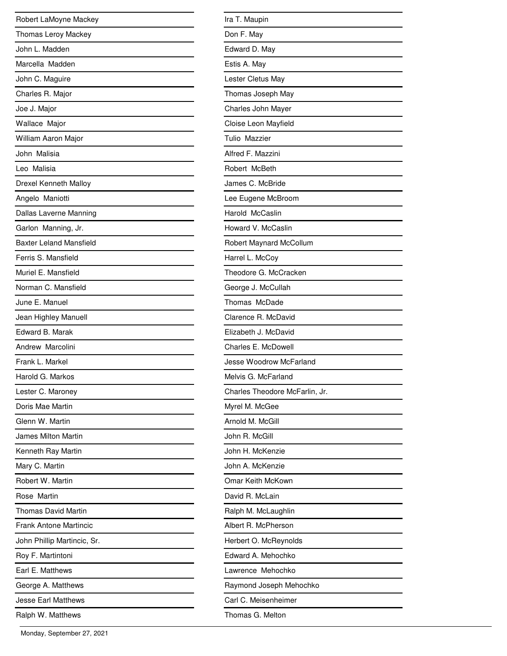| Robert LaMoyne Mackey          |
|--------------------------------|
| Thomas Leroy Mackey            |
| John L. Madden                 |
| Marcella Madden                |
| John C. Maguire                |
| Charles R. Major               |
| Joe J. Major                   |
| Wallace Major                  |
| William Aaron Major            |
| John Malisia                   |
| Leo Malisia                    |
| Drexel Kenneth Malloy          |
| Angelo Maniotti                |
| Dallas Laverne Manning         |
| Garlon Manning, Jr.            |
| <b>Baxter Leland Mansfield</b> |
| Ferris S. Mansfield            |
| Muriel E. Mansfield            |
| Norman C. Mansfield            |
| June E. Manuel                 |
| Jean Highley Manuell           |
| Edward B. Marak                |
| Andrew Marcolini               |
| Frank L. Markel                |
| Harold G. Markos               |
| Lester C. Maroney              |
| Doris Mae Martin               |
| Glenn W. Martin                |
| James Milton Martin            |
| Kenneth Ray Martin             |
| Mary C. Martin                 |
| Robert W. Martin               |
| Rose Martin                    |
| <b>Thomas David Martin</b>     |
| Frank Antone Martincic         |
| John Phillip Martincic, Sr.    |
| Roy F. Martintoni              |
| Earl E. Matthews               |
| George A. Matthews             |
| <b>Jesse Earl Matthews</b>     |
| Ralph W. Matthews              |

| Ira T. Maupin                  |
|--------------------------------|
| Don F. May                     |
| Edward D. May                  |
| Estis A. May                   |
| Lester Cletus May              |
| Thomas Joseph May              |
| Charles John Mayer             |
| Cloise Leon Mayfield           |
| Tulio Mazzier                  |
| Alfred F. Mazzini              |
| Robert McBeth                  |
| James C. McBride               |
| Lee Eugene McBroom             |
| Harold McCaslin                |
| Howard V. McCaslin             |
| Robert Maynard McCollum        |
| Harrel L. McCoy                |
| Theodore G. McCracken          |
| George J. McCullah             |
| Thomas McDade                  |
| Clarence R. McDavid            |
| Elizabeth J. McDavid           |
| Charles E. McDowell            |
| <b>Jesse Woodrow McFarland</b> |
| Melvis G. McFarland            |
| Charles Theodore McFarlin, Jr. |
| Myrel M. McGee                 |
| Arnold M. McGill               |
| John R. McGill                 |
| John H. McKenzie               |
| John A. McKenzie               |
| Omar Keith McKown              |
| David R. McLain                |
| Ralph M. McLaughlin            |
| Albert R. McPherson            |
| Herbert O. McReynolds          |
| Edward A. Mehochko             |
| Lawrence Mehochko              |
| Raymond Joseph Mehochko        |
| Carl C. Meisenheimer           |
| Thomas G. Melton               |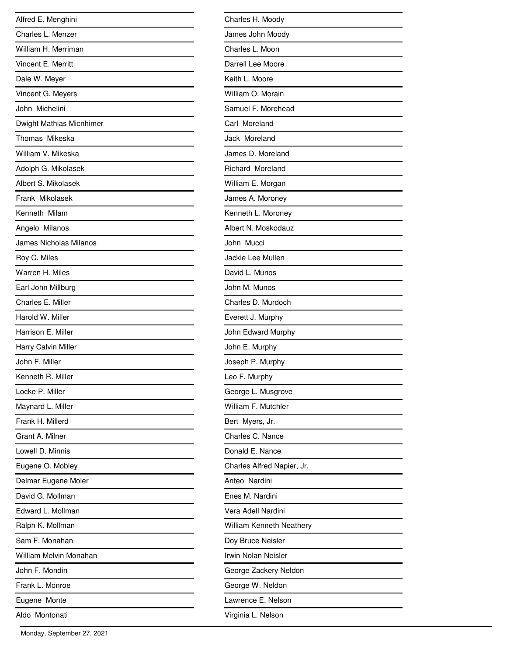| Alfred E. Menghini            |
|-------------------------------|
| Charles L. Menzer             |
| William H. Merriman           |
| Vincent E. Merritt            |
| Dale W. Meyer                 |
| Vincent G. Meyers             |
| John Michelini                |
| Dwight Mathias Micnhimer      |
| Thomas Mikeska                |
| William V. Mikeska            |
| Adolph G. Mikolasek           |
| Albert S. Mikolasek           |
| Frank Mikolasek               |
| Kenneth Milam                 |
| Angelo Milanos                |
| <b>James Nicholas Milanos</b> |
| Roy C. Miles                  |
| Warren H. Miles               |
| Earl John Millburg            |
| Charles E. Miller             |
| Harold W. Miller              |
| Harrison E. Miller            |
| Harry Calvin Miller           |
| John F. Miller                |
| Kenneth R. Miller             |
| Locke P. Miller               |
| Maynard L. Miller             |
| Frank H. Millerd              |
| Grant A. Milner               |
| Lowell D. Minnis              |
| Eugene O. Mobley              |
| Delmar Eugene Moler           |
| David G. Mollman              |
| Edward L. Mollman             |
| Ralph K. Mollman              |
| Sam F. Monahan                |
| William Melvin Monahan        |
| John F. Mondin                |
| Frank L. Monroe               |
| Eugene Monte                  |
| Aldo Montonati                |

| Charles H. Moody           |
|----------------------------|
| James John Moody           |
| Charles L. Moon            |
| Darrell Lee Moore          |
| Keith L. Moore             |
| William O. Morain          |
| Samuel F. Morehead         |
| Carl Moreland              |
| Jack Moreland              |
| James D. Moreland          |
| Richard Moreland           |
| William E. Morgan          |
| James A. Moroney           |
| Kenneth L. Moroney         |
| Albert N. Moskodauz        |
| John Mucci                 |
| Jackie Lee Mullen          |
| David L. Munos             |
| John M. Munos              |
| Charles D. Murdoch         |
| Everett J. Murphy          |
| John Edward Murphy         |
| John E. Murphy             |
| Joseph P. Murphy           |
| Leo F. Murphy              |
| George L. Musgrove         |
| William F. Mutchler        |
| Bert Myers, Jr.            |
| Charles C. Nance           |
| Donald E. Nance            |
| Charles Alfred Napier, Jr. |
| Anteo Nardini              |
| Enes M. Nardini            |
| Vera Adell Nardini         |
| William Kenneth Neathery   |
| Doy Bruce Neisler          |
| Irwin Nolan Neisler        |
| George Zackery Neldon      |
| George W. Neldon           |
| Lawrence E. Nelson         |
| Virginia L. Nelson         |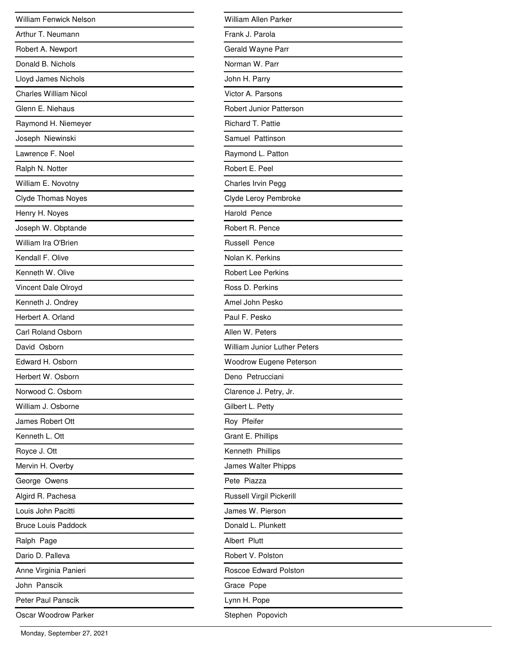| <b>William Fenwick Nelson</b> |
|-------------------------------|
| Arthur T. Neumann             |
| Robert A. Newport             |
| Donald B. Nichols             |
| Lloyd James Nichols           |
| <b>Charles William Nicol</b>  |
| Glenn E. Niehaus              |
| Raymond H. Niemeyer           |
| Joseph Niewinski              |
| Lawrence F. Noel              |
| Ralph N. Notter               |
| William E. Novotny            |
| <b>Clyde Thomas Noyes</b>     |
| Henry H. Noyes                |
| Joseph W. Obptande            |
| William Ira O'Brien           |
| Kendall F. Olive              |
| Kenneth W. Olive              |
| Vincent Dale Olroyd           |
| Kenneth J. Ondrey             |
| Herbert A. Orland             |
| <b>Carl Roland Osborn</b>     |
| David Osborn                  |
| Edward H. Osborn              |
| Herbert W. Osborn             |
| Norwood C. Osborn             |
| William J. Osborne            |
| James Robert Ott              |
| Kenneth L. Ott                |
| Royce J. Ott                  |
| Mervin H. Overby              |
| George Owens                  |
| Algird R. Pachesa             |
| Louis John Pacitti            |
| <b>Bruce Louis Paddock</b>    |
| Ralph Page                    |
| Dario D. Palleva              |
| Anne Virginia Panieri         |
| John Panscik                  |
| Peter Paul Panscik            |
| Oscar Woodrow Parker          |

| William Allen Parker                |
|-------------------------------------|
| Frank J. Parola                     |
| Gerald Wayne Parr                   |
| Norman W. Parr                      |
| John H. Parry                       |
| Victor A. Parsons                   |
| <b>Robert Junior Patterson</b>      |
| Richard T. Pattie                   |
| Samuel Pattinson                    |
| Raymond L. Patton                   |
| Robert E. Peel                      |
| Charles Irvin Pegg                  |
| Clyde Leroy Pembroke                |
| Harold Pence                        |
| Robert R. Pence                     |
| <b>Russell Pence</b>                |
| Nolan K. Perkins                    |
| <b>Robert Lee Perkins</b>           |
| Ross D. Perkins                     |
| Amel John Pesko                     |
| Paul F. Pesko                       |
| Allen W. Peters                     |
| <b>William Junior Luther Peters</b> |
| <b>Woodrow Eugene Peterson</b>      |
| Deno Petrucciani                    |
| Clarence J. Petry, Jr.              |
| Gilbert L. Petty                    |
| Roy Pfeifer                         |
| Grant E. Phillips                   |
| Kenneth Phillips                    |
| James Walter Phipps                 |
| Pete Piazza                         |
| Russell Virgil Pickerill            |
| James W. Pierson                    |
| Donald L. Plunkett                  |
| Albert Plutt                        |
| Robert V. Polston                   |
| Roscoe Edward Polston               |
| Grace Pope                          |
| Lynn H. Pope                        |
| Stephen Popovich                    |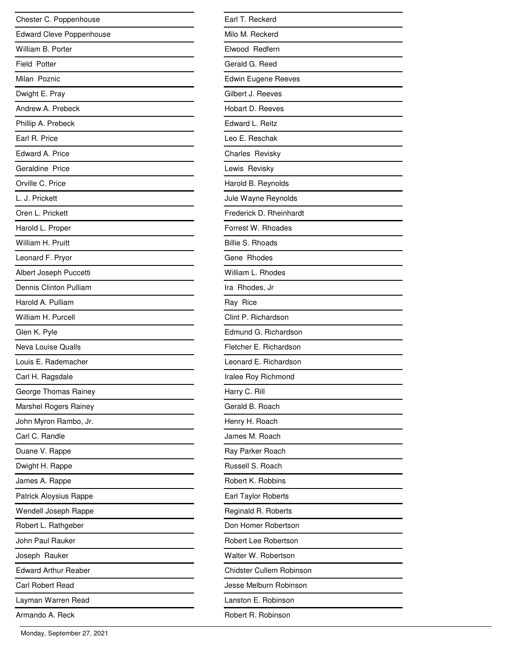| Chester C. Poppenhouse          |
|---------------------------------|
| <b>Edward Cleve Poppenhouse</b> |
| William B. Porter               |
| <b>Field Potter</b>             |
| Milan Poznic                    |
| Dwight E. Pray                  |
| Andrew A. Prebeck               |
| Phillip A. Prebeck              |
| Earl R. Price                   |
| Edward A. Price                 |
| Geraldine Price                 |
| Orville C. Price                |
| L. J. Prickett                  |
| Oren L. Prickett                |
| Harold L. Proper                |
| William H. Pruitt               |
| Leonard F. Pryor                |
| Albert Joseph Puccetti          |
| Dennis Clinton Pulliam          |
| Harold A. Pulliam               |
| William H. Purcell              |
| Glen K. Pyle                    |
| Neva Louise Qualls              |
| Louis E. Rademacher             |
| Carl H. Ragsdale                |
| George Thomas Rainey            |
| Marshel Rogers Rainey           |
| John Myron Rambo, Jr.           |
| Carl C. Randle                  |
| Duane V. Rappe                  |
| Dwight H. Rappe                 |
| James A. Rappe                  |
| Patrick Aloysius Rappe          |
| Wendell Joseph Rappe            |
| Robert L. Rathgeber             |
| John Paul Rauker                |
| Joseph Rauker                   |
| <b>Edward Arthur Reaber</b>     |
| Carl Robert Read                |
| Layman Warren Read              |
| Armando A. Reck                 |

| Earl T. Reckerd            |
|----------------------------|
| Milo M. Reckerd            |
| Elwood Redfern             |
| Gerald G. Reed             |
| <b>Edwin Eugene Reeves</b> |
| Gilbert J. Reeves          |
| Hobart D. Reeves           |
| Edward L. Reitz            |
| Leo E. Reschak             |
| Charles Revisky            |
| Lewis Revisky              |
| Harold B. Reynolds         |
| Jule Wayne Reynolds        |
| Frederick D. Rheinhardt    |
| Forrest W. Rhoades         |
| <b>Billie S. Rhoads</b>    |
| Gene Rhodes                |
| William L. Rhodes          |
| Ira Rhodes, Jr             |
| Ray Rice                   |
| Clint P. Richardson        |
| Edmund G. Richardson       |
| Fletcher E. Richardson     |
| Leonard E. Richardson      |
| Iralee Roy Richmond        |
| Harry C. Rill              |
| Gerald B. Roach            |
| Henry H. Roach             |
| James M. Roach             |
| Ray Parker Roach           |
| Russell S. Roach           |
| Robert K. Robbins          |
| Earl Taylor Roberts        |
| Reginald R. Roberts        |
| Don Homer Robertson        |
| Robert Lee Robertson       |
| Walter W. Robertson        |
| Chidster Cullem Robinson   |
| Jesse Melburn Robinson     |
| Lanston E. Robinson        |
| Robert R. Robinson         |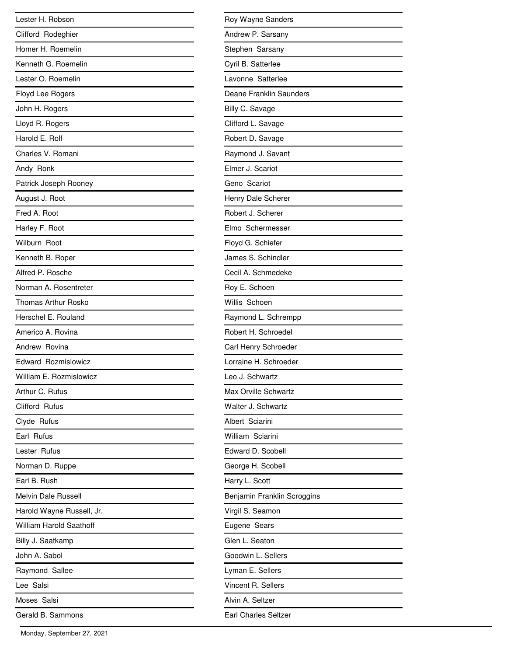| Lester H. Robson               |
|--------------------------------|
| Clifford Rodeghier             |
| Homer H. Roemelin              |
| Kenneth G. Roemelin            |
| Lester O. Roemelin             |
| Floyd Lee Rogers               |
| John H. Rogers                 |
| Lloyd R. Rogers                |
| Harold E. Rolf                 |
| Charles V. Romani              |
| Andy Ronk                      |
| Patrick Joseph Rooney          |
| August J. Root                 |
| Fred A. Root                   |
| Harley F. Root                 |
| Wilburn Root                   |
| Kenneth B. Roper               |
| Alfred P. Rosche               |
| Norman A. Rosentreter          |
| Thomas Arthur Rosko            |
| Herschel E. Rouland            |
| Americo A. Rovina              |
| Andrew Rovina                  |
| <b>Edward Rozmislowicz</b>     |
| William E. Rozmislowicz        |
| Arthur C. Rufus                |
| Clifford Rufus                 |
| Clyde Rufus                    |
| Earl Rufus                     |
| Lester Rufus                   |
| Norman D. Ruppe                |
| Earl B. Rush                   |
| <b>Melvin Dale Russell</b>     |
| Harold Wayne Russell, Jr.      |
| <b>William Harold Saathoff</b> |
| Billy J. Saatkamp              |
| John A. Sabol                  |
| Raymond Sallee                 |
| Lee Salsi                      |
| Moses Salsi                    |
| Gerald B. Sammons              |

| Roy Wayne Sanders           |
|-----------------------------|
| Andrew P. Sarsany           |
| Stephen Sarsany             |
| Cyril B. Satterlee          |
| Lavonne Satterlee           |
| Deane Franklin Saunders     |
| Billy C. Savage             |
| Clifford L. Savage          |
| Robert D. Savage            |
| Raymond J. Savant           |
| Elmer J. Scariot            |
| Geno Scariot                |
| Henry Dale Scherer          |
| Robert J. Scherer           |
| Elmo Schermesser            |
| Floyd G. Schiefer           |
| James S. Schindler          |
| Cecil A. Schmedeke          |
| Roy E. Schoen               |
| Willis Schoen               |
| Raymond L. Schrempp         |
| Robert H. Schroedel         |
| Carl Henry Schroeder        |
| Lorraine H. Schroeder       |
| Leo J. Schwartz             |
| <b>Max Orville Schwartz</b> |
| Walter J. Schwartz          |
| Albert Sciarini             |
| William Sciarini            |
| Edward D. Scobell           |
| George H. Scobell           |
| Harry L. Scott              |
| Benjamin Franklin Scroggins |
| Virgil S. Seamon            |
| Eugene Sears                |
| Glen L. Seaton              |
| Goodwin L. Sellers          |
| Lyman E. Sellers            |
| Vincent R. Sellers          |
| Alvin A. Seltzer            |
| Earl Charles Seltzer        |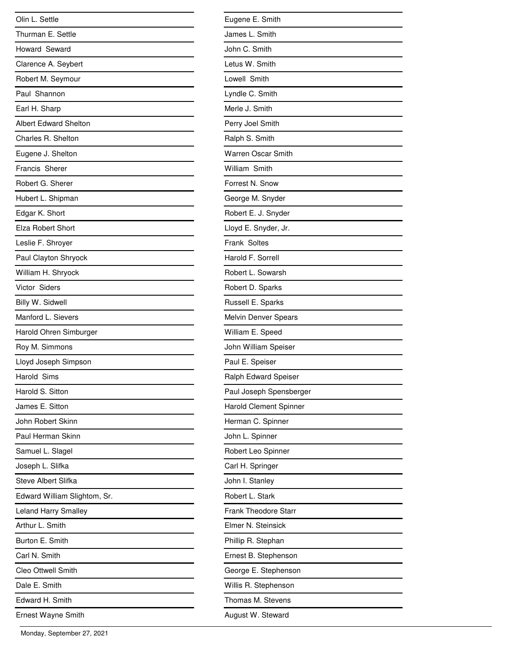| Olin L. Settle               |
|------------------------------|
| Thurman E. Settle            |
| Howard Seward                |
| Clarence A. Seybert          |
| Robert M. Seymour            |
| Paul Shannon                 |
| Earl H. Sharp                |
| <b>Albert Edward Shelton</b> |
| Charles R. Shelton           |
| Eugene J. Shelton            |
| Francis Sherer               |
| Robert G. Sherer             |
| Hubert L. Shipman            |
| Edgar K. Short               |
| Elza Robert Short            |
| Leslie F. Shroyer            |
| Paul Clayton Shryock         |
| William H. Shryock           |
| Victor Siders                |
| Billy W. Sidwell             |
| Manford L. Sievers           |
| Harold Ohren Simburger       |
| Roy M. Simmons               |
| Lloyd Joseph Simpson         |
| Harold Sims                  |
| Harold S. Sitton             |
| James E. Sitton              |
| John Robert Skinn            |
| Paul Herman Skinn            |
| Samuel L. Slagel             |
| Joseph L. Slifka             |
| <b>Steve Albert Slifka</b>   |
| Edward William Slightom, Sr. |
| <b>Leland Harry Smalley</b>  |
| Arthur L. Smith              |
| Burton E. Smith              |
| Carl N. Smith                |
| <b>Cleo Ottwell Smith</b>    |
| Dale E. Smith                |
| Edward H. Smith              |
| <b>Ernest Wayne Smith</b>    |

| Eugene E. Smith             |
|-----------------------------|
| James L. Smith              |
| John C. Smith               |
| Letus W. Smith              |
| Lowell Smith                |
| Lyndle C. Smith             |
| Merle J. Smith              |
| Perry Joel Smith            |
| Ralph S. Smith              |
| <b>Warren Oscar Smith</b>   |
| William Smith               |
| Forrest N. Snow             |
| George M. Snyder            |
| Robert E. J. Snyder         |
| Lloyd E. Snyder, Jr.        |
| Frank Soltes                |
| Harold F. Sorrell           |
| Robert L. Sowarsh           |
| Robert D. Sparks            |
| Russell E. Sparks           |
| Melvin Denver Spears        |
| William E. Speed            |
| John William Speiser        |
| Paul E. Speiser             |
| Ralph Edward Speiser        |
| Paul Joseph Spensberger     |
| Harold Clement Spinner      |
| Herman C. Spinner           |
| John L. Spinner             |
| Robert Leo Spinner          |
| Carl H. Springer            |
| John I. Stanley             |
| Robert L. Stark             |
| <b>Frank Theodore Starr</b> |
| Elmer N. Steinsick          |
| Phillip R. Stephan          |
| Ernest B. Stephenson        |
| George E. Stephenson        |
| Willis R. Stephenson        |
| Thomas M. Stevens           |
| August W. Steward           |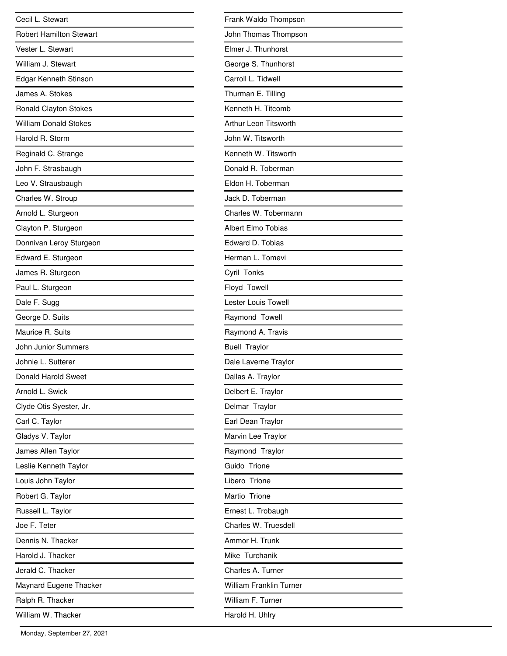| Cecil L. Stewart               |
|--------------------------------|
| <b>Robert Hamilton Stewart</b> |
| Vester L. Stewart              |
| William J. Stewart             |
| Edgar Kenneth Stinson          |
| James A. Stokes                |
| Ronald Clayton Stokes          |
| <b>William Donald Stokes</b>   |
| Harold R. Storm                |
| Reginald C. Strange            |
| John F. Strasbaugh             |
| Leo V. Strausbaugh             |
| Charles W. Stroup              |
| Arnold L. Sturgeon             |
| Clayton P. Sturgeon            |
| Donnivan Leroy Sturgeon        |
| Edward E. Sturgeon             |
| James R. Sturgeon              |
| Paul L. Sturgeon               |
| Dale F. Sugg                   |
| George D. Suits                |
| Maurice R. Suits               |
| John Junior Summers            |
| Johnie L. Sutterer             |
| Donald Harold Sweet            |
| Arnold L. Swick                |
| Clyde Otis Syester, Jr.        |
| Carl C. Taylor                 |
| Gladys V. Taylor               |
| James Allen Taylor             |
| Leslie Kenneth Taylor          |
| Louis John Taylor              |
| Robert G. Taylor               |
| Russell L. Taylor              |
| Joe F. Teter                   |
| Dennis N. Thacker              |
| Harold J. Thacker              |
| Jerald C. Thacker              |
| Maynard Eugene Thacker         |
| Ralph R. Thacker               |
| William W. Thacker             |

.

| Frank Waldo Thompson           |
|--------------------------------|
| John Thomas Thompson           |
| Elmer J. Thunhorst             |
| George S. Thunhorst            |
| Carroll L. Tidwell             |
| Thurman E. Tilling             |
| Kenneth H. Titcomb             |
| Arthur Leon Titsworth          |
| John W. Titsworth              |
| Kenneth W. Titsworth           |
| Donald R. Toberman             |
| Eldon H. Toberman              |
| Jack D. Toberman               |
| Charles W. Tobermann           |
| Albert Elmo Tobias             |
| Edward D. Tobias               |
| Herman L. Tomevi               |
| Cyril Tonks                    |
| Floyd Towell                   |
| Lester Louis Towell            |
| Raymond Towell                 |
| Raymond A. Travis              |
| <b>Buell Traylor</b>           |
| Dale Laverne Traylor           |
| Dallas A. Traylor              |
| Delbert E. Traylor             |
| Delmar Traylor                 |
| Earl Dean Traylor              |
| Marvin Lee Traylor             |
| Raymond Traylor                |
| Guido Trione                   |
| Libero Trione                  |
| Martio Trione                  |
| Ernest L. Trobaugh             |
| Charles W. Truesdell           |
| Ammor H. Trunk                 |
| Mike Turchanik                 |
| Charles A. Turner              |
| <b>William Franklin Turner</b> |
| William F. Turner              |
| Harold H. Uhlry                |
|                                |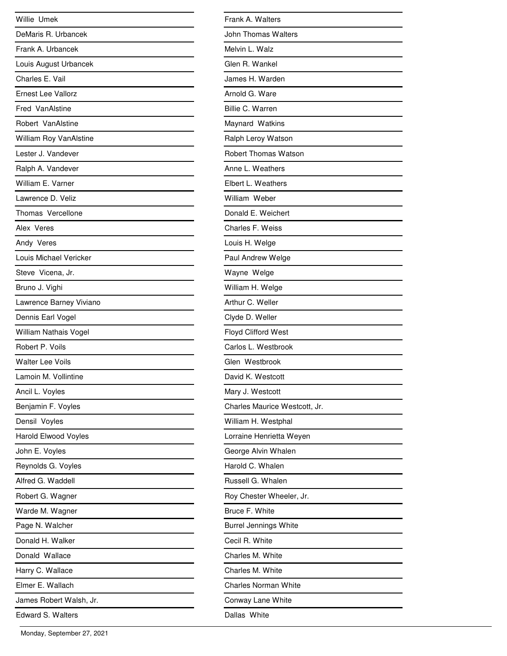| Willie Umek                 |
|-----------------------------|
| DeMaris R. Urbancek         |
| Frank A. Urbancek           |
| Louis August Urbancek       |
| Charles E. Vail             |
| <b>Ernest Lee Vallorz</b>   |
| Fred VanAlstine             |
| Robert VanAlstine           |
| William Roy VanAlstine      |
| Lester J. Vandever          |
| Ralph A. Vandever           |
| William E. Varner           |
| Lawrence D. Veliz           |
| Thomas Vercellone           |
| Alex Veres                  |
| Andy Veres                  |
| Louis Michael Vericker      |
| Steve Vicena, Jr.           |
| Bruno J. Vighi              |
| Lawrence Barney Viviano     |
| Dennis Earl Vogel           |
| William Nathais Vogel       |
| Robert P. Voils             |
| <b>Walter Lee Voils</b>     |
| Lamoin M. Vollintine        |
| Ancil L. Voyles             |
| Benjamin F. Voyles          |
| Densil Voyles               |
| <b>Harold Elwood Voyles</b> |
| John E. Voyles              |
| Reynolds G. Voyles          |
| Alfred G. Waddell           |
| Robert G. Wagner            |
| Warde M. Wagner             |
| Page N. Walcher             |
| Donald H. Walker            |
| Donald Wallace              |
| Harry C. Wallace            |
| Elmer E. Wallach            |
| James Robert Walsh, Jr.     |
| <b>Edward S. Walters</b>    |

| Frank A. Walters              |
|-------------------------------|
| John Thomas Walters           |
| Melvin L. Walz                |
| Glen R. Wankel                |
| James H. Warden               |
| Arnold G. Ware                |
| Billie C. Warren              |
| Maynard Watkins               |
| Ralph Leroy Watson            |
| Robert Thomas Watson          |
| Anne L. Weathers              |
| Elbert L. Weathers            |
| William Weber                 |
| Donald E. Weichert            |
| Charles F. Weiss              |
| Louis H. Welge                |
| Paul Andrew Welge             |
| Wayne Welge                   |
| William H. Welge              |
| Arthur C. Weller              |
| Clyde D. Weller               |
| <b>Floyd Clifford West</b>    |
| Carlos L. Westbrook           |
| Glen Westbrook                |
| David K. Westcott             |
| Mary J. Westcott              |
| Charles Maurice Westcott, Jr. |
| William H. Westphal           |
| Lorraine Henrietta Weyen      |
| George Alvin Whalen           |
| Harold C. Whalen              |
| Russell G. Whalen             |
| Roy Chester Wheeler, Jr.      |
| Bruce F. White                |
| <b>Burrel Jennings White</b>  |
| Cecil R. White                |
| Charles M. White              |
| Charles M. White              |
| Charles Norman White          |
| Conway Lane White             |
| Dallas White                  |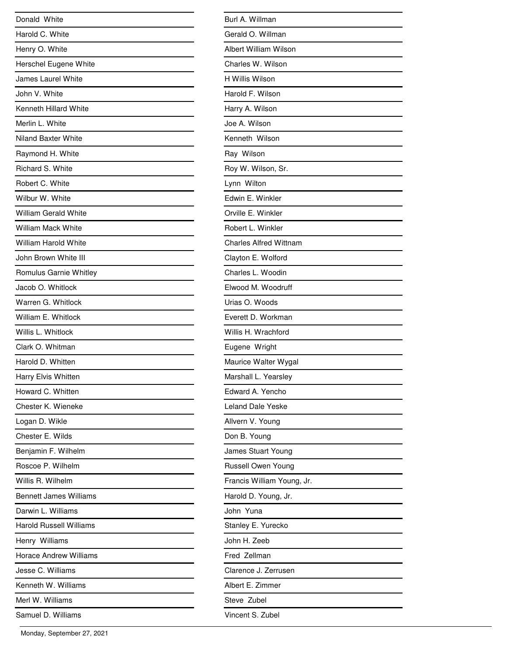| Donald White                   |
|--------------------------------|
| Harold C. White                |
| Henry O. White                 |
| Herschel Eugene White          |
| <b>James Laurel White</b>      |
| John V. White                  |
| Kenneth Hillard White          |
| Merlin L. White                |
| <b>Niland Baxter White</b>     |
| Raymond H. White               |
| Richard S. White               |
| Robert C. White                |
| Wilbur W. White                |
| <b>William Gerald White</b>    |
| <b>William Mack White</b>      |
| <b>William Harold White</b>    |
| John Brown White III           |
| Romulus Garnie Whitley         |
| Jacob O. Whitlock              |
| Warren G. Whitlock             |
| William E. Whitlock            |
| Willis L. Whitlock             |
| Clark O. Whitman               |
| Harold D. Whitten              |
| Harry Elvis Whitten            |
| Howard C. Whitten              |
| Chester K. Wieneke             |
| Logan D. Wikle                 |
| Chester E. Wilds               |
| Benjamin F. Wilhelm            |
| Roscoe P. Wilhelm              |
| Willis R. Wilhelm              |
| <b>Bennett James Williams</b>  |
| Darwin L. Williams             |
| <b>Harold Russell Williams</b> |
| Henry Williams                 |
| <b>Horace Andrew Williams</b>  |
| Jesse C. Williams              |
| Kenneth W. Williams            |
| Merl W. Williams               |
| Samuel D. Williams             |

| Burl A. Willman               |
|-------------------------------|
| Gerald O. Willman             |
| Albert William Wilson         |
| Charles W. Wilson             |
| H Willis Wilson               |
| Harold F. Wilson              |
| Harry A. Wilson               |
| Joe A. Wilson                 |
| Kenneth Wilson                |
| Ray Wilson                    |
| Roy W. Wilson, Sr.            |
| Lynn Wilton                   |
| Edwin E. Winkler              |
| Orville E. Winkler            |
| Robert L. Winkler             |
| <b>Charles Alfred Wittnam</b> |
| Clayton E. Wolford            |
| Charles L. Woodin             |
| Elwood M. Woodruff            |
| Urias O. Woods                |
| Everett D. Workman            |
| Willis H. Wrachford           |
| Eugene Wright                 |
| Maurice Walter Wygal          |
| Marshall L. Yearsley          |
| Edward A. Yencho              |
| Leland Dale Yeske             |
| Allvern V. Young              |
| Don B. Young                  |
| James Stuart Young            |
| Russell Owen Young            |
| Francis William Young, Jr.    |
| Harold D. Young, Jr.          |
| John Yuna                     |
| Stanley E. Yurecko            |
| John H. Zeeb                  |
| Fred Zellman                  |
| Clarence J. Zerrusen          |
| Albert E. Zimmer              |
| Steve Zubel                   |
| Vincent S. Zubel              |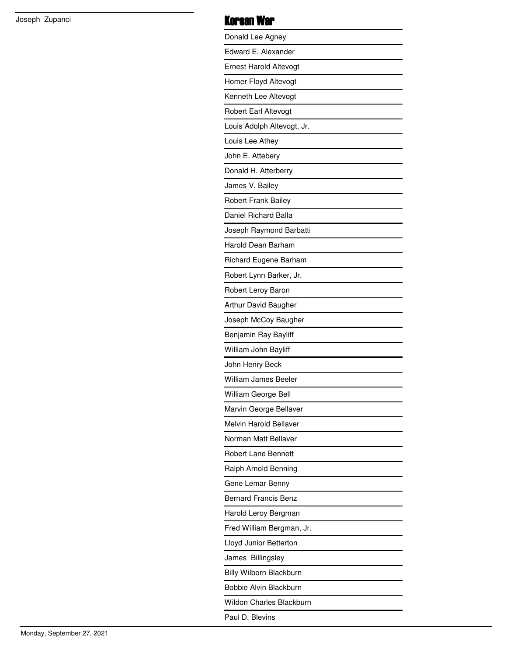## Joseph Zupanci **Korean War**

| Donald Lee Agney                |
|---------------------------------|
| Edward E. Alexander             |
| <b>Ernest Harold Altevogt</b>   |
| Homer Floyd Altevogt            |
| Kenneth Lee Altevogt            |
| Robert Earl Altevogt            |
| Louis Adolph Altevogt, Jr.      |
| Louis Lee Athey                 |
| John E. Attebery                |
| Donald H. Atterberry            |
| James V. Bailey                 |
| <b>Robert Frank Bailey</b>      |
| Daniel Richard Balla            |
| Joseph Raymond Barbatti         |
| Harold Dean Barham              |
| Richard Eugene Barham           |
| Robert Lynn Barker, Jr.         |
| Robert Leroy Baron              |
| Arthur David Baugher            |
| Joseph McCoy Baugher            |
| Benjamin Ray Bayliff            |
| William John Bayliff            |
| John Henry Beck                 |
| William James Beeler            |
| William George Bell             |
| Marvin George Bellaver          |
| Melvin Harold Bellaver          |
| Norman Matt Bellaver            |
| <b>Robert Lane Bennett</b>      |
| Ralph Arnold Benning            |
| Gene Lemar Benny                |
| <b>Bernard Francis Benz</b>     |
| Harold Leroy Bergman            |
| Fred William Bergman, Jr.       |
| Lloyd Junior Betterton          |
| James Billingsley               |
| Billy Wilborn Blackburn         |
| Bobbie Alvin Blackburn          |
| <b>Wildon Charles Blackburn</b> |
| Paul D. Blevins                 |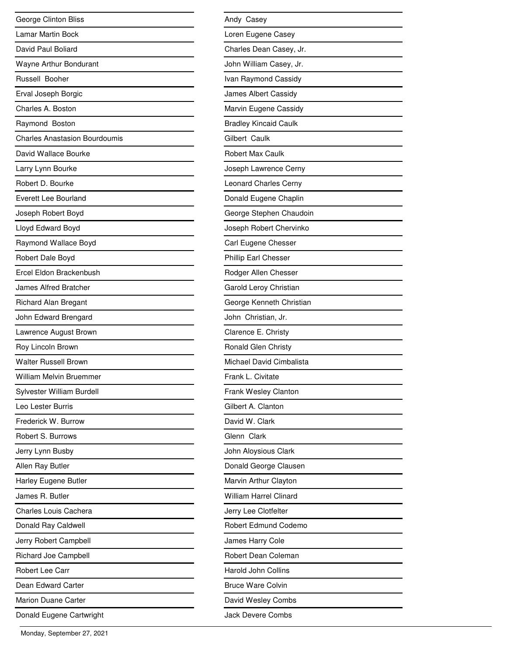| George Clinton Bliss                 |
|--------------------------------------|
| Lamar Martin Bock                    |
| David Paul Boliard                   |
| Wayne Arthur Bondurant               |
| Russell Booher                       |
| Erval Joseph Borgic                  |
| Charles A. Boston                    |
| Raymond Boston                       |
| <b>Charles Anastasion Bourdoumis</b> |
| David Wallace Bourke                 |
| Larry Lynn Bourke                    |
| Robert D. Bourke                     |
| Everett Lee Bourland                 |
| Joseph Robert Boyd                   |
| Lloyd Edward Boyd                    |
| Raymond Wallace Boyd                 |
| Robert Dale Boyd                     |
| Ercel Eldon Brackenbush              |
| James Alfred Bratcher                |
| <b>Richard Alan Bregant</b>          |
| John Edward Brengard                 |
| Lawrence August Brown                |
| Roy Lincoln Brown                    |
| <b>Walter Russell Brown</b>          |
| William Melvin Bruemmer              |
| Sylvester William Burdell            |
| Leo Lester Burris                    |
| Frederick W. Burrow                  |
| Robert S. Burrows                    |
| Jerry Lynn Busby                     |
| Allen Ray Butler                     |
| Harley Eugene Butler                 |
| James R. Butler                      |
| <b>Charles Louis Cachera</b>         |
| Donald Ray Caldwell                  |
| Jerry Robert Campbell                |
| Richard Joe Campbell                 |
| Robert Lee Carr                      |
| Dean Edward Carter                   |
| <b>Marion Duane Carter</b>           |
| Donald Eugene Cartwright             |

| Andy Casey                    |
|-------------------------------|
| Loren Eugene Casey            |
| Charles Dean Casey, Jr.       |
| John William Casey, Jr.       |
| Ivan Raymond Cassidy          |
| James Albert Cassidy          |
| Marvin Eugene Cassidy         |
| <b>Bradley Kincaid Caulk</b>  |
| Gilbert Caulk                 |
| <b>Robert Max Caulk</b>       |
| Joseph Lawrence Cerny         |
| <b>Leonard Charles Cerny</b>  |
| Donald Eugene Chaplin         |
| George Stephen Chaudoin       |
| Joseph Robert Chervinko       |
| Carl Eugene Chesser           |
| Phillip Earl Chesser          |
| Rodger Allen Chesser          |
| Garold Leroy Christian        |
| George Kenneth Christian      |
| John Christian, Jr.           |
| Clarence E. Christy           |
| Ronald Glen Christy           |
| Michael David Cimbalista      |
| Frank L. Civitate             |
| Frank Wesley Clanton          |
| Gilbert A. Clanton            |
| David W. Clark                |
| Glenn Clark                   |
| John Aloysious Clark          |
| Donald George Clausen         |
| Marvin Arthur Clayton         |
| <b>William Harrel Clinard</b> |
| Jerry Lee Clotfelter          |
| Robert Edmund Codemo          |
| James Harry Cole              |
| Robert Dean Coleman           |
| Harold John Collins           |
| <b>Bruce Ware Colvin</b>      |
| David Wesley Combs            |
| <b>Jack Devere Combs</b>      |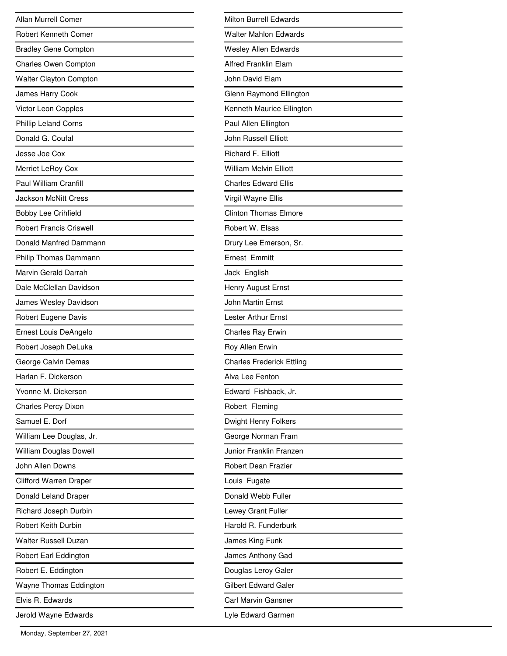| <b>Allan Murrell Comer</b>     |
|--------------------------------|
| Robert Kenneth Comer           |
| <b>Bradley Gene Compton</b>    |
| Charles Owen Compton           |
| <b>Walter Clayton Compton</b>  |
| James Harry Cook               |
| Victor Leon Copples            |
| <b>Phillip Leland Corns</b>    |
| Donald G. Coufal               |
| Jesse Joe Cox                  |
| Merriet LeRoy Cox              |
| Paul William Cranfill          |
| <b>Jackson McNitt Cress</b>    |
| <b>Bobby Lee Crihfield</b>     |
| <b>Robert Francis Criswell</b> |
| Donald Manfred Dammann         |
| Philip Thomas Dammann          |
| Marvin Gerald Darrah           |
| Dale McClellan Davidson        |
| James Wesley Davidson          |
| Robert Eugene Davis            |
| Ernest Louis DeAngelo          |
| Robert Joseph DeLuka           |
| George Calvin Demas            |
| Harlan F. Dickerson            |
| Yvonne M. Dickerson            |
| <b>Charles Percy Dixon</b>     |
| Samuel E. Dorf                 |
| William Lee Douglas, Jr.       |
| William Douglas Dowell         |
| John Allen Downs               |
| <b>Clifford Warren Draper</b>  |
| Donald Leland Draper           |
| Richard Joseph Durbin          |
| <b>Robert Keith Durbin</b>     |
| <b>Walter Russell Duzan</b>    |
| Robert Earl Eddington          |
| Robert E. Eddington            |
| Wayne Thomas Eddington         |
| Elvis R. Edwards               |
| Jerold Wayne Edwards           |

| Milton Burrell Edwards           |
|----------------------------------|
| <b>Walter Mahlon Edwards</b>     |
| <b>Wesley Allen Edwards</b>      |
| <b>Alfred Franklin Elam</b>      |
| John David Elam                  |
| Glenn Raymond Ellington          |
| Kenneth Maurice Ellington        |
| Paul Allen Ellington             |
| John Russell Elliott             |
| Richard F. Elliott               |
| <b>William Melvin Elliott</b>    |
| <b>Charles Edward Ellis</b>      |
| Virgil Wayne Ellis               |
| <b>Clinton Thomas Elmore</b>     |
| Robert W. Elsas                  |
| Drury Lee Emerson, Sr.           |
| <b>Ernest Emmitt</b>             |
| Jack English                     |
| Henry August Ernst               |
| John Martin Ernst                |
| Lester Arthur Ernst              |
| Charles Ray Erwin                |
| Roy Allen Erwin                  |
| <b>Charles Frederick Ettling</b> |
| Alva Lee Fenton                  |
| Edward Fishback, Jr.             |
| Robert Fleming                   |
| Dwight Henry Folkers             |
| George Norman Fram               |
| Junior Franklin Franzen          |
| Robert Dean Frazier              |
| Louis Fugate                     |
| Donald Webb Fuller               |
| Lewey Grant Fuller               |
| Harold R. Funderburk             |
| James King Funk                  |
| James Anthony Gad                |
| Douglas Leroy Galer              |
| Gilbert Edward Galer             |
| Carl Marvin Gansner              |
| Lyle Edward Garmen               |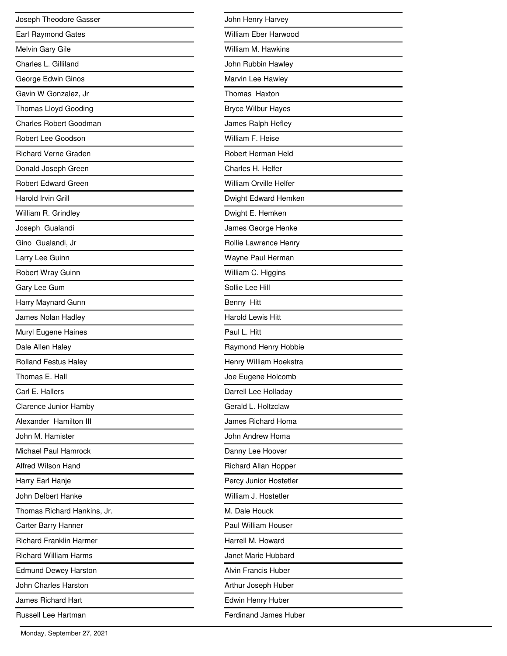| Joseph Theodore Gasser         |
|--------------------------------|
| Earl Raymond Gates             |
| Melvin Gary Gile               |
| Charles L. Gilliland           |
| George Edwin Ginos             |
| Gavin W Gonzalez, Jr           |
| Thomas Lloyd Gooding           |
| Charles Robert Goodman         |
| Robert Lee Goodson             |
| <b>Richard Verne Graden</b>    |
| Donald Joseph Green            |
| <b>Robert Edward Green</b>     |
| Harold Irvin Grill             |
| William R. Grindley            |
| Joseph Gualandi                |
| Gino Gualandi, Jr              |
| Larry Lee Guinn                |
| Robert Wray Guinn              |
| Gary Lee Gum                   |
| Harry Maynard Gunn             |
| James Nolan Hadley             |
| Muryl Eugene Haines            |
| Dale Allen Haley               |
| <b>Rolland Festus Haley</b>    |
| Thomas E. Hall                 |
| Carl E. Hallers                |
| <b>Clarence Junior Hamby</b>   |
| Alexander Hamilton III         |
| John M. Hamister               |
| Michael Paul Hamrock           |
| Alfred Wilson Hand             |
| Harry Earl Hanje               |
| John Delbert Hanke             |
| Thomas Richard Hankins, Jr.    |
| Carter Barry Hanner            |
| <b>Richard Franklin Harmer</b> |
| <b>Richard William Harms</b>   |
| <b>Edmund Dewey Harston</b>    |
| John Charles Harston           |
| James Richard Hart             |
| Russell Lee Hartman            |

| John Henry Harvey             |
|-------------------------------|
| William Eber Harwood          |
| William M. Hawkins            |
| John Rubbin Hawley            |
| Marvin Lee Hawley             |
| Thomas Haxton                 |
| <b>Bryce Wilbur Hayes</b>     |
| James Ralph Hefley            |
| William F. Heise              |
| Robert Herman Held            |
| Charles H. Helfer             |
| <b>William Orville Helfer</b> |
| Dwight Edward Hemken          |
| Dwight E. Hemken              |
| James George Henke            |
| Rollie Lawrence Henry         |
| Wayne Paul Herman             |
| William C. Higgins            |
| Sollie Lee Hill               |
| Benny Hitt                    |
| <b>Harold Lewis Hitt</b>      |
| Paul L. Hitt                  |
| Raymond Henry Hobbie          |
| Henry William Hoekstra        |
| Joe Eugene Holcomb            |
| Darrell Lee Holladay          |
| Gerald L. Holtzclaw           |
| James Richard Homa            |
| John Andrew Homa              |
| Danny Lee Hoover              |
| Richard Allan Hopper          |
| Percy Junior Hostetler        |
| William J. Hostetler          |
| M. Dale Houck                 |
| Paul William Houser           |
| Harrell M. Howard             |
| Janet Marie Hubbard           |
| <b>Alvin Francis Huber</b>    |
| Arthur Joseph Huber           |
| Edwin Henry Huber             |
| <b>Ferdinand James Huber</b>  |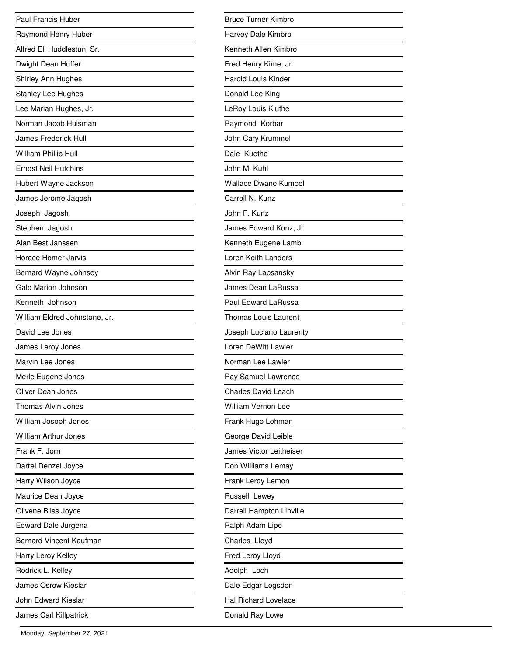| Paul Francis Huber             |
|--------------------------------|
| Raymond Henry Huber            |
| Alfred Eli Huddlestun, Sr.     |
| Dwight Dean Huffer             |
| Shirley Ann Hughes             |
| <b>Stanley Lee Hughes</b>      |
| Lee Marian Hughes, Jr.         |
| Norman Jacob Huisman           |
| <b>James Frederick Hull</b>    |
| William Phillip Hull           |
| <b>Ernest Neil Hutchins</b>    |
| Hubert Wayne Jackson           |
| James Jerome Jagosh            |
| Joseph Jagosh                  |
| Stephen Jagosh                 |
| Alan Best Janssen              |
| Horace Homer Jarvis            |
| Bernard Wayne Johnsey          |
| Gale Marion Johnson            |
| Kenneth Johnson                |
| William Eldred Johnstone, Jr.  |
| David Lee Jones                |
| James Leroy Jones              |
| Marvin Lee Jones               |
| Merle Eugene Jones             |
| Oliver Dean Jones              |
| Thomas Alvin Jones             |
| William Joseph Jones           |
| <b>William Arthur Jones</b>    |
| Frank F. Jorn                  |
| Darrel Denzel Joyce            |
| Harry Wilson Joyce             |
| Maurice Dean Joyce             |
| Olivene Bliss Joyce            |
| Edward Dale Jurgena            |
| <b>Bernard Vincent Kaufman</b> |
| Harry Leroy Kelley             |
| Rodrick L. Kelley              |
| James Osrow Kieslar            |
| John Edward Kieslar            |
| James Carl Killpatrick         |

| <b>Bruce Turner Kimbro</b>  |
|-----------------------------|
| Harvey Dale Kimbro          |
| Kenneth Allen Kimbro        |
| Fred Henry Kime, Jr.        |
| <b>Harold Louis Kinder</b>  |
| Donald Lee King             |
| LeRoy Louis Kluthe          |
| Raymond Korbar              |
| John Cary Krummel           |
| Dale Kuethe                 |
| John M. Kuhl                |
| <b>Wallace Dwane Kumpel</b> |
| Carroll N. Kunz             |
| John F. Kunz                |
| James Edward Kunz, Jr       |
| Kenneth Eugene Lamb         |
| Loren Keith Landers         |
| Alvin Ray Lapsansky         |
| James Dean LaRussa          |
| Paul Edward LaRussa         |
| <b>Thomas Louis Laurent</b> |
| Joseph Luciano Laurenty     |
| Loren DeWitt Lawler         |
| Norman Lee Lawler           |
| Ray Samuel Lawrence         |
| <b>Charles David Leach</b>  |
| <b>William Vernon Lee</b>   |
| Frank Hugo Lehman           |
| George David Leible         |
| James Victor Leitheiser     |
| Don Williams Lemay          |
| Frank Leroy Lemon           |
| Russell Lewey               |
| Darrell Hampton Linville    |
| Ralph Adam Lipe             |
| Charles Lloyd               |
| Fred Leroy Lloyd            |
| Adolph Loch                 |
| Dale Edgar Logsdon          |
| <b>Hal Richard Lovelace</b> |
| Donald Ray Lowe             |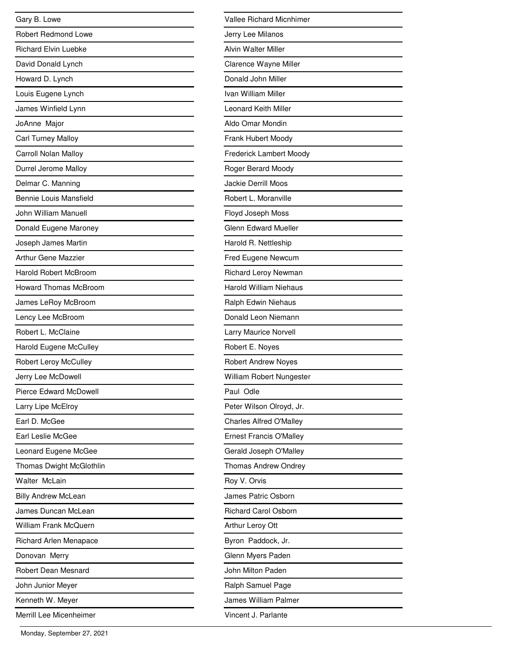| Gary B. Lowe                  |
|-------------------------------|
| <b>Robert Redmond Lowe</b>    |
| <b>Richard Elvin Luebke</b>   |
| David Donald Lynch            |
| Howard D. Lynch               |
| Louis Eugene Lynch            |
| James Winfield Lynn           |
| JoAnne Major                  |
| <b>Carl Turney Malloy</b>     |
| Carroll Nolan Malloy          |
| Durrel Jerome Malloy          |
| Delmar C. Manning             |
| <b>Bennie Louis Mansfield</b> |
| John William Manuell          |
| Donald Eugene Maroney         |
| Joseph James Martin           |
| <b>Arthur Gene Mazzier</b>    |
| <b>Harold Robert McBroom</b>  |
| <b>Howard Thomas McBroom</b>  |
| James LeRoy McBroom           |
| Lency Lee McBroom             |
| Robert L. McClaine            |
| <b>Harold Eugene McCulley</b> |
| Robert Leroy McCulley         |
| Jerry Lee McDowell            |
| <b>Pierce Edward McDowell</b> |
| Larry Lipe McElroy            |
| Earl D. McGee                 |
| Earl Leslie McGee             |
| Leonard Eugene McGee          |
| Thomas Dwight McGlothlin      |
| Walter McLain                 |
| <b>Billy Andrew McLean</b>    |
| James Duncan McLean           |
| William Frank McQuern         |
| Richard Arlen Menapace        |
| Donovan Merry                 |
| Robert Dean Mesnard           |
| John Junior Meyer             |
| Kenneth W. Meyer              |
| Merrill Lee Micenheimer       |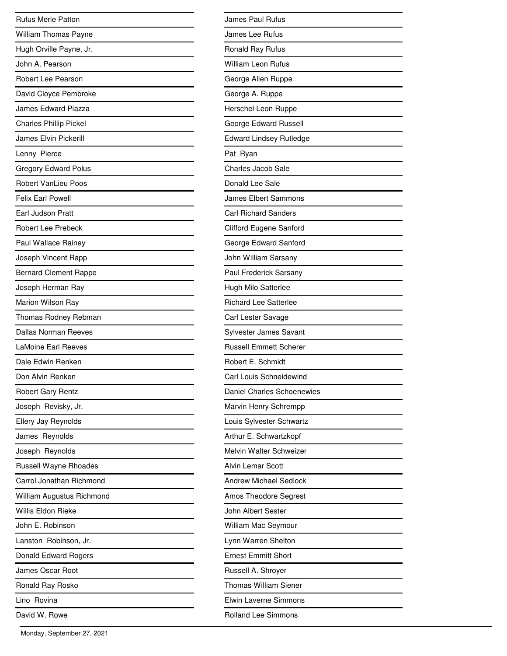| <b>Rufus Merle Patton</b>     |
|-------------------------------|
| <b>William Thomas Payne</b>   |
| Hugh Orville Payne, Jr.       |
| John A. Pearson               |
| Robert Lee Pearson            |
| David Cloyce Pembroke         |
| <b>James Edward Piazza</b>    |
| <b>Charles Phillip Pickel</b> |
| <b>James Elvin Pickerill</b>  |
| Lenny Pierce                  |
| <b>Gregory Edward Polus</b>   |
| <b>Robert VanLieu Poos</b>    |
| <b>Felix Earl Powell</b>      |
| Earl Judson Pratt             |
| <b>Robert Lee Prebeck</b>     |
| Paul Wallace Rainey           |
| Joseph Vincent Rapp           |
| <b>Bernard Clement Rappe</b>  |
| Joseph Herman Ray             |
| Marion Wilson Ray             |
| Thomas Rodney Rebman          |
| <b>Dallas Norman Reeves</b>   |
| <b>LaMoine Earl Reeves</b>    |
| Dale Edwin Renken             |
| Don Alvin Renken              |
| Robert Gary Rentz             |
| Joseph Revisky, Jr.           |
| Ellery Jay Reynolds           |
| James Reynolds                |
| Joseph Reynolds               |
| Russell Wayne Rhoades         |
| Carrol Jonathan Richmond      |
| William Augustus Richmond     |
| Willis Eldon Rieke            |
| John E. Robinson              |
| Lanston Robinson, Jr.         |
| Donald Edward Rogers          |
| James Oscar Root              |
| Ronald Ray Rosko              |
| Lino Rovina                   |
| David W. Rowe                 |

| James Paul Rufus               |
|--------------------------------|
| James Lee Rufus                |
| Ronald Ray Rufus               |
| William Leon Rufus             |
| George Allen Ruppe             |
| George A. Ruppe                |
| Herschel Leon Ruppe            |
| George Edward Russell          |
| <b>Edward Lindsey Rutledge</b> |
| Pat Ryan                       |
| Charles Jacob Sale             |
| Donald Lee Sale                |
| <b>James Elbert Sammons</b>    |
| <b>Carl Richard Sanders</b>    |
| Clifford Eugene Sanford        |
| George Edward Sanford          |
| John William Sarsany           |
| Paul Frederick Sarsany         |
| Hugh Milo Satterlee            |
| <b>Richard Lee Satterlee</b>   |
| Carl Lester Savage             |
| Sylvester James Savant         |
| <b>Russell Emmett Scherer</b>  |
| Robert E. Schmidt              |
| Carl Louis Schneidewind        |
| Daniel Charles Schoenewies     |
| Marvin Henry Schrempp          |
| Louis Sylvester Schwartz       |
| Arthur E. Schwartzkopf         |
| Melvin Walter Schweizer        |
| <b>Alvin Lemar Scott</b>       |
| <b>Andrew Michael Sedlock</b>  |
| Amos Theodore Segrest          |
| John Albert Sester             |
| William Mac Seymour            |
| Lynn Warren Shelton            |
| <b>Ernest Emmitt Short</b>     |
| Russell A. Shroyer             |
| <b>Thomas William Siener</b>   |
| <b>Elwin Laverne Simmons</b>   |
| Rolland Lee Simmons            |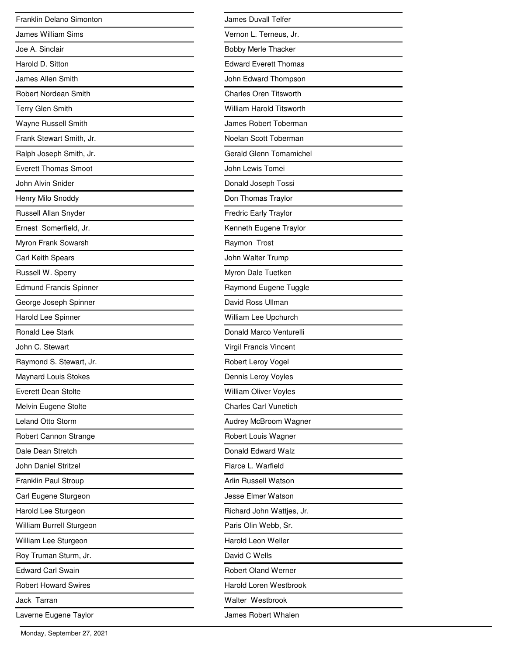| Franklin Delano Simonton      |
|-------------------------------|
| <b>James William Sims</b>     |
| Joe A. Sinclair               |
| Harold D. Sitton              |
| James Allen Smith             |
| <b>Robert Nordean Smith</b>   |
| <b>Terry Glen Smith</b>       |
| Wayne Russell Smith           |
| Frank Stewart Smith, Jr.      |
| Ralph Joseph Smith, Jr.       |
| <b>Everett Thomas Smoot</b>   |
| John Alvin Snider             |
| Henry Milo Snoddy             |
| Russell Allan Snyder          |
| Ernest Somerfield, Jr.        |
| Myron Frank Sowarsh           |
| <b>Carl Keith Spears</b>      |
| Russell W. Sperry             |
| <b>Edmund Francis Spinner</b> |
| George Joseph Spinner         |
| Harold Lee Spinner            |
| <b>Ronald Lee Stark</b>       |
| John C. Stewart               |
| Raymond S. Stewart, Jr.       |
| <b>Maynard Louis Stokes</b>   |
| <b>Everett Dean Stolte</b>    |
| Melvin Eugene Stolte          |
| Leland Otto Storm             |
| Robert Cannon Strange         |
| Dale Dean Stretch             |
| John Daniel Stritzel          |
| Franklin Paul Stroup          |
| Carl Eugene Sturgeon          |
| Harold Lee Sturgeon           |
| William Burrell Sturgeon      |
| William Lee Sturgeon          |
| Roy Truman Sturm, Jr.         |
| <b>Edward Carl Swain</b>      |
| <b>Robert Howard Swires</b>   |
| Jack Tarran                   |
| Laverne Eugene Taylor         |

| James Duvall Telfer             |
|---------------------------------|
| Vernon L. Terneus, Jr.          |
| <b>Bobby Merle Thacker</b>      |
| <b>Edward Everett Thomas</b>    |
| John Edward Thompson            |
| <b>Charles Oren Titsworth</b>   |
| <b>William Harold Titsworth</b> |
| James Robert Toberman           |
| Noelan Scott Toberman           |
| <b>Gerald Glenn Tomamichel</b>  |
| John Lewis Tomei                |
| Donald Joseph Tossi             |
| Don Thomas Traylor              |
| <b>Fredric Early Traylor</b>    |
| Kenneth Eugene Traylor          |
| Raymon Trost                    |
| John Walter Trump               |
| Myron Dale Tuetken              |
| Raymond Eugene Tuggle           |
| David Ross Ullman               |
| William Lee Upchurch            |
| Donald Marco Venturelli         |
| <b>Virgil Francis Vincent</b>   |
| Robert Leroy Vogel              |
| Dennis Leroy Voyles             |
| William Oliver Voyles           |
| <b>Charles Carl Vunetich</b>    |
| Audrey McBroom Wagner           |
| Robert Louis Wagner             |
| Donald Edward Walz              |
| Flarce L. Warfield              |
| Arlin Russell Watson            |
| Jesse Elmer Watson              |
| Richard John Wattjes, Jr.       |
| Paris Olin Webb, Sr.            |
| Harold Leon Weller              |
| David C Wells                   |
| <b>Robert Oland Werner</b>      |
| Harold Loren Westbrook          |
| Walter Westbrook                |
| James Robert Whalen             |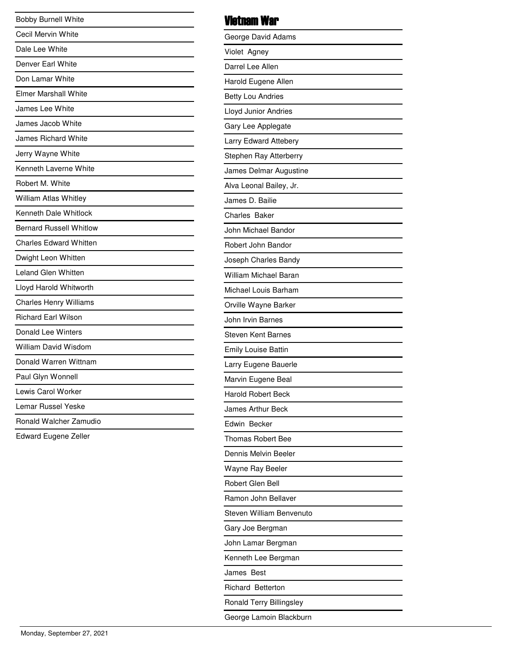| <b>Bobby Burnell White</b>     |
|--------------------------------|
| Cecil Mervin White             |
| Dale Lee White                 |
| Denver Earl White              |
| Don Lamar White                |
| <b>Elmer Marshall White</b>    |
| James Lee White                |
| James Jacob White              |
| <b>James Richard White</b>     |
| Jerry Wayne White              |
| Kenneth Laverne White          |
| Robert M. White                |
| <b>William Atlas Whitley</b>   |
| Kenneth Dale Whitlock          |
| <b>Bernard Russell Whitlow</b> |
| <b>Charles Edward Whitten</b>  |
| Dwight Leon Whitten            |
| Leland Glen Whitten            |
| Lloyd Harold Whitworth         |
| <b>Charles Henry Williams</b>  |
| <b>Richard Earl Wilson</b>     |
| Donald Lee Winters             |
| <b>William David Wisdom</b>    |
| Donald Warren Wittnam          |
| Paul Glyn Wonnell              |
| Lewis Carol Worker             |
| Lemar Russel Yeske             |
| Ronald Walcher Zamudio         |
| Edward Eugene Zeller           |
|                                |
|                                |
|                                |
|                                |
|                                |
|                                |
|                                |
|                                |
|                                |
|                                |

## Vietnam War

| George David Adams           |
|------------------------------|
| Violet Agney                 |
| Darrel Lee Allen             |
| Harold Eugene Allen          |
| <b>Betty Lou Andries</b>     |
| Lloyd Junior Andries         |
| Gary Lee Applegate           |
| <b>Larry Edward Attebery</b> |
| Stephen Ray Atterberry       |
| James Delmar Augustine       |
| Alva Leonal Bailey, Jr.      |
| James D. Bailie              |
| <b>Charles Baker</b>         |
| John Michael Bandor          |
| Robert John Bandor           |
| Joseph Charles Bandy         |
| William Michael Baran        |
| Michael Louis Barham         |
| Orville Wayne Barker         |
| John Irvin Barnes            |
| <b>Steven Kent Barnes</b>    |
| <b>Emily Louise Battin</b>   |
| Larry Eugene Bauerle         |
| Marvin Eugene Beal           |
| <b>Harold Robert Beck</b>    |
| <b>James Arthur Beck</b>     |
| Edwin Becker                 |
| <b>Thomas Robert Bee</b>     |
| Dennis Melvin Beeler         |
| Wayne Ray Beeler             |
| Robert Glen Bell             |
| Ramon John Bellaver          |
| Steven William Benvenuto     |
| Gary Joe Bergman             |
| John Lamar Bergman           |
| Kenneth Lee Bergman          |
| James Best                   |
| <b>Richard Betterton</b>     |
| Ronald Terry Billingsley     |
| George Lamoin Blackburn      |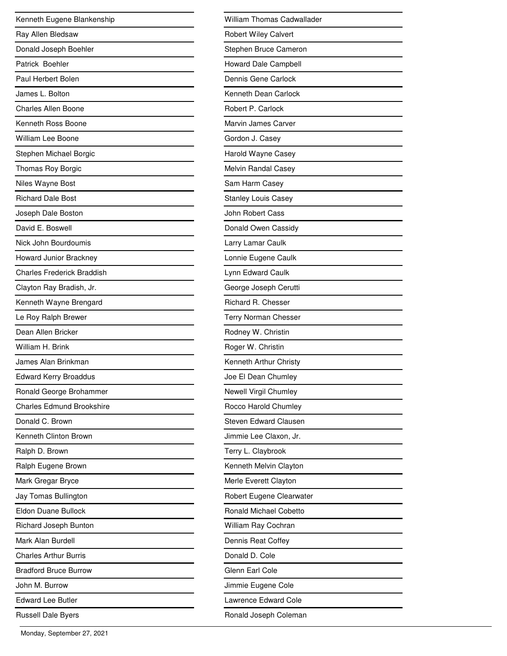| Kenneth Eugene Blankenship        |
|-----------------------------------|
| Ray Allen Bledsaw                 |
| Donald Joseph Boehler             |
| Patrick Boehler                   |
| Paul Herbert Bolen                |
| James L. Bolton                   |
| <b>Charles Allen Boone</b>        |
| Kenneth Ross Boone                |
| William Lee Boone                 |
| Stephen Michael Borgic            |
| Thomas Roy Borgic                 |
| Niles Wayne Bost                  |
| <b>Richard Dale Bost</b>          |
| Joseph Dale Boston                |
| David E. Boswell                  |
| Nick John Bourdoumis              |
| Howard Junior Brackney            |
| <b>Charles Frederick Braddish</b> |
| Clayton Ray Bradish, Jr.          |
| Kenneth Wayne Brengard            |
| Le Roy Ralph Brewer               |
| Dean Allen Bricker                |
| William H. Brink                  |
| James Alan Brinkman               |
| <b>Edward Kerry Broaddus</b>      |
| Ronald George Brohammer           |
| <b>Charles Edmund Brookshire</b>  |
| Donald C. Brown                   |
| Kenneth Clinton Brown             |
| Ralph D. Brown                    |
| Ralph Eugene Brown                |
| Mark Gregar Bryce                 |
| Jay Tomas Bullington              |
| Eldon Duane Bullock               |
| Richard Joseph Bunton             |
| Mark Alan Burdell                 |
| <b>Charles Arthur Burris</b>      |
| <b>Bradford Bruce Burrow</b>      |
| John M. Burrow                    |
| <b>Edward Lee Butler</b>          |
| <b>Russell Dale Byers</b>         |

| William Thomas Cadwallader    |
|-------------------------------|
| <b>Robert Wiley Calvert</b>   |
| Stephen Bruce Cameron         |
| Howard Dale Campbell          |
| Dennis Gene Carlock           |
| Kenneth Dean Carlock          |
| Robert P. Carlock             |
| Marvin James Carver           |
| Gordon J. Casey               |
| Harold Wayne Casey            |
| Melvin Randal Casey           |
| Sam Harm Casey                |
| <b>Stanley Louis Casey</b>    |
| John Robert Cass              |
| Donald Owen Cassidy           |
| Larry Lamar Caulk             |
| Lonnie Eugene Caulk           |
| Lynn Edward Caulk             |
| George Joseph Cerutti         |
| Richard R. Chesser            |
| <b>Terry Norman Chesser</b>   |
| Rodney W. Christin            |
| Roger W. Christin             |
| Kenneth Arthur Christy        |
| Joe El Dean Chumley           |
| Newell Virgil Chumley         |
| Rocco Harold Chumley          |
| Steven Edward Clausen         |
| Jimmie Lee Claxon, Jr.        |
| Terry L. Claybrook            |
| Kenneth Melvin Clayton        |
| Merle Everett Clayton         |
| Robert Eugene Clearwater      |
| <b>Ronald Michael Cobetto</b> |
| William Ray Cochran           |
| Dennis Reat Coffey            |
| Donald D. Cole                |
| Glenn Earl Cole               |
| Jimmie Eugene Cole            |
| <b>Lawrence Edward Cole</b>   |
| Ronald Joseph Coleman         |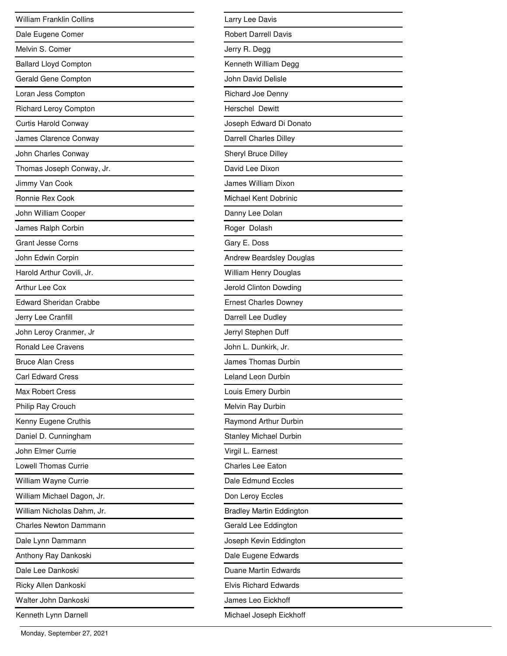| <b>William Franklin Collins</b> |
|---------------------------------|
| Dale Eugene Comer               |
| Melvin S. Comer                 |
| <b>Ballard Lloyd Compton</b>    |
| Gerald Gene Compton             |
| Loran Jess Compton              |
| Richard Leroy Compton           |
| Curtis Harold Conway            |
| James Clarence Conway           |
| John Charles Conway             |
| Thomas Joseph Conway, Jr.       |
| Jimmy Van Cook                  |
| Ronnie Rex Cook                 |
| John William Cooper             |
| James Ralph Corbin              |
| <b>Grant Jesse Corns</b>        |
| John Edwin Corpin               |
| Harold Arthur Covili, Jr.       |
| Arthur Lee Cox                  |
| <b>Edward Sheridan Crabbe</b>   |
| Jerry Lee Cranfill              |
| John Leroy Cranmer, Jr          |
| <b>Ronald Lee Cravens</b>       |
| <b>Bruce Alan Cress</b>         |
| <b>Carl Edward Cress</b>        |
| <b>Max Robert Cress</b>         |
| Philip Ray Crouch               |
| Kenny Eugene Cruthis            |
| Daniel D. Cunningham            |
| John Elmer Currie               |
| <b>Lowell Thomas Currie</b>     |
| William Wayne Currie            |
| William Michael Dagon, Jr.      |
| William Nicholas Dahm, Jr.      |
| <b>Charles Newton Dammann</b>   |
| Dale Lynn Dammann               |
| Anthony Ray Dankoski            |
| Dale Lee Dankoski               |
| Ricky Allen Dankoski            |
| Walter John Dankoski            |
| Kenneth Lynn Darnell            |

L,

| Larry Lee Davis                 |
|---------------------------------|
| <b>Robert Darrell Davis</b>     |
| Jerry R. Degg                   |
| Kenneth William Degg            |
| John David Delisle              |
| Richard Joe Denny               |
| <b>Herschel Dewitt</b>          |
| Joseph Edward Di Donato         |
| <b>Darrell Charles Dilley</b>   |
| Sheryl Bruce Dilley             |
| David Lee Dixon                 |
| James William Dixon             |
| Michael Kent Dobrinic           |
| Danny Lee Dolan                 |
| Roger Dolash                    |
| Gary E. Doss                    |
| Andrew Beardsley Douglas        |
| William Henry Douglas           |
| Jerold Clinton Dowding          |
| <b>Ernest Charles Downey</b>    |
| Darrell Lee Dudley              |
| Jerryl Stephen Duff             |
| John L. Dunkirk, Jr.            |
| James Thomas Durbin             |
| Leland Leon Durbin              |
| Louis Emery Durbin              |
| Melvin Ray Durbin               |
| Raymond Arthur Durbin           |
| <b>Stanley Michael Durbin</b>   |
| Virgil L. Earnest               |
| <b>Charles Lee Eaton</b>        |
| Dale Edmund Eccles              |
| Don Leroy Eccles                |
| <b>Bradley Martin Eddington</b> |
| Gerald Lee Eddington            |
| Joseph Kevin Eddington          |
| Dale Eugene Edwards             |
| <b>Duane Martin Edwards</b>     |
| <b>Elvis Richard Edwards</b>    |
| James Leo Eickhoff              |
| Michael Joseph Eickhoff         |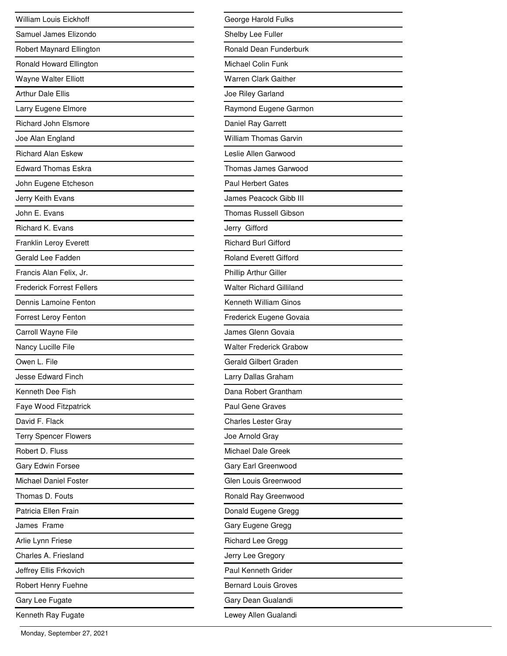| <b>William Louis Eickhoff</b>    |
|----------------------------------|
| Samuel James Elizondo            |
| Robert Maynard Ellington         |
| Ronald Howard Ellington          |
| Wayne Walter Elliott             |
| <b>Arthur Dale Ellis</b>         |
| Larry Eugene Elmore              |
| <b>Richard John Elsmore</b>      |
| Joe Alan England                 |
| <b>Richard Alan Eskew</b>        |
| <b>Edward Thomas Eskra</b>       |
| John Eugene Etcheson             |
| Jerry Keith Evans                |
| John E. Evans                    |
| Richard K. Evans                 |
| <b>Franklin Leroy Everett</b>    |
| Gerald Lee Fadden                |
| Francis Alan Felix, Jr.          |
| <b>Frederick Forrest Fellers</b> |
| Dennis Lamoine Fenton            |
| Forrest Leroy Fenton             |
| Carroll Wayne File               |
| Nancy Lucille File               |
| Owen L. File                     |
| <b>Jesse Edward Finch</b>        |
| Kenneth Dee Fish                 |
| Faye Wood Fitzpatrick            |
| David F. Flack                   |
| <b>Terry Spencer Flowers</b>     |
| Robert D. Fluss                  |
| Gary Edwin Forsee                |
| Michael Daniel Foster            |
| Thomas D. Fouts                  |
| Patricia Ellen Frain             |
| James Frame                      |
| Arlie Lynn Friese                |
| Charles A. Friesland             |
| Jeffrey Ellis Frkovich           |
| Robert Henry Fuehne              |
| Gary Lee Fugate                  |
| Kenneth Ray Fugate               |

| George Harold Fulks             |
|---------------------------------|
| Shelby Lee Fuller               |
| Ronald Dean Funderburk          |
| <b>Michael Colin Funk</b>       |
| Warren Clark Gaither            |
| Joe Riley Garland               |
| Raymond Eugene Garmon           |
| Daniel Ray Garrett              |
| <b>William Thomas Garvin</b>    |
| Leslie Allen Garwood            |
| Thomas James Garwood            |
| <b>Paul Herbert Gates</b>       |
| James Peacock Gibb III          |
| <b>Thomas Russell Gibson</b>    |
| Jerry Gifford                   |
| <b>Richard Burl Gifford</b>     |
| <b>Roland Everett Gifford</b>   |
| Phillip Arthur Giller           |
| <b>Walter Richard Gilliland</b> |
| Kenneth William Ginos           |
| Frederick Eugene Govaia         |
| James Glenn Govaia              |
| <b>Walter Frederick Grabow</b>  |
| Gerald Gilbert Graden           |
| Larry Dallas Graham             |
| Dana Robert Grantham            |
| <b>Paul Gene Graves</b>         |
| <b>Charles Lester Gray</b>      |
| Joe Arnold Gray                 |
| Michael Dale Greek              |
| Gary Earl Greenwood             |
| Glen Louis Greenwood            |
| Ronald Ray Greenwood            |
| Donald Eugene Gregg             |
| Gary Eugene Gregg               |
| Richard Lee Gregg               |
| Jerry Lee Gregory               |
| Paul Kenneth Grider             |
| <b>Bernard Louis Groves</b>     |
| Gary Dean Gualandi              |
| Lewey Allen Gualandi            |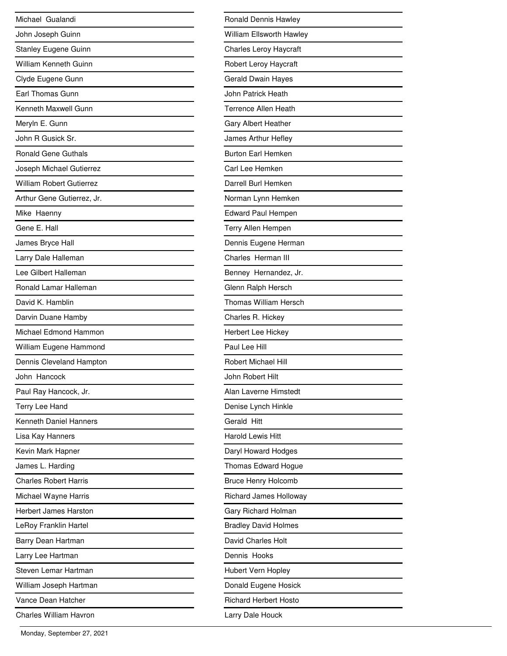| Michael Gualandi                |
|---------------------------------|
| John Joseph Guinn               |
| <b>Stanley Eugene Guinn</b>     |
| William Kenneth Guinn           |
| Clyde Eugene Gunn               |
| Earl Thomas Gunn                |
| Kenneth Maxwell Gunn            |
| Meryln E. Gunn                  |
| John R Gusick Sr.               |
| <b>Ronald Gene Guthals</b>      |
| Joseph Michael Gutierrez        |
| <b>William Robert Gutierrez</b> |
| Arthur Gene Gutierrez, Jr.      |
| Mike Haenny                     |
| Gene E. Hall                    |
| James Bryce Hall                |
| Larry Dale Halleman             |
| Lee Gilbert Halleman            |
| Ronald Lamar Halleman           |
| David K. Hamblin                |
| Darvin Duane Hamby              |
| Michael Edmond Hammon           |
| William Eugene Hammond          |
| Dennis Cleveland Hampton        |
| John Hancock                    |
| Paul Ray Hancock, Jr.           |
| Terry Lee Hand                  |
| Kenneth Daniel Hanners          |
| Lisa Kay Hanners                |
| Kevin Mark Hapner               |
| James L. Harding                |
| <b>Charles Robert Harris</b>    |
| Michael Wayne Harris            |
| <b>Herbert James Harston</b>    |
| LeRoy Franklin Hartel           |
| Barry Dean Hartman              |
| Larry Lee Hartman               |
| Steven Lemar Hartman            |
| William Joseph Hartman          |
| Vance Dean Hatcher              |
| <b>Charles William Havron</b>   |

| Ronald Dennis Hawley            |
|---------------------------------|
| <b>William Ellsworth Hawley</b> |
| <b>Charles Leroy Haycraft</b>   |
| Robert Leroy Haycraft           |
| Gerald Dwain Hayes              |
| John Patrick Heath              |
| <b>Terrence Allen Heath</b>     |
| <b>Gary Albert Heather</b>      |
| James Arthur Hefley             |
| <b>Burton Earl Hemken</b>       |
| Carl Lee Hemken                 |
| Darrell Burl Hemken             |
| Norman Lynn Hemken              |
| <b>Edward Paul Hempen</b>       |
| Terry Allen Hempen              |
| Dennis Eugene Herman            |
| Charles Herman III              |
| Benney Hernandez, Jr.           |
| Glenn Ralph Hersch              |
| <b>Thomas William Hersch</b>    |
| Charles R. Hickey               |
| Herbert Lee Hickey              |
| Paul Lee Hill                   |
| <b>Robert Michael Hill</b>      |
| John Robert Hilt                |
| Alan Laverne Himstedt           |
| Denise Lynch Hinkle             |
| Gerald Hitt                     |
| <b>Harold Lewis Hitt</b>        |
| Daryl Howard Hodges             |
| Thomas Edward Hogue             |
| <b>Bruce Henry Holcomb</b>      |
| Richard James Holloway          |
| Gary Richard Holman             |
| <b>Bradley David Holmes</b>     |
| David Charles Holt              |
| Dennis Hooks                    |
| Hubert Vern Hopley              |
| Donald Eugene Hosick            |
| <b>Richard Herbert Hosto</b>    |
| Larry Dale Houck                |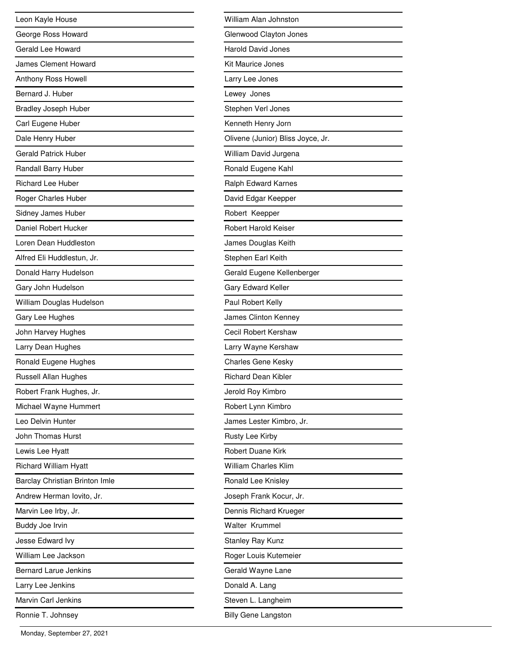| Leon Kayle House               |
|--------------------------------|
| George Ross Howard             |
| Gerald Lee Howard              |
| James Clement Howard           |
| Anthony Ross Howell            |
| Bernard J. Huber               |
| <b>Bradley Joseph Huber</b>    |
| Carl Eugene Huber              |
| Dale Henry Huber               |
| <b>Gerald Patrick Huber</b>    |
| Randall Barry Huber            |
| <b>Richard Lee Huber</b>       |
| Roger Charles Huber            |
| Sidney James Huber             |
| Daniel Robert Hucker           |
| Loren Dean Huddleston          |
| Alfred Eli Huddlestun, Jr.     |
| Donald Harry Hudelson          |
| Gary John Hudelson             |
| William Douglas Hudelson       |
| Gary Lee Hughes                |
| John Harvey Hughes             |
| Larry Dean Hughes              |
| Ronald Eugene Hughes           |
| Russell Allan Hughes           |
| Robert Frank Hughes, Jr.       |
| Michael Wayne Hummert          |
| Leo Delvin Hunter              |
| John Thomas Hurst              |
| Lewis Lee Hyatt                |
| <b>Richard William Hyatt</b>   |
| Barclay Christian Brinton Imle |
| Andrew Herman lovito, Jr.      |
| Marvin Lee Irby, Jr.           |
| Buddy Joe Irvin                |
| Jesse Edward Ivy               |
| William Lee Jackson            |
| <b>Bernard Larue Jenkins</b>   |
| Larry Lee Jenkins              |
| Marvin Carl Jenkins            |
| Ronnie T. Johnsey              |

| William Alan Johnston             |
|-----------------------------------|
| Glenwood Clayton Jones            |
| <b>Harold David Jones</b>         |
| Kit Maurice Jones                 |
| Larry Lee Jones                   |
| Lewey Jones                       |
| Stephen Verl Jones                |
| Kenneth Henry Jorn                |
| Olivene (Junior) Bliss Joyce, Jr. |
| William David Jurgena             |
| Ronald Eugene Kahl                |
| Ralph Edward Karnes               |
| David Edgar Keepper               |
| Robert Keepper                    |
| <b>Robert Harold Keiser</b>       |
| James Douglas Keith               |
| Stephen Earl Keith                |
| Gerald Eugene Kellenberger        |
| Gary Edward Keller                |
| Paul Robert Kelly                 |
| James Clinton Kenney              |
| Cecil Robert Kershaw              |
| Larry Wayne Kershaw               |
| <b>Charles Gene Kesky</b>         |
| <b>Richard Dean Kibler</b>        |
| Jerold Roy Kimbro                 |
| Robert Lynn Kimbro                |
| James Lester Kimbro, Jr.          |
| Rusty Lee Kirby                   |
| <b>Robert Duane Kirk</b>          |
| <b>William Charles Klim</b>       |
| Ronald Lee Knisley                |
| Joseph Frank Kocur, Jr.           |
| Dennis Richard Krueger            |
| <b>Walter Krummel</b>             |
| <b>Stanley Ray Kunz</b>           |
| Roger Louis Kutemeier             |
| Gerald Wayne Lane                 |
| Donald A. Lang                    |
| Steven L. Langheim                |
| <b>Billy Gene Langston</b>        |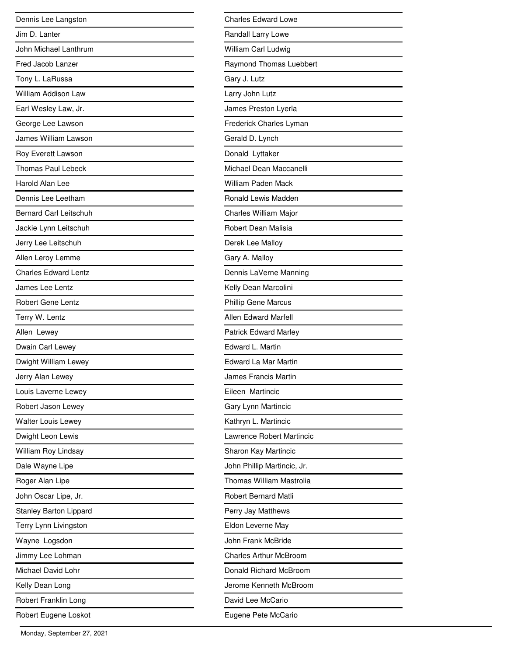| Dennis Lee Langston           |
|-------------------------------|
| Jim D. Lanter                 |
| John Michael Lanthrum         |
| Fred Jacob Lanzer             |
| Tony L. LaRussa               |
| William Addison Law           |
| Earl Wesley Law, Jr.          |
| George Lee Lawson             |
| James William Lawson          |
| Roy Everett Lawson            |
| <b>Thomas Paul Lebeck</b>     |
| Harold Alan Lee               |
| Dennis Lee Leetham            |
| <b>Bernard Carl Leitschuh</b> |
| Jackie Lynn Leitschuh         |
| Jerry Lee Leitschuh           |
| Allen Leroy Lemme             |
| <b>Charles Edward Lentz</b>   |
| James Lee Lentz               |
| <b>Robert Gene Lentz</b>      |
| Terry W. Lentz                |
| Allen Lewey                   |
| Dwain Carl Lewey              |
| Dwight William Lewey          |
| Jerry Alan Lewey              |
| Louis Laverne Lewey           |
| Robert Jason Lewey            |
| <b>Walter Louis Lewey</b>     |
| Dwight Leon Lewis             |
| William Roy Lindsay           |
| Dale Wayne Lipe               |
| Roger Alan Lipe               |
| John Oscar Lipe, Jr.          |
| <b>Stanley Barton Lippard</b> |
| Terry Lynn Livingston         |
| Wayne Logsdon                 |
| Jimmy Lee Lohman              |
| Michael David Lohr            |
| Kelly Dean Long               |
| Robert Franklin Long          |
| Robert Eugene Loskot          |

| <b>Charles Edward Lowe</b>    |
|-------------------------------|
| Randall Larry Lowe            |
| William Carl Ludwig           |
| Raymond Thomas Luebbert       |
| Gary J. Lutz                  |
| Larry John Lutz               |
| James Preston Lyerla          |
| Frederick Charles Lyman       |
| Gerald D. Lynch               |
| Donald Lyttaker               |
| Michael Dean Maccanelli       |
| <b>William Paden Mack</b>     |
| Ronald Lewis Madden           |
| Charles William Major         |
| Robert Dean Malisia           |
| Derek Lee Malloy              |
| Gary A. Malloy                |
| Dennis LaVerne Manning        |
| Kelly Dean Marcolini          |
| <b>Phillip Gene Marcus</b>    |
| <b>Allen Edward Marfell</b>   |
| <b>Patrick Edward Marley</b>  |
| Edward L. Martin              |
| Edward La Mar Martin          |
| James Francis Martin          |
| Eileen Martincic              |
| Gary Lynn Martincic           |
| Kathryn L. Martincic          |
| Lawrence Robert Martincic     |
| Sharon Kay Martincic          |
| John Phillip Martincic, Jr.   |
| Thomas William Mastrolia      |
| <b>Robert Bernard Matli</b>   |
| Perry Jay Matthews            |
| Eldon Leverne May             |
| John Frank McBride            |
| <b>Charles Arthur McBroom</b> |
| Donald Richard McBroom        |
| Jerome Kenneth McBroom        |
| David Lee McCario             |
| Eugene Pete McCario           |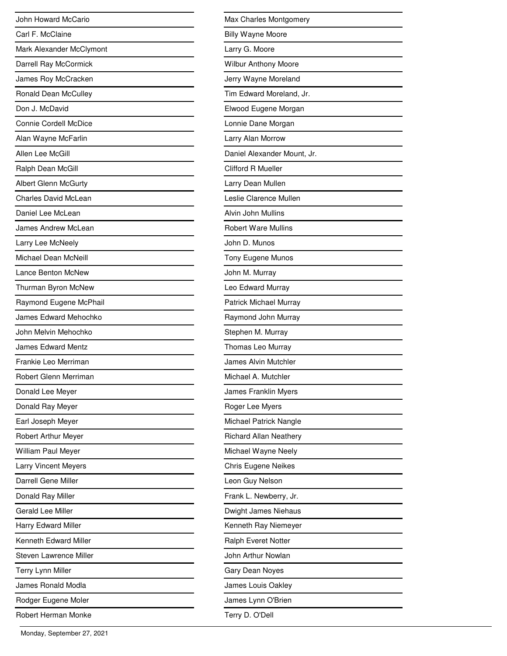| John Howard McCario          |
|------------------------------|
| Carl F. McClaine             |
| Mark Alexander McClymont     |
| Darrell Ray McCormick        |
| James Roy McCracken          |
| Ronald Dean McCulley         |
| Don J. McDavid               |
| <b>Connie Cordell McDice</b> |
| Alan Wayne McFarlin          |
| Allen Lee McGill             |
| Ralph Dean McGill            |
| <b>Albert Glenn McGurty</b>  |
| <b>Charles David McLean</b>  |
| Daniel Lee McLean            |
| James Andrew McLean          |
| Larry Lee McNeely            |
| Michael Dean McNeill         |
| Lance Benton McNew           |
| Thurman Byron McNew          |
| Raymond Eugene McPhail       |
| James Edward Mehochko        |
| John Melvin Mehochko         |
| <b>James Edward Mentz</b>    |
| Frankie Leo Merriman         |
| Robert Glenn Merriman        |
| Donald Lee Meyer             |
| Donald Ray Meyer             |
| Earl Joseph Meyer            |
| <b>Robert Arthur Meyer</b>   |
| William Paul Meyer           |
| <b>Larry Vincent Meyers</b>  |
| Darrell Gene Miller          |
| Donald Ray Miller            |
| Gerald Lee Miller            |
| Harry Edward Miller          |
| Kenneth Edward Miller        |
| Steven Lawrence Miller       |
| Terry Lynn Miller            |
| James Ronald Modla           |
| Rodger Eugene Moler          |
| Robert Herman Monke          |

| Max Charles Montgomery        |
|-------------------------------|
| <b>Billy Wayne Moore</b>      |
| Larry G. Moore                |
| Wilbur Anthony Moore          |
| Jerry Wayne Moreland          |
| Tim Edward Moreland, Jr.      |
| Elwood Eugene Morgan          |
| Lonnie Dane Morgan            |
| Larry Alan Morrow             |
| Daniel Alexander Mount, Jr.   |
| <b>Clifford R Mueller</b>     |
| Larry Dean Mullen             |
| Leslie Clarence Mullen        |
| Alvin John Mullins            |
| <b>Robert Ware Mullins</b>    |
| John D. Munos                 |
| Tony Eugene Munos             |
| John M. Murray                |
| Leo Edward Murray             |
| Patrick Michael Murray        |
| Raymond John Murray           |
| Stephen M. Murray             |
| Thomas Leo Murray             |
| James Alvin Mutchler          |
| Michael A. Mutchler           |
| James Franklin Myers          |
| Roger Lee Myers               |
| Michael Patrick Nangle        |
| <b>Richard Allan Neathery</b> |
| Michael Wayne Neely           |
| <b>Chris Eugene Neikes</b>    |
| Leon Guy Nelson               |
| Frank L. Newberry, Jr.        |
| Dwight James Niehaus          |
| Kenneth Ray Niemeyer          |
| Ralph Everet Notter           |
| John Arthur Nowlan            |
| Gary Dean Noyes               |
| James Louis Oakley            |
| James Lynn O'Brien            |
| Terry D. O'Dell               |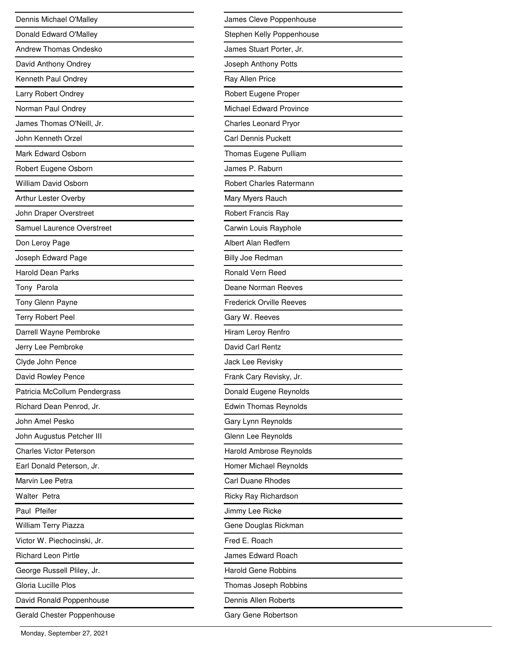| Dennis Michael O'Malley        |
|--------------------------------|
| Donald Edward O'Malley         |
| Andrew Thomas Ondesko          |
| David Anthony Ondrey           |
| Kenneth Paul Ondrey            |
| Larry Robert Ondrey            |
| Norman Paul Ondrey             |
| James Thomas O'Neill, Jr.      |
| John Kenneth Orzel             |
| Mark Edward Osborn             |
| Robert Eugene Osborn           |
| <b>William David Osborn</b>    |
| <b>Arthur Lester Overby</b>    |
| John Draper Overstreet         |
| Samuel Laurence Overstreet     |
| Don Leroy Page                 |
| Joseph Edward Page             |
| <b>Harold Dean Parks</b>       |
| Tony Parola                    |
| Tony Glenn Payne               |
| <b>Terry Robert Peel</b>       |
| Darrell Wayne Pembroke         |
| Jerry Lee Pembroke             |
| Clyde John Pence               |
| David Rowley Pence             |
| Patricia McCollum Pendergrass  |
| Richard Dean Penrod, Jr.       |
| John Amel Pesko                |
| John Augustus Petcher III      |
| <b>Charles Victor Peterson</b> |
| Earl Donald Peterson, Jr.      |
| Marvin Lee Petra               |
| <b>Walter Petra</b>            |
| Paul Pfeifer                   |
| William Terry Piazza           |
| Victor W. Piechocinski, Jr.    |
| <b>Richard Leon Pirtle</b>     |
| George Russell Pliley, Jr.     |
| Gloria Lucille Plos            |
| David Ronald Poppenhouse       |
| Gerald Chester Poppenhouse     |

| James Cleve Poppenhouse         |
|---------------------------------|
| Stephen Kelly Poppenhouse       |
| James Stuart Porter, Jr.        |
| Joseph Anthony Potts            |
| Ray Allen Price                 |
| Robert Eugene Proper            |
| Michael Edward Province         |
| <b>Charles Leonard Pryor</b>    |
| Carl Dennis Puckett             |
| Thomas Eugene Pulliam           |
| James P. Raburn                 |
| <b>Robert Charles Ratermann</b> |
| Mary Myers Rauch                |
| <b>Robert Francis Ray</b>       |
| Carwin Louis Rayphole           |
| Albert Alan Redfern             |
| <b>Billy Joe Redman</b>         |
| Ronald Vern Reed                |
| Deane Norman Reeves             |
| <b>Frederick Orville Reeves</b> |
| Gary W. Reeves                  |
| Hiram Leroy Renfro              |
| David Carl Rentz                |
| Jack Lee Revisky                |
| Frank Cary Revisky, Jr.         |
| Donald Eugene Reynolds          |
| <b>Edwin Thomas Reynolds</b>    |
| Gary Lynn Reynolds              |
| Glenn Lee Reynolds              |
| Harold Ambrose Reynolds         |
| Homer Michael Reynolds          |
| Carl Duane Rhodes               |
| Ricky Ray Richardson            |
| Jimmy Lee Ricke                 |
| Gene Douglas Rickman            |
|                                 |
| Fred E. Roach                   |
| James Edward Roach              |
| <b>Harold Gene Robbins</b>      |
| Thomas Joseph Robbins           |
| Dennis Allen Roberts            |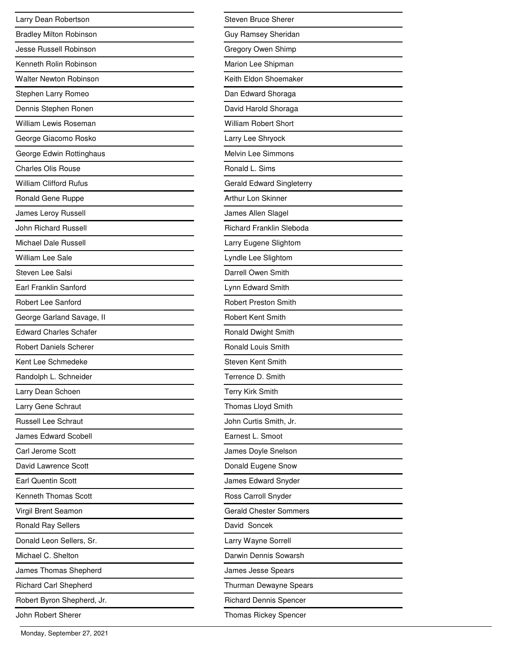| Larry Dean Robertson           |
|--------------------------------|
| <b>Bradley Milton Robinson</b> |
| Jesse Russell Robinson         |
| Kenneth Rolin Robinson         |
| <b>Walter Newton Robinson</b>  |
| Stephen Larry Romeo            |
| Dennis Stephen Ronen           |
| William Lewis Roseman          |
| George Giacomo Rosko           |
| George Edwin Rottinghaus       |
| <b>Charles Olis Rouse</b>      |
| <b>William Clifford Rufus</b>  |
| Ronald Gene Ruppe              |
| James Leroy Russell            |
| <b>John Richard Russell</b>    |
| Michael Dale Russell           |
| <b>William Lee Sale</b>        |
| Steven Lee Salsi               |
| Earl Franklin Sanford          |
| <b>Robert Lee Sanford</b>      |
| George Garland Savage, II      |
| <b>Edward Charles Schafer</b>  |
| <b>Robert Daniels Scherer</b>  |
| Kent Lee Schmedeke             |
| Randolph L. Schneider          |
| Larry Dean Schoen              |
| Larry Gene Schraut             |
| <b>Russell Lee Schraut</b>     |
| James Edward Scobell           |
| Carl Jerome Scott              |
| David Lawrence Scott           |
| <b>Earl Quentin Scott</b>      |
| <b>Kenneth Thomas Scott</b>    |
| Virgil Brent Seamon            |
| <b>Ronald Ray Sellers</b>      |
| Donald Leon Sellers, Sr.       |
| Michael C. Shelton             |
| James Thomas Shepherd          |
| <b>Richard Carl Shepherd</b>   |
| Robert Byron Shepherd, Jr.     |
| John Robert Sherer             |

| Steven Bruce Sherer              |
|----------------------------------|
| Guy Ramsey Sheridan              |
| Gregory Owen Shimp               |
| Marion Lee Shipman               |
| Keith Eldon Shoemaker            |
| Dan Edward Shoraga               |
| David Harold Shoraga             |
| <b>William Robert Short</b>      |
| Larry Lee Shryock                |
| <b>Melvin Lee Simmons</b>        |
| Ronald L. Sims                   |
| <b>Gerald Edward Singleterry</b> |
| Arthur Lon Skinner               |
| James Allen Slagel               |
| <b>Richard Franklin Sleboda</b>  |
| Larry Eugene Slightom            |
| Lyndle Lee Slightom              |
| Darrell Owen Smith               |
| Lynn Edward Smith                |
| <b>Robert Preston Smith</b>      |
| <b>Robert Kent Smith</b>         |
| Ronald Dwight Smith              |
| <b>Ronald Louis Smith</b>        |
| <b>Steven Kent Smith</b>         |
| Terrence D. Smith                |
| Terry Kirk Smith                 |
| Thomas Lloyd Smith               |
| John Curtis Smith, Jr.           |
| Earnest L. Smoot                 |
| James Doyle Snelson              |
| Donald Eugene Snow               |
| James Edward Snyder              |
| Ross Carroll Snyder              |
| <b>Gerald Chester Sommers</b>    |
| David Soncek                     |
| Larry Wayne Sorrell              |
| Darwin Dennis Sowarsh            |
| James Jesse Spears               |
| Thurman Dewayne Spears           |
| <b>Richard Dennis Spencer</b>    |
| <b>Thomas Rickey Spencer</b>     |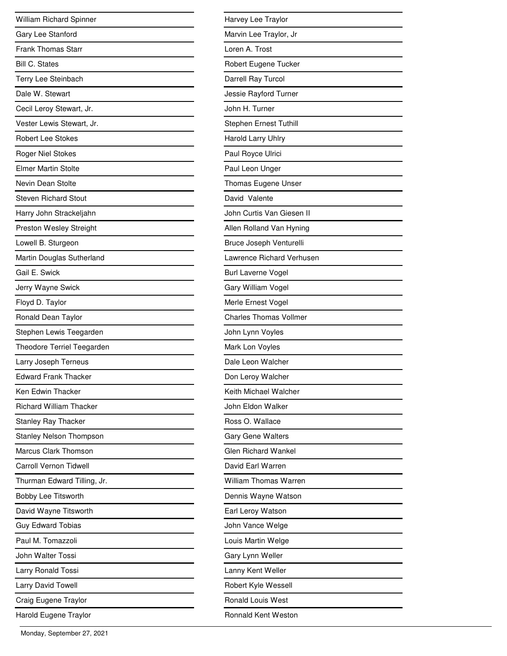| William Richard Spinner           |
|-----------------------------------|
| Gary Lee Stanford                 |
| <b>Frank Thomas Starr</b>         |
| <b>Bill C. States</b>             |
| Terry Lee Steinbach               |
| Dale W. Stewart                   |
| Cecil Leroy Stewart, Jr.          |
| Vester Lewis Stewart, Jr.         |
| <b>Robert Lee Stokes</b>          |
| <b>Roger Niel Stokes</b>          |
| <b>Elmer Martin Stolte</b>        |
| Nevin Dean Stolte                 |
| Steven Richard Stout              |
| Harry John Strackeljahn           |
| Preston Wesley Streight           |
| Lowell B. Sturgeon                |
| Martin Douglas Sutherland         |
| Gail E. Swick                     |
| Jerry Wayne Swick                 |
| Floyd D. Taylor                   |
| Ronald Dean Taylor                |
| Stephen Lewis Teegarden           |
| <b>Theodore Terriel Teegarden</b> |
| Larry Joseph Terneus              |
| <b>Edward Frank Thacker</b>       |
| Ken Edwin Thacker                 |
| <b>Richard William Thacker</b>    |
| <b>Stanley Ray Thacker</b>        |
| <b>Stanley Nelson Thompson</b>    |
| Marcus Clark Thomson              |
| Carroll Vernon Tidwell            |
| Thurman Edward Tilling, Jr.       |
| Bobby Lee Titsworth               |
| David Wayne Titsworth             |
| <b>Guy Edward Tobias</b>          |
| Paul M. Tomazzoli                 |
| John Walter Tossi                 |
| Larry Ronald Tossi                |
| Larry David Towell                |
| Craig Eugene Traylor              |
| Harold Eugene Traylor             |

| Harvey Lee Traylor            |
|-------------------------------|
| Marvin Lee Traylor, Jr        |
| Loren A. Trost                |
| Robert Eugene Tucker          |
| Darrell Ray Turcol            |
| Jessie Rayford Turner         |
| John H. Turner                |
| Stephen Ernest Tuthill        |
| Harold Larry Uhlry            |
| Paul Royce Ulrici             |
| Paul Leon Unger               |
| Thomas Eugene Unser           |
| David Valente                 |
| John Curtis Van Giesen II     |
| Allen Rolland Van Hyning      |
| Bruce Joseph Venturelli       |
| Lawrence Richard Verhusen     |
| <b>Burl Laverne Vogel</b>     |
| Gary William Vogel            |
| Merle Ernest Vogel            |
| <b>Charles Thomas Vollmer</b> |
| John Lynn Voyles              |
| Mark Lon Voyles               |
| Dale Leon Walcher             |
| Don Leroy Walcher             |
| Keith Michael Walcher         |
| John Eldon Walker             |
| Ross O. Wallace               |
| <b>Gary Gene Walters</b>      |
| <b>Glen Richard Wankel</b>    |
| David Earl Warren             |
| <b>William Thomas Warren</b>  |
| Dennis Wayne Watson           |
| Earl Leroy Watson             |
| John Vance Welge              |
| Louis Martin Welge            |
| Gary Lynn Weller              |
| Lanny Kent Weller             |
| Robert Kyle Wessell           |
| <b>Ronald Louis West</b>      |
| <b>Ronnald Kent Weston</b>    |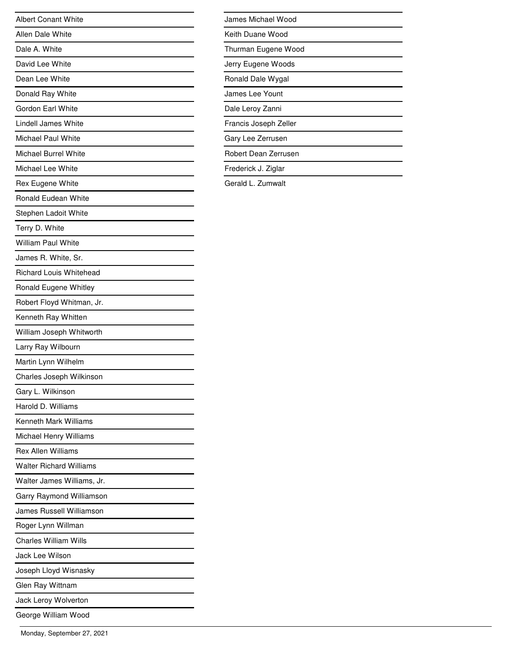| <b>Albert Conant White</b>     |
|--------------------------------|
| Allen Dale White               |
| Dale A. White                  |
| David Lee White                |
| Dean Lee White                 |
| Donald Ray White               |
| Gordon Earl White              |
| Lindell James White            |
| Michael Paul White             |
| Michael Burrel White           |
| Michael Lee White              |
| Rex Eugene White               |
| <b>Ronald Eudean White</b>     |
| Stephen Ladoit White           |
| Terry D. White                 |
| <b>William Paul White</b>      |
| James R. White, Sr.            |
| <b>Richard Louis Whitehead</b> |
| Ronald Eugene Whitley          |
| Robert Floyd Whitman, Jr.      |
| Kenneth Ray Whitten            |
| William Joseph Whitworth       |
| Larry Ray Wilbourn             |
| Martin Lynn Wilhelm            |
| Charles Joseph Wilkinson       |
| Gary L. Wilkinson              |
| Harold D. Williams             |
| <b>Kenneth Mark Williams</b>   |
| Michael Henry Williams         |
| <b>Rex Allen Williams</b>      |
| <b>Walter Richard Williams</b> |
| Walter James Williams, Jr.     |
| Garry Raymond Williamson       |
| James Russell Williamson       |
| Roger Lynn Willman             |
| <b>Charles William Wills</b>   |
| Jack Lee Wilson                |
| Joseph Lloyd Wisnasky          |
| Glen Ray Wittnam               |
| Jack Leroy Wolverton           |
| George William Wood            |

| James Michael Wood    |
|-----------------------|
| Keith Duane Wood      |
| Thurman Eugene Wood   |
| Jerry Eugene Woods    |
| Ronald Dale Wygal     |
| James Lee Yount       |
| Dale Leroy Zanni      |
| Francis Joseph Zeller |
| Gary Lee Zerrusen     |
| Robert Dean Zerrusen  |
| Frederick J. Ziglar   |

Gerald L. Zumwalt

 $\overline{\phantom{0}}$ 

 $\overline{\phantom{0}}$  $\overline{\phantom{0}}$ 

 $\overline{\phantom{a}}$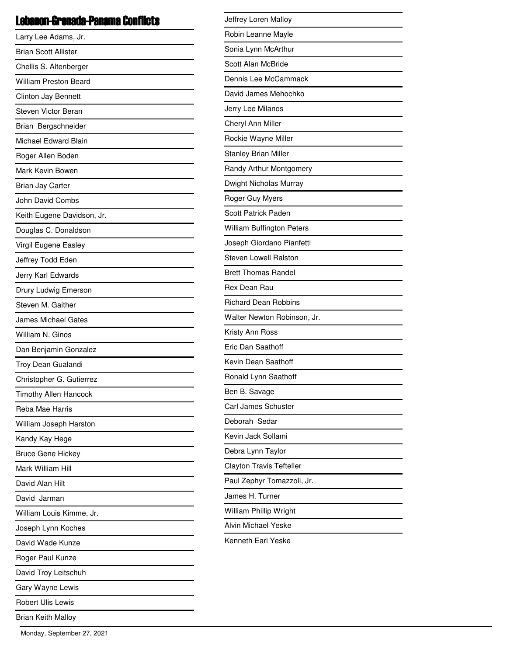#### Lebanon-Grenada-Panama Conflicts

| Larry Lee Adams, Jr.         |
|------------------------------|
| <b>Brian Scott Allister</b>  |
| Chellis S. Altenberger       |
| <b>William Preston Beard</b> |
| Clinton Jay Bennett          |
| Steven Victor Beran          |
| Brian Bergschneider          |
| Michael Edward Blain         |
| Roger Allen Boden            |
| Mark Kevin Bowen             |
| Brian Jay Carter             |
| John David Combs             |
| Keith Eugene Davidson, Jr.   |
| Douglas C. Donaldson         |
| Virgil Eugene Easley         |
| Jeffrey Todd Eden            |
| Jerry Karl Edwards           |
| Drury Ludwig Emerson         |
| Steven M. Gaither            |
| <b>James Michael Gates</b>   |
| William N. Ginos             |
| Dan Benjamin Gonzalez        |
| Troy Dean Gualandi           |
| Christopher G. Gutierrez     |
| <b>Timothy Allen Hancock</b> |
| Reba Mae Harris              |
| William Joseph Harston       |
| Kandy Kay Hege               |
| <b>Bruce Gene Hickey</b>     |
| Mark William Hill            |
| David Alan Hilt              |
| David Jarman                 |
| William Louis Kimme, Jr.     |
| Joseph Lynn Koches           |
| David Wade Kunze             |
| Roger Paul Kunze             |
| David Troy Leitschuh         |
| Gary Wayne Lewis             |
| <b>Robert Ulis Lewis</b>     |
| <b>Brian Keith Malloy</b>    |

| Jeffrey Loren Malloy             |  |
|----------------------------------|--|
| Robin Leanne Mayle               |  |
| Sonia Lynn McArthur              |  |
| Scott Alan McBride               |  |
| Dennis Lee McCammack             |  |
| David James Mehochko             |  |
| Jerry Lee Milanos                |  |
| Cheryl Ann Miller                |  |
| Rockie Wayne Miller              |  |
| <b>Stanley Brian Miller</b>      |  |
| Randy Arthur Montgomery          |  |
| Dwight Nicholas Murray           |  |
| Roger Guy Myers                  |  |
| <b>Scott Patrick Paden</b>       |  |
| <b>William Buffington Peters</b> |  |
| Joseph Giordano Pianfetti        |  |
| <b>Steven Lowell Ralston</b>     |  |
| <b>Brett Thomas Randel</b>       |  |
| Rex Dean Rau                     |  |
| <b>Richard Dean Robbins</b>      |  |
| Walter Newton Robinson, Jr.      |  |
| Kristy Ann Ross                  |  |
| Eric Dan Saathoff                |  |
| Kevin Dean Saathoff              |  |
| Ronald Lynn Saathoff             |  |
| Ben B. Savage                    |  |
| Carl James Schuster              |  |
| Deborah Sedar                    |  |
| Kevin Jack Sollami               |  |
| Debra Lynn Taylor                |  |
| <b>Clayton Travis Tefteller</b>  |  |
| Paul Zephyr Tomazzoli, Jr.       |  |
| James H. Turner                  |  |
| William Phillip Wright           |  |
| <b>Alvin Michael Yeske</b>       |  |
| Kenneth Earl Yeske               |  |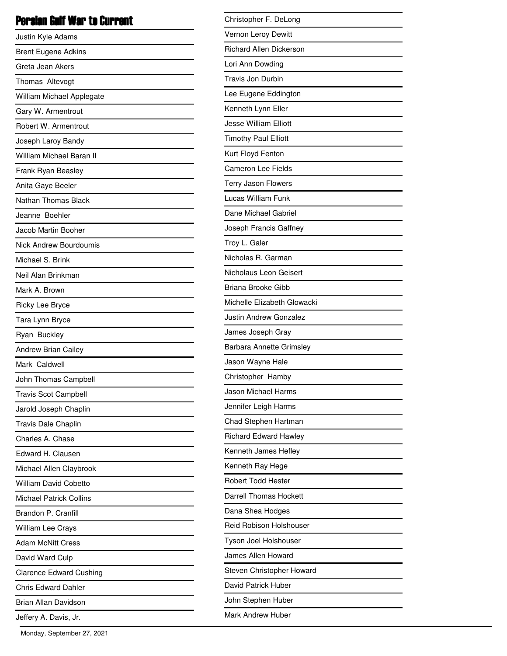# Persian Gulf War to Current

| Justin Kyle Adams              |
|--------------------------------|
| <b>Brent Eugene Adkins</b>     |
| Greta Jean Akers               |
| Thomas Altevogt                |
| William Michael Applegate      |
| Gary W. Armentrout             |
| Robert W. Armentrout           |
| Joseph Laroy Bandy             |
| William Michael Baran II       |
| Frank Ryan Beasley             |
| Anita Gaye Beeler              |
| <b>Nathan Thomas Black</b>     |
| Jeanne Boehler                 |
| Jacob Martin Booher            |
| Nick Andrew Bourdoumis         |
| Michael S. Brink               |
| Neil Alan Brinkman             |
| Mark A. Brown                  |
| Ricky Lee Bryce                |
| Tara Lynn Bryce                |
| Ryan Buckley                   |
| <b>Andrew Brian Cailey</b>     |
| Mark Caldwell                  |
| John Thomas Campbell           |
| <b>Travis Scot Campbell</b>    |
| Jarold Joseph Chaplin          |
| Travis Dale Chaplin            |
| Charles A. Chase               |
| Edward H. Clausen              |
| Michael Allen Claybrook        |
| <b>William David Cobetto</b>   |
| Michael Patrick Collins        |
| Brandon P. Cranfill            |
| William Lee Crays              |
| <b>Adam McNitt Cress</b>       |
| David Ward Culp                |
| <b>Clarence Edward Cushing</b> |
| <b>Chris Edward Dahler</b>     |
| Brian Allan Davidson           |
| Jeffery A. Davis, Jr.          |

| Christopher F. DeLong          |
|--------------------------------|
| Vernon Leroy Dewitt            |
| <b>Richard Allen Dickerson</b> |
| Lori Ann Dowding               |
| Travis Jon Durbin              |
| Lee Eugene Eddington           |
| Kenneth Lynn Eller             |
| <b>Jesse William Elliott</b>   |
| <b>Timothy Paul Elliott</b>    |
| Kurt Floyd Fenton              |
| <b>Cameron Lee Fields</b>      |
| Terry Jason Flowers            |
| Lucas William Funk             |
| Dane Michael Gabriel           |
| Joseph Francis Gaffney         |
| Troy L. Galer                  |
| Nicholas R. Garman             |
| Nicholaus Leon Geisert         |
| Briana Brooke Gibb             |
| Michelle Elizabeth Glowacki    |
| Justin Andrew Gonzalez         |
| James Joseph Gray              |
| Barbara Annette Grimsley       |
| Jason Wayne Hale               |
| Christopher Hamby              |
| Jason Michael Harms            |
| Jennifer Leigh Harms           |
| Chad Stephen Hartman           |
| <b>Richard Edward Hawley</b>   |
| Kenneth James Hefley           |
| Kenneth Ray Hege               |
| <b>Robert Todd Hester</b>      |
| Darrell Thomas Hockett         |
| Dana Shea Hodges               |
| Reid Robison Holshouser        |
| Tyson Joel Holshouser          |
| James Allen Howard             |
| Steven Christopher Howard      |
| David Patrick Huber            |
| John Stephen Huber             |
| Mark Andrew Huber              |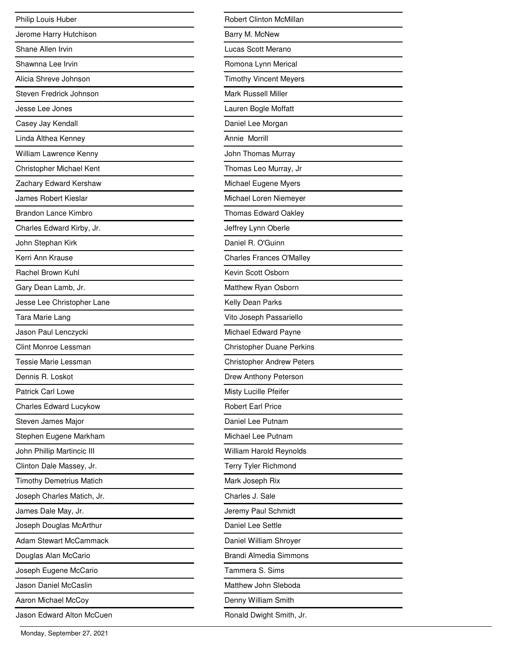| Philip Louis Huber              |
|---------------------------------|
| Jerome Harry Hutchison          |
| Shane Allen Irvin               |
| Shawnna Lee Irvin               |
| Alicia Shreve Johnson           |
| Steven Fredrick Johnson         |
| Jesse Lee Jones                 |
| Casey Jay Kendall               |
| Linda Althea Kenney             |
| William Lawrence Kenny          |
| Christopher Michael Kent        |
| Zachary Edward Kershaw          |
| <b>James Robert Kieslar</b>     |
| <b>Brandon Lance Kimbro</b>     |
| Charles Edward Kirby, Jr.       |
| John Stephan Kirk               |
| Kerri Ann Krause                |
| Rachel Brown Kuhl               |
| Gary Dean Lamb, Jr.             |
| Jesse Lee Christopher Lane      |
| Tara Marie Lang                 |
| Jason Paul Lenczycki            |
| Clint Monroe Lessman            |
| Tessie Marie Lessman            |
| Dennis R. Loskot                |
| <b>Patrick Carl Lowe</b>        |
| Charles Edward Lucykow          |
| Steven James Major              |
| Stephen Eugene Markham          |
| John Phillip Martincic III      |
| Clinton Dale Massey, Jr.        |
| <b>Timothy Demetrius Matich</b> |
| Joseph Charles Matich, Jr.      |
| James Dale May, Jr.             |
| Joseph Douglas McArthur         |
| <b>Adam Stewart McCammack</b>   |
| Douglas Alan McCario            |
| Joseph Eugene McCario           |
| Jason Daniel McCaslin           |
| Aaron Michael McCoy             |
| Jason Edward Alton McCuen       |

| Robert Clinton McMillan          |
|----------------------------------|
| Barry M. McNew                   |
| Lucas Scott Merano               |
| Romona Lynn Merical              |
| <b>Timothy Vincent Meyers</b>    |
| <b>Mark Russell Miller</b>       |
| Lauren Bogle Moffatt             |
| Daniel Lee Morgan                |
| Annie Morrill                    |
| John Thomas Murray               |
| Thomas Leo Murray, Jr            |
| Michael Eugene Myers             |
| Michael Loren Niemeyer           |
| <b>Thomas Edward Oakley</b>      |
| Jeffrey Lynn Oberle              |
| Daniel R. O'Guinn                |
| <b>Charles Frances O'Malley</b>  |
| Kevin Scott Osborn               |
| Matthew Ryan Osborn              |
| Kelly Dean Parks                 |
| Vito Joseph Passariello          |
| Michael Edward Payne             |
| <b>Christopher Duane Perkins</b> |
| <b>Christopher Andrew Peters</b> |
| Drew Anthony Peterson            |
| Misty Lucille Pfeifer            |
| <b>Robert Earl Price</b>         |
| Daniel Lee Putnam                |
| Michael Lee Putnam               |
| William Harold Reynolds          |
| Terry Tyler Richmond             |
| Mark Joseph Rix                  |
| Charles J. Sale                  |
| Jeremy Paul Schmidt              |
| Daniel Lee Settle                |
| Daniel William Shroyer           |
| <b>Brandi Almedia Simmons</b>    |
| Tammera S. Sims                  |
| Matthew John Sleboda             |
| Denny William Smith              |
| Ronald Dwight Smith, Jr.         |